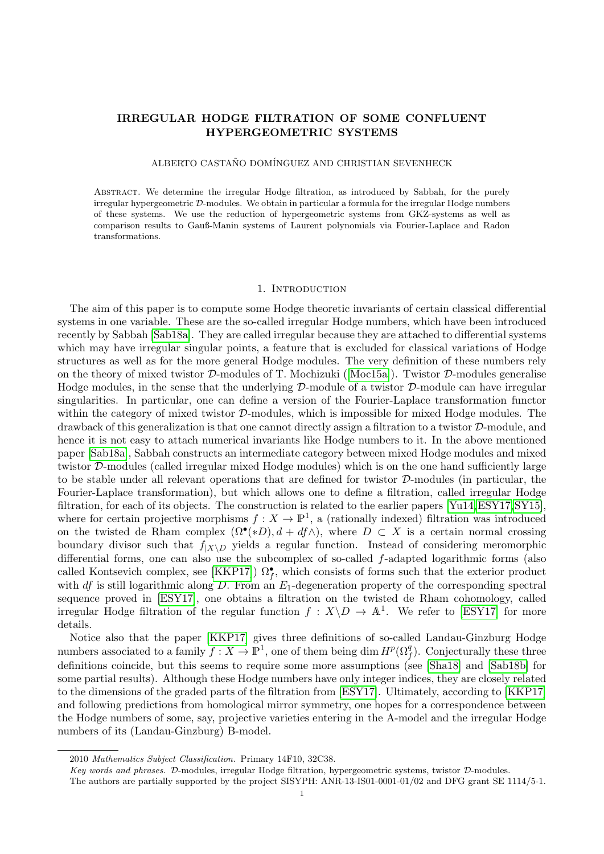# <span id="page-0-0"></span>IRREGULAR HODGE FILTRATION OF SOME CONFLUENT HYPERGEOMETRIC SYSTEMS

#### ALBERTO CASTAÑO DOMÍNGUEZ AND CHRISTIAN SEVENHECK

Abstract. We determine the irregular Hodge filtration, as introduced by Sabbah, for the purely irregular hypergeometric D-modules. We obtain in particular a formula for the irregular Hodge numbers of these systems. We use the reduction of hypergeometric systems from GKZ-systems as well as comparison results to Gauß-Manin systems of Laurent polynomials via Fourier-Laplace and Radon transformations.

#### 1. Introduction

The aim of this paper is to compute some Hodge theoretic invariants of certain classical differential systems in one variable. These are the so-called irregular Hodge numbers, which have been introduced recently by Sabbah [\[Sab18a\]](#page-30-0). They are called irregular because they are attached to differential systems which may have irregular singular points, a feature that is excluded for classical variations of Hodge structures as well as for the more general Hodge modules. The very definition of these numbers rely onthe theory of mixed twistor  $\mathcal{D}$ -modules of T. Mochizuki ([\[Moc15a\]](#page-30-1)). Twistor  $\mathcal{D}$ -modules generalise Hodge modules, in the sense that the underlying  $\mathcal{D}\text{-module}$  of a twistor  $\mathcal{D}\text{-module}$  can have irregular singularities. In particular, one can define a version of the Fourier-Laplace transformation functor within the category of mixed twistor  $D$ -modules, which is impossible for mixed Hodge modules. The drawback of this generalization is that one cannot directly assign a filtration to a twistor  $D$ -module, and hence it is not easy to attach numerical invariants like Hodge numbers to it. In the above mentioned paper [\[Sab18a\]](#page-30-0), Sabbah constructs an intermediate category between mixed Hodge modules and mixed twistor D-modules (called irregular mixed Hodge modules) which is on the one hand sufficiently large to be stable under all relevant operations that are defined for twistor D-modules (in particular, the Fourier-Laplace transformation), but which allows one to define a filtration, called irregular Hodge filtration, for each of its objects. The construction is related to the earlier papers [\[Yu14,](#page-30-2)[ESY17,](#page-30-3)[SY15\]](#page-30-4), where for certain projective morphisms  $f: X \to \mathbb{P}^1$ , a (rationally indexed) filtration was introduced on the twisted de Rham complex  $(\Omega^{\bullet}(*D), d + df \wedge)$ , where  $D \subset X$  is a certain normal crossing boundary divisor such that  $f_{|X\setminus D}$  yields a regular function. Instead of considering meromorphic differential forms, one can also use the subcomplex of so-called f-adapted logarithmic forms (also called Kontsevich complex, see [\[KKP17\]](#page-30-5))  $\Omega_f^{\bullet}$ , which consists of forms such that the exterior product with df is still logarithmic along D. From an  $E_1$ -degeneration property of the corresponding spectral sequence proved in [\[ESY17\]](#page-30-3), one obtains a filtration on the twisted de Rham cohomology, called irregular Hodge filtration of the regular function  $f: X \ D \to \mathbb{A}^1$ . We refer to [\[ESY17\]](#page-30-3) for more details.

Notice also that the paper [\[KKP17\]](#page-30-5) gives three definitions of so-called Landau-Ginzburg Hodge numbers associated to a family  $f: X \to \mathbb{P}^1$ , one of them being dim  $H^p(\Omega_f^q)$ . Conjecturally these three definitions coincide, but this seems to require some more assumptions (see [\[Sha18\]](#page-30-6) and [\[Sab18b\]](#page-30-7) for some partial results). Although these Hodge numbers have only integer indices, they are closely related to the dimensions of the graded parts of the filtration from [\[ESY17\]](#page-30-3). Ultimately, according to [\[KKP17\]](#page-30-5) and following predictions from homological mirror symmetry, one hopes for a correspondence between the Hodge numbers of some, say, projective varieties entering in the A-model and the irregular Hodge numbers of its (Landau-Ginzburg) B-model.

<sup>2010</sup> Mathematics Subject Classification. Primary 14F10, 32C38.

Key words and phrases. D-modules, irregular Hodge filtration, hypergeometric systems, twistor D-modules.

The authors are partially supported by the project SISYPH: ANR-13-IS01-0001-01/02 and DFG grant SE 1114/5-1.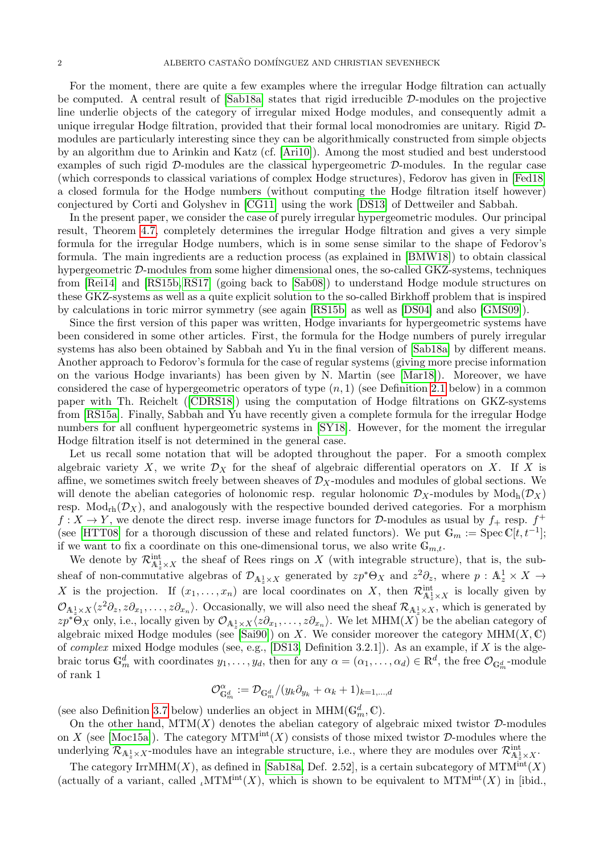For the moment, there are quite a few examples where the irregular Hodge filtration can actually be computed. A central result of [\[Sab18a\]](#page-30-0) states that rigid irreducible D-modules on the projective line underlie objects of the category of irregular mixed Hodge modules, and consequently admit a unique irregular Hodge filtration, provided that their formal local monodromies are unitary. Rigid Dmodules are particularly interesting since they can be algorithmically constructed from simple objects by an algorithm due to Arinkin and Katz (cf. [\[Ari10\]](#page-29-0)). Among the most studied and best understood examples of such rigid  $D$ -modules are the classical hypergeometric  $D$ -modules. In the regular case (which corresponds to classical variations of complex Hodge structures), Fedorov has given in [\[Fed18\]](#page-30-8) a closed formula for the Hodge numbers (without computing the Hodge filtration itself however) conjectured by Corti and Golyshev in [\[CG11\]](#page-29-1) using the work [\[DS13\]](#page-30-9) of Dettweiler and Sabbah.

In the present paper, we consider the case of purely irregular hypergeometric modules. Our principal result, Theorem [4.7,](#page-29-2) completely determines the irregular Hodge filtration and gives a very simple formula for the irregular Hodge numbers, which is in some sense similar to the shape of Fedorov's formula. The main ingredients are a reduction process (as explained in [\[BMW18\]](#page-29-3)) to obtain classical hypergeometric D-modules from some higher dimensional ones, the so-called GKZ-systems, techniques from [\[Rei14\]](#page-30-10) and [\[RS15b,](#page-30-11) [RS17\]](#page-30-12) (going back to [\[Sab08\]](#page-30-13)) to understand Hodge module structures on these GKZ-systems as well as a quite explicit solution to the so-called Birkhoff problem that is inspired by calculations in toric mirror symmetry (see again [\[RS15b\]](#page-30-11) as well as [\[DS04\]](#page-30-14) and also [\[GMS09\]](#page-30-15)).

Since the first version of this paper was written, Hodge invariants for hypergeometric systems have been considered in some other articles. First, the formula for the Hodge numbers of purely irregular systems has also been obtained by Sabbah and Yu in the final version of [\[Sab18a\]](#page-30-0) by different means. Another approach to Fedorov's formula for the case of regular systems (giving more precise information on the various Hodge invariants) has been given by N. Martin (see [\[Mar18\]](#page-30-16)). Moreover, we have considered the case of hypergeometric operators of type  $(n, 1)$  (see Definition [2.1](#page-2-0) below) in a common paper with Th. Reichelt([\[CDRS18\]](#page-29-4)) using the computation of Hodge filtrations on GKZ-systems from [\[RS15a\]](#page-30-17). Finally, Sabbah and Yu have recently given a complete formula for the irregular Hodge numbers for all confluent hypergeometric systems in [\[SY18\]](#page-30-18). However, for the moment the irregular Hodge filtration itself is not determined in the general case.

Let us recall some notation that will be adopted throughout the paper. For a smooth complex algebraic variety X, we write  $\mathcal{D}_X$  for the sheaf of algebraic differential operators on X. If X is affine, we sometimes switch freely between sheaves of  $\mathcal{D}_X$ -modules and modules of global sections. We will denote the abelian categories of holonomic resp. regular holonomic  $\mathcal{D}_X$ -modules by Mod<sub>h</sub> $(\mathcal{D}_X)$ resp.  $Mod_{rh}(\mathcal{D}_X)$ , and analogously with the respective bounded derived categories. For a morphism  $f: X \to Y$ , we denote the direct resp. inverse image functors for D-modules as usual by  $f_+$  resp.  $f^+$ (see [\[HTT08\]](#page-30-19) for a thorough discussion of these and related functors). We put  $\mathbb{G}_m := \text{Spec } \mathbb{C}[t, t^{-1}]$ ; if we want to fix a coordinate on this one-dimensional torus, we also write  $\mathbb{G}_{m,t}$ .

We denote by  $\mathcal{R}_{\mathbb{A}^1_z\times X}^{\text{int}}$  the sheaf of Rees rings on X (with integrable structure), that is, the subsheaf of non-commutative algebras of  $\mathcal{D}_{A_z^1\times X}$  generated by  $zp^*\Theta_X$  and  $z^2\partial_z$ , where  $p: A_z^1 \times X \to$ X is the projection. If  $(x_1, \ldots, x_n)$  are local coordinates on X, then  $\mathcal{R}^{\text{int}}_{\mathbb{A}^1_x \times X}$  is locally given by  $\mathcal{O}_{A_z^1\times X}\langle z^2\partial_z, z\partial_{x_1},\ldots,z\partial_{x_n}\rangle$ . Occasionally, we will also need the sheaf  $\mathcal{R}_{A_z^1\times X}$ , which is generated by  $zp^* \Theta_X$  only, i.e., locally given by  $\mathcal{O}_{A_z^1 \times X} \langle z \partial_{x_1}, \ldots, z \partial_{x_n} \rangle$ . We let  $\text{MHM}(X)$  be the abelian category of algebraic mixed Hodge modules (see [\[Sai90\]](#page-30-20)) on X. We consider moreover the category  $MHM(X,\mathbb{C})$ of *complex* mixed Hodge modules (see, e.g., [\[DS13,](#page-30-9) Definition 3.2.1]). As an example, if X is the algebraic torus  $\mathbb{G}_m^d$  with coordinates  $y_1, \ldots, y_d$ , then for any  $\alpha = (\alpha_1, \ldots, \alpha_d) \in \mathbb{R}^d$ , the free  $\mathcal{O}_{\mathbb{G}_m^d}$ -module of rank 1

$$
\mathcal{O}_{\mathbb{G}_m^d}^\alpha:=\mathcal{D}_{\mathbb{G}_m^d}/(y_k\partial_{y_k}+\alpha_k+1)_{k=1,\dots,d}
$$

(see also Definition [3.7](#page-10-0) below) underlies an object in  $\mathrm{MHM}(\mathbb{G}_m^d,\mathbb{C})$ .

On the other hand,  $MTM(X)$  denotes the abelian category of algebraic mixed twistor  $D$ -modules on X (see [\[Moc15a\]](#page-30-1)). The category  $MTM<sup>int</sup>(X)$  consists of those mixed twistor D-modules where the underlying  $\mathcal{R}_{A_z^1\times X}$ -modules have an integrable structure, i.e., where they are modules over  $\mathcal{R}^{\text{int}}_{A_z^1\times X}$ .

The category IrrMHM(X), as defined in [\[Sab18a,](#page-30-0) Def. 2.52], is a certain subcategory of  $MTM<sup>int</sup>(X)$ (actually of a variant, called  $\iota MTM^{\text{int}}(X)$ , which is shown to be equivalent to  $MTM^{\text{int}}(X)$  in [ibid.,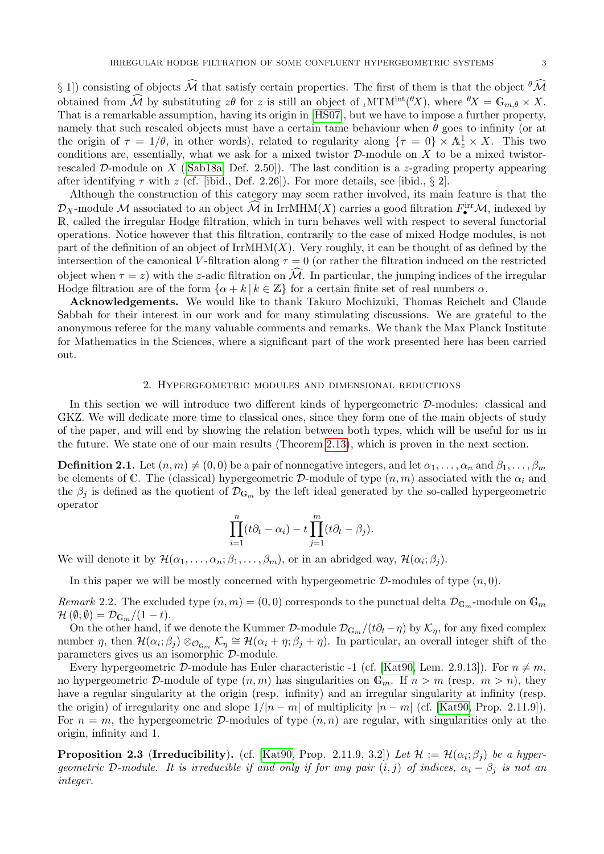§ 1) consisting of objects  $\widehat{\mathcal{M}}$  that satisfy certain properties. The first of them is that the object  $^{\theta}\widehat{\mathcal{M}}$ obtained from  $\widehat{\mathcal{M}}$  by substituting  $z\theta$  for z is still an object of  $\iota$ MTM<sup>int</sup>( ${}^{\theta}X$ ), where  ${}^{\theta}X = \mathbb{G}_{m,\theta} \times X$ . That is a remarkable assumption, having its origin in [\[HS07\]](#page-30-21), but we have to impose a further property, namely that such rescaled objects must have a certain tame behaviour when  $\theta$  goes to infinity (or at the origin of  $\tau = 1/\theta$ , in other words), related to regularity along  $\{\tau = 0\} \times \mathbb{A}_z^1 \times X$ . This two conditions are, essentially, what we ask for a mixed twistor  $D$ -module on X to be a mixed twistor-rescaled D-module on X ([\[Sab18a,](#page-30-0) Def. 2.50]). The last condition is a z-grading property appearing after identifying  $\tau$  with z (cf. [ibid., Def. 2.26]). For more details, see [ibid., § 2].

Although the construction of this category may seem rather involved, its main feature is that the  $\mathcal{D}_X$ -module M associated to an object  $\widehat{\mathcal{M}}$  in IrrMHM(X) carries a good filtration  $F^{\text{irr}}_{\bullet}\mathcal{M}$ , indexed by R, called the irregular Hodge filtration, which in turn behaves well with respect to several functorial operations. Notice however that this filtration, contrarily to the case of mixed Hodge modules, is not part of the definition of an object of  $IrrMHM(X)$ . Very roughly, it can be thought of as defined by the intersection of the canonical V-filtration along  $\tau = 0$  (or rather the filtration induced on the restricted object when  $\tau = z$ ) with the z-adic filtration on  $\hat{\mathcal{M}}$ . In particular, the jumping indices of the irregular Hodge filtration are of the form  $\{\alpha + k \mid k \in \mathbb{Z}\}\$  for a certain finite set of real numbers  $\alpha$ .

Acknowledgements. We would like to thank Takuro Mochizuki, Thomas Reichelt and Claude Sabbah for their interest in our work and for many stimulating discussions. We are grateful to the anonymous referee for the many valuable comments and remarks. We thank the Max Planck Institute for Mathematics in the Sciences, where a significant part of the work presented here has been carried out.

### 2. Hypergeometric modules and dimensional reductions

<span id="page-2-3"></span>In this section we will introduce two different kinds of hypergeometric D-modules: classical and GKZ. We will dedicate more time to classical ones, since they form one of the main objects of study of the paper, and will end by showing the relation between both types, which will be useful for us in the future. We state one of our main results (Theorem [2.13\)](#page-6-0), which is proven in the next section.

<span id="page-2-0"></span>**Definition 2.1.** Let  $(n, m) \neq (0, 0)$  be a pair of nonnegative integers, and let  $\alpha_1, \ldots, \alpha_n$  and  $\beta_1, \ldots, \beta_m$ be elements of C. The (classical) hypergeometric D-module of type  $(n, m)$  associated with the  $\alpha_i$  and the  $\beta_j$  is defined as the quotient of  $\mathcal{D}_{\mathbb{G}_m}$  by the left ideal generated by the so-called hypergeometric operator

$$
\prod_{i=1}^n (t\partial_t - \alpha_i) - t \prod_{j=1}^m (t\partial_t - \beta_j).
$$

We will denote it by  $\mathcal{H}(\alpha_1,\ldots,\alpha_n;\beta_1,\ldots,\beta_m)$ , or in an abridged way,  $\mathcal{H}(\alpha_i;\beta_j)$ .

In this paper we will be mostly concerned with hypergeometric  $\mathcal{D}$ -modules of type  $(n, 0)$ .

<span id="page-2-1"></span>Remark 2.2. The excluded type  $(n, m) = (0, 0)$  corresponds to the punctual delta  $\mathcal{D}_{\mathbb{G}_m}$ -module on  $\mathbb{G}_m$  $\mathcal{H}(\emptyset;\emptyset) = \mathcal{D}_{\mathbb{G}_m}/(1-t).$ 

On the other hand, if we denote the Kummer D-module  $\mathcal{D}_{G_m}/(t\partial_t-\eta)$  by  $\mathcal{K}_\eta$ , for any fixed complex number  $\eta$ , then  $\mathcal{H}(\alpha_i;\beta_j)\otimes_{\mathcal{O}_{\mathbb{G}_m}}\mathcal{K}_\eta\cong\mathcal{H}(\alpha_i+\eta;\beta_j+\eta)$ . In particular, an overall integer shift of the parameters gives us an isomorphic D-module.

Every hypergeometric D-module has Euler characteristic -1 (cf. [\[Kat90,](#page-30-22) Lem. 2.9.13]). For  $n \neq m$ , no hypergeometric D-module of type  $(n, m)$  has singularities on  $\mathbb{G}_m$ . If  $n > m$  (resp.  $m > n$ ), they have a regular singularity at the origin (resp. infinity) and an irregular singularity at infinity (resp. the origin) of irregularity one and slope  $1/|n-m|$  of multiplicity  $|n-m|$  (cf. [\[Kat90,](#page-30-22) Prop. 2.11.9]). For  $n = m$ , the hypergeometric D-modules of type  $(n, n)$  are regular, with singularities only at the origin, infinity and 1.

<span id="page-2-2"></span>**Proposition 2.3 (Irreducibility).** (cf. [\[Kat90,](#page-30-22) Prop. 2.11.9, 3.2]) Let  $\mathcal{H} := \mathcal{H}(\alpha_i; \beta_j)$  be a hypergeometric D-module. It is irreducible if and only if for any pair  $(i, j)$  of indices,  $\alpha_i - \beta_j$  is not an integer.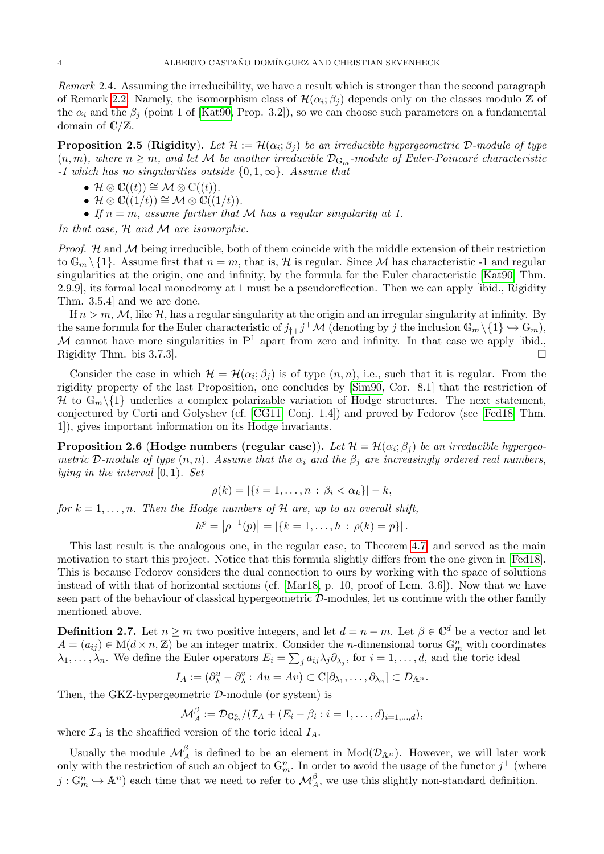Remark 2.4. Assuming the irreducibility, we have a result which is stronger than the second paragraph of Remark [2.2.](#page-2-1) Namely, the isomorphism class of  $\mathcal{H}(\alpha_i;\beta_j)$  depends only on the classes modulo  $\mathbb Z$  of the  $\alpha_i$  and the  $\beta_j$  (point 1 of [\[Kat90,](#page-30-22) Prop. 3.2]), so we can choose such parameters on a fundamental domain of C/Z.

<span id="page-3-1"></span>**Proposition 2.5** (Rigidity). Let  $\mathcal{H} := \mathcal{H}(\alpha_i; \beta_j)$  be an irreducible hypergeometric D-module of type  $(n, m)$ , where  $n \geq m$ , and let M be another irreducible  $\mathcal{D}_{\mathbb{G}_m}$ -module of Euler-Poincaré characteristic  $-1$  which has no singularities outside  $\{0, 1, \infty\}$ . Assume that

- $\mathcal{H} \otimes \mathbb{C}((t)) \cong \mathcal{M} \otimes \mathbb{C}((t)).$
- $\mathcal{H} \otimes \mathbb{C}((1/t)) \cong \mathcal{M} \otimes \mathbb{C}((1/t)).$
- If  $n = m$ , assume further that M has a regular singularity at 1.

In that case,  $H$  and  $M$  are isomorphic.

*Proof.*  $H$  and  $M$  being irreducible, both of them coincide with the middle extension of their restriction to  $\mathbb{G}_m \setminus \{1\}$ . Assume first that  $n = m$ , that is, H is regular. Since M has characteristic -1 and regular singularities at the origin, one and infinity, by the formula for the Euler characteristic [\[Kat90,](#page-30-22) Thm. 2.9.9], its formal local monodromy at 1 must be a pseudoreflection. Then we can apply [ibid., Rigidity Thm. 3.5.4] and we are done.

If  $n > m$ , M, like H, has a regular singularity at the origin and an irregular singularity at infinity. By the same formula for the Euler characteristic of  $j_{\dagger}+j^+\mathcal{M}$  (denoting by j the inclusion  $\mathbb{G}_m\setminus\{1\} \hookrightarrow \mathbb{G}_m$ ), M cannot have more singularities in  $\mathbb{P}^1$  apart from zero and infinity. In that case we apply [ibid., Rigidity Thm. bis 3.7.3.

Consider the case in which  $\mathcal{H} = \mathcal{H}(\alpha_i; \beta_j)$  is of type  $(n, n)$ , i.e., such that it is regular. From the rigidity property of the last Proposition, one concludes by [\[Sim90,](#page-30-23) Cor. 8.1] that the restriction of H to  $\mathbb{G}_m \setminus \{1\}$  underlies a complex polarizable variation of Hodge structures. The next statement, conjectured by Corti and Golyshev (cf. [\[CG11,](#page-29-1) Conj. 1.4]) and proved by Fedorov (see [\[Fed18,](#page-30-8) Thm. 1]), gives important information on its Hodge invariants.

**Proposition 2.6 (Hodge numbers (regular case)).** Let  $\mathcal{H} = \mathcal{H}(\alpha_i;\beta_j)$  be an irreducible hypergeometric D-module of type  $(n, n)$ . Assume that the  $\alpha_i$  and the  $\beta_i$  are increasingly ordered real numbers, lying in the interval  $[0, 1)$ . Set

$$
\rho(k) = |\{i = 1, \dots, n : \beta_i < \alpha_k\}| - k,
$$

for  $k = 1, \ldots, n$ . Then the Hodge numbers of H are, up to an overall shift,

$$
h^{p} = |\rho^{-1}(p)| = |\{k = 1, ..., h : \rho(k) = p\}|.
$$

This last result is the analogous one, in the regular case, to Theorem [4.7,](#page-29-2) and served as the main motivation to start this project. Notice that this formula slightly differs from the one given in [\[Fed18\]](#page-30-8). This is because Fedorov considers the dual connection to ours by working with the space of solutions instead of with that of horizontal sections (cf. [\[Mar18,](#page-30-16) p. 10, proof of Lem. 3.6]). Now that we have seen part of the behaviour of classical hypergeometric D-modules, let us continue with the other family mentioned above.

<span id="page-3-0"></span>**Definition 2.7.** Let  $n \geq m$  two positive integers, and let  $d = n - m$ . Let  $\beta \in \mathbb{C}^d$  be a vector and let  $A = (a_{ij}) \in M(d \times n, \mathbb{Z})$  be an integer matrix. Consider the *n*-dimensional torus  $\mathbb{G}_m^n$  with coordinates  $\lambda_1,\ldots,\lambda_n$ . We define the Euler operators  $E_i = \sum_j a_{ij}\lambda_j \partial_{\lambda_j}$ , for  $i = 1,\ldots,d$ , and the toric ideal

$$
I_A := (\partial_{\lambda}^u - \partial_{\lambda}^v : Au = Av) \subset \mathbb{C}[\partial_{\lambda_1}, \dots, \partial_{\lambda_n}] \subset D_{\mathbb{A}^n}.
$$

Then, the GKZ-hypergeometric D-module (or system) is

$$
\mathcal{M}_A^{\beta} := \mathcal{D}_{\mathbb{G}_m^n}/(\mathcal{I}_A + (E_i - \beta_i : i = 1, \ldots, d)_{i=1,\ldots,d}),
$$

where  $\mathcal{I}_A$  is the sheafified version of the toric ideal  $I_A$ .

Usually the module  $\mathcal{M}_{A}^{\beta}$  is defined to be an element in  $Mod(\mathcal{D}_{A^{n}})$ . However, we will later work only with the restriction of such an object to  $\mathbb{G}_m^n$ . In order to avoid the usage of the functor  $j^+$  (where  $j: \mathbb{G}_m^n \hookrightarrow \mathbb{A}^n$  each time that we need to refer to  $\mathcal{M}_{A}^{\beta}$ , we use this slightly non-standard definition.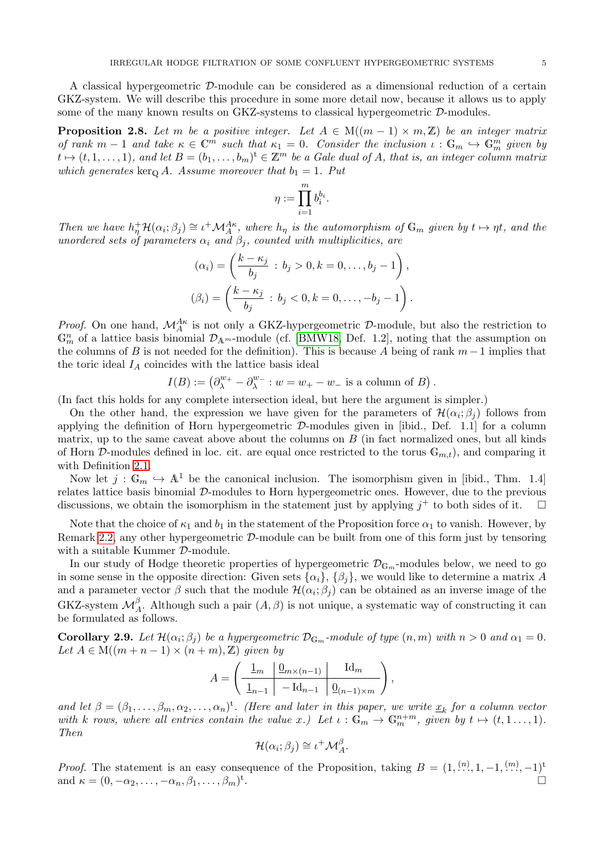A classical hypergeometric D-module can be considered as a dimensional reduction of a certain GKZ-system. We will describe this procedure in some more detail now, because it allows us to apply some of the many known results on GKZ-systems to classical hypergeometric  $\mathcal{D}$ -modules.

<span id="page-4-1"></span>**Proposition 2.8.** Let m be a positive integer. Let  $A \in M((m-1) \times m, \mathbb{Z})$  be an integer matrix of rank  $m-1$  and take  $\kappa \in \mathbb{C}^m$  such that  $\kappa_1 = 0$ . Consider the inclusion  $\iota : \mathbb{G}_m \hookrightarrow \mathbb{G}_m^m$  given by  $t \mapsto (t, 1, \ldots, 1)$ , and let  $B = (b_1, \ldots, b_m)^t \in \mathbb{Z}^m$  be a Gale dual of A, that is, an integer column matrix which generates ker<sub>Q</sub> A. Assume moreover that  $b_1 = 1$ . Put

$$
\eta:=\prod_{i=1}^m b_i^{b_i}.
$$

Then we have  $h_{\eta}^+ \mathcal{H}(\alpha_i;\beta_j) \cong \iota^+ \mathcal{M}_A^{A\kappa}$ , where  $h_{\eta}$  is the automorphism of  $\mathbb{G}_m$  given by  $t \mapsto \eta t$ , and the unordered sets of parameters  $\alpha_i$  and  $\beta_j$ , counted with multiplicities, are

$$
(\alpha_i) = \left(\frac{k - \kappa_j}{b_j} : b_j > 0, k = 0, ..., b_j - 1\right),
$$
  

$$
(\beta_i) = \left(\frac{k - \kappa_j}{b_j} : b_j < 0, k = 0, ..., -b_j - 1\right).
$$

*Proof.* On one hand,  $\mathcal{M}_{A}^{A\kappa}$  is not only a GKZ-hypergeometric D-module, but also the restriction to  $\mathbb{G}_m^n$  of a lattice basis binomial  $\mathcal{D}_{\mathbb{A}^m}$ -module (cf. [\[BMW18,](#page-29-3) Def. 1.2], noting that the assumption on the columns of B is not needed for the definition). This is because A being of rank  $m-1$  implies that the toric ideal  $I_A$  coincides with the lattice basis ideal

$$
I(B) := (\partial_{\lambda}^{w_{+}} - \partial_{\lambda}^{w_{-}} : w = w_{+} - w_{-} \text{ is a column of } B).
$$

(In fact this holds for any complete intersection ideal, but here the argument is simpler.)

On the other hand, the expression we have given for the parameters of  $\mathcal{H}(\alpha_i;\beta_j)$  follows from applying the definition of Horn hypergeometric  $\mathcal{D}$ -modules given in [ibid., Def. 1.1] for a column matrix, up to the same caveat above about the columns on  $B$  (in fact normalized ones, but all kinds of Horn D-modules defined in loc. cit. are equal once restricted to the torus  $\mathbb{G}_{m,t}$ , and comparing it with Definition [2.1.](#page-2-0)

Now let  $j : \mathbb{G}_m \hookrightarrow \mathbb{A}^1$  be the canonical inclusion. The isomorphism given in [ibid., Thm. 1.4] relates lattice basis binomial D-modules to Horn hypergeometric ones. However, due to the previous discussions, we obtain the isomorphism in the statement just by applying  $j^+$  to both sides of it.  $\square$ 

Note that the choice of  $\kappa_1$  and  $b_1$  in the statement of the Proposition force  $\alpha_1$  to vanish. However, by Remark [2.2,](#page-2-1) any other hypergeometric D-module can be built from one of this form just by tensoring with a suitable Kummer  $D$ -module.

In our study of Hodge theoretic properties of hypergeometric  $\mathcal{D}_{\mathbb{G}_m}$ -modules below, we need to go in some sense in the opposite direction: Given sets  $\{\alpha_i\}$ ,  $\{\beta_j\}$ , we would like to determine a matrix A and a parameter vector  $\beta$  such that the module  $\mathcal{H}(\alpha_i;\beta_j)$  can be obtained as an inverse image of the GKZ-system  $\mathcal{M}_{A}^{\beta}$ . Although such a pair  $(A, \beta)$  is not unique, a systematic way of constructing it can be formulated as follows.

<span id="page-4-0"></span>**Corollary 2.9.** Let  $\mathcal{H}(\alpha_i; \beta_j)$  be a hypergeometric  $\mathcal{D}_{\mathbb{G}_m}$ -module of type  $(n, m)$  with  $n > 0$  and  $\alpha_1 = 0$ . Let  $A \in M((m+n-1) \times (n+m), \mathbb{Z})$  given by

$$
A = \left(\begin{array}{c|c} \underline{1_m} & \underline{0_{m \times (n-1)}} & \underline{Id_m} \\ \hline \underline{1_{n-1}} & -\underline{Id_{n-1}} & \underline{0_{(n-1)\times m}} \end{array}\right),
$$

and let  $\beta = (\beta_1, \ldots, \beta_m, \alpha_2, \ldots, \alpha_n)^t$ . (Here and later in this paper, we write  $\underline{x}_k$  for a column vector with k rows, where all entries contain the value x.) Let  $\iota : \mathbb{G}_m \to \mathbb{G}_m^{n+m}$ , given by  $t \mapsto (t, 1, \ldots, 1)$ . Then

$$
\mathcal{H}(\alpha_i;\beta_j)\cong\iota^+\mathcal{M}^\beta_A.
$$

*Proof.* The statement is an easy consequence of the Proposition, taking  $B = (1, \dots, 1, -1, \dots, -1)^t$ and  $\kappa = (0, -\alpha_2, \dots, -\alpha_n, \beta_1, \dots, \beta_m)^t$ .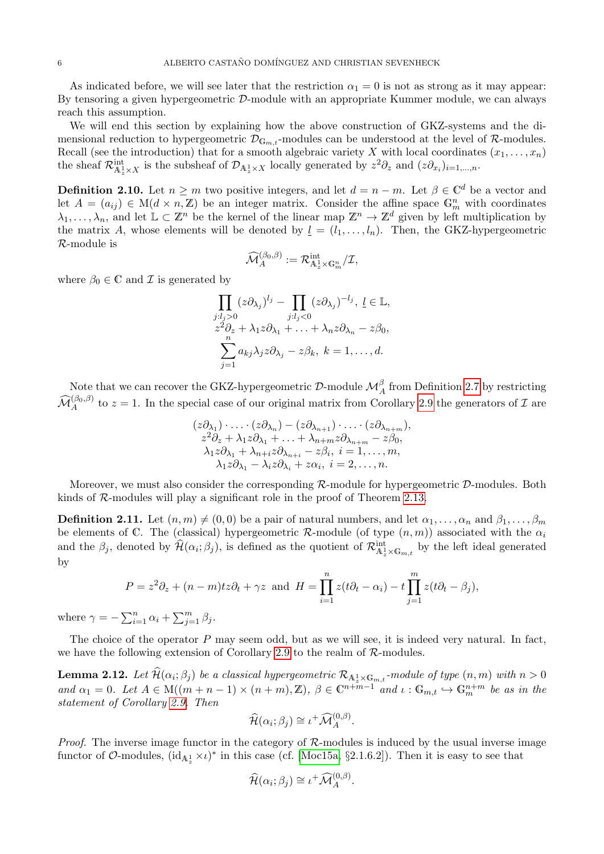As indicated before, we will see later that the restriction  $\alpha_1 = 0$  is not as strong as it may appear: By tensoring a given hypergeometric D-module with an appropriate Kummer module, we can always reach this assumption.

We will end this section by explaining how the above construction of GKZ-systems and the dimensional reduction to hypergeometric  $\mathcal{D}_{\mathbb{G}_{m,t}}$ -modules can be understood at the level of R-modules. Recall (see the introduction) that for a smooth algebraic variety X with local coordinates  $(x_1, \ldots, x_n)$ the sheaf  $\mathcal{R}^{\text{int}}_{\mathbb{A}_z^1 \times X}$  is the subsheaf of  $\mathcal{D}_{\mathbb{A}_z^1 \times X}$  locally generated by  $z^2 \partial_z$  and  $(z \partial_{x_i})_{i=1,\dots,n}$ .

**Definition 2.10.** Let  $n \geq m$  two positive integers, and let  $d = n - m$ . Let  $\beta \in \mathbb{C}^d$  be a vector and let  $A = (a_{ij}) \in M(d \times n, \mathbb{Z})$  be an integer matrix. Consider the affine space  $\mathbb{G}_m^n$  with coordinates  $\lambda_1, \ldots, \lambda_n$ , and let  $\mathbb{L} \subset \mathbb{Z}^n$  be the kernel of the linear map  $\mathbb{Z}^n \to \mathbb{Z}^d$  given by left multiplication by the matrix A, whose elements will be denoted by  $\underline{l} = (l_1, \ldots, l_n)$ . Then, the GKZ-hypergeometric R-module is

$$
\widehat{\mathcal{M}}_A^{(\beta_0,\beta)} := \mathcal{R}_{\mathbb{A}_z^1 \times \mathbb{G}_m^n}^{\text{int}} / \mathcal{I},
$$

where  $\beta_0 \in \mathbb{C}$  and  $\mathcal I$  is generated by

$$
\prod_{j:l_j>0} (z\partial_{\lambda_j})^{l_j} - \prod_{j:l_j<0} (z\partial_{\lambda_j})^{-l_j}, \quad l \in \mathbb{L},
$$
  
\n
$$
z^2\partial_z + \lambda_1 z \partial_{\lambda_1} + \ldots + \lambda_n z \partial_{\lambda_n} - z\beta_0,
$$
  
\n
$$
\sum_{j=1}^n a_{kj} \lambda_j z \partial_{\lambda_j} - z\beta_k, \quad k = 1, \ldots, d.
$$

Note that we can recover the GKZ-hypergeometric  $\mathcal{D}$ -module  $\mathcal{M}_{A}^{\beta}$  from Definition [2.7](#page-3-0) by restricting  $\widehat{\mathcal{M}}_{A}^{(\beta_0,\beta)}$  to  $z=1$ . In the special case of our original matrix from Corollary [2.9](#page-4-0) the generators of  $\mathcal I$  are

$$
(z\partial_{\lambda_1})\cdot\ldots\cdot(z\partial_{\lambda_n})-(z\partial_{\lambda_{n+1}})\cdot\ldots\cdot(z\partial_{\lambda_{n+m}}),
$$
  
\n
$$
z^2\partial_z+\lambda_1z\partial_{\lambda_1}+\ldots+\lambda_{n+m}z\partial_{\lambda_{n+m}}-z\beta_0,
$$
  
\n
$$
\lambda_1z\partial_{\lambda_1}+\lambda_{n+i}z\partial_{\lambda_{n+i}}-z\beta_i, i=1,\ldots,m,
$$
  
\n
$$
\lambda_1z\partial_{\lambda_1}-\lambda_iz\partial_{\lambda_i}+z\alpha_i, i=2,\ldots,n.
$$

Moreover, we must also consider the corresponding  $\mathcal{R}\text{-module}$  for hypergeometric  $\mathcal{D}\text{-modules}$ . Both kinds of R-modules will play a significant role in the proof of Theorem [2.13.](#page-6-0)

<span id="page-5-1"></span>**Definition 2.11.** Let  $(n, m) \neq (0, 0)$  be a pair of natural numbers, and let  $\alpha_1, \ldots, \alpha_n$  and  $\beta_1, \ldots, \beta_m$ be elements of C. The (classical) hypergeometric R-module (of type  $(n, m)$ ) associated with the  $\alpha_i$ and the  $\beta_j$ , denoted by  $\widehat{\mathcal{H}}(\alpha_i;\beta_j)$ , is defined as the quotient of  $\mathcal{R}_{\mathbb{A}_z^1\times\mathbb{G}_{m,t}}^{\text{int}}$  by the left ideal generated by

$$
P = z2 \partial_z + (n - m)tz \partial_t + \gamma z \text{ and } H = \prod_{i=1}^n z(t\partial_t - \alpha_i) - t \prod_{j=1}^m z(t\partial_t - \beta_j),
$$

where  $\gamma = -\sum_{i=1}^{n} \alpha_i + \sum_{j=1}^{m} \beta_j$ .

The choice of the operator  $P$  may seem odd, but as we will see, it is indeed very natural. In fact, we have the following extension of Corollary [2.9](#page-4-0) to the realm of  $\mathcal{R}\text{-modules.}$ 

<span id="page-5-0"></span>**Lemma 2.12.** Let  $\mathcal{H}(\alpha_i; \beta_j)$  be a classical hypergeometric  $\mathcal{R}_{\mathbf{A}_z^1 \times \mathbf{G}_{m,t}}$ -module of type  $(n, m)$  with  $n > 0$ and  $\alpha_1 = 0$ . Let  $A \in M((m + n - 1) \times (n + m), \mathbb{Z})$ ,  $\beta \in \mathbb{C}^{n + m - 1}$  and  $\iota : \mathbb{G}_{m,t} \hookrightarrow \mathbb{G}_m^{n+m}$  be as in the statement of Corollary [2.9.](#page-4-0) Then

$$
\widehat{\mathcal{H}}(\alpha_i;\beta_j) \cong \iota^+ \widehat{\mathcal{M}}_A^{(0,\beta)}.
$$

*Proof.* The inverse image functor in the category of  $\mathcal{R}$ -modules is induced by the usual inverse image functor of  $\mathcal{O}\text{-modules}$ ,  $(id_{\mathbb{A}_z^1}\times \iota)^*$  in this case (cf. [\[Moc15a,](#page-30-1) §2.1.6.2]). Then it is easy to see that

$$
\widehat{\mathcal{H}}(\alpha_i;\beta_j) \cong \iota^+ \widehat{\mathcal{M}}_A^{(0,\beta)}.
$$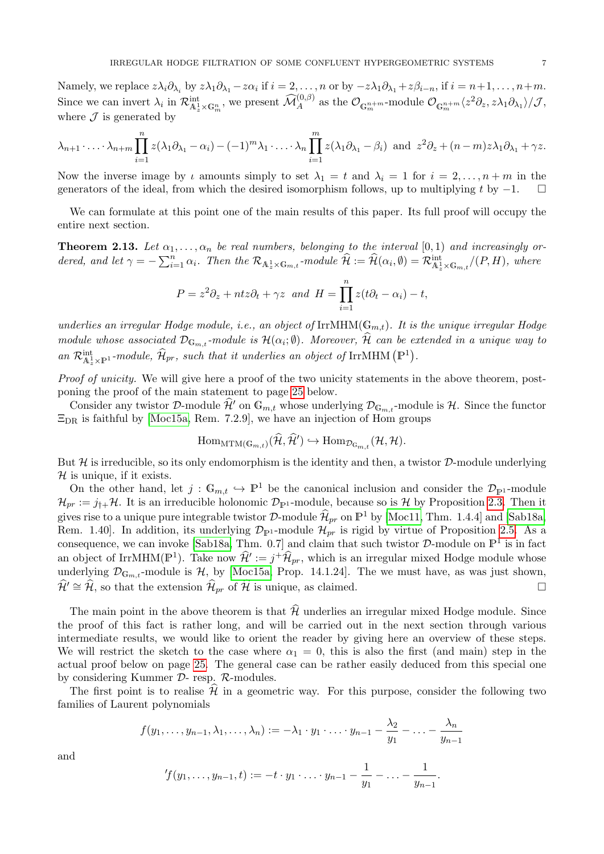Namely, we replace  $z\lambda_i\partial_{\lambda_i}$  by  $z\lambda_1\partial_{\lambda_1} - z\alpha_i$  if  $i = 2, \ldots, n$  or by  $-z\lambda_1\partial_{\lambda_1} + z\beta_{i-n}$ , if  $i = n+1, \ldots, n+m$ . Since we can invert  $\lambda_i$  in  $\mathcal{R}^{\text{int}}_{\mathcal{A}_z^1 \times \mathbb{G}_m^n}$ , we present  $\widehat{\mathcal{M}}_A^{(0, \beta)}$  as the  $\mathcal{O}_{\mathbb{G}_m^{n+m}}$ -module  $\mathcal{O}_{\mathbb{G}_m^{m+m}} \langle z^2 \partial_z, z \lambda_1 \partial_{\lambda_1} \rangle / \mathcal{J}$ , where  $\mathcal J$  is generated by

$$
\lambda_{n+1}\cdot\ldots\cdot\lambda_{n+m}\prod_{i=1}^n z(\lambda_1\partial_{\lambda_1}-\alpha_i)-(-1)^m\lambda_1\cdot\ldots\cdot\lambda_n\prod_{i=1}^m z(\lambda_1\partial_{\lambda_1}-\beta_i) \text{ and } z^2\partial_z+(n-m)z\lambda_1\partial_{\lambda_1}+\gamma z.
$$

Now the inverse image by  $\iota$  amounts simply to set  $\lambda_1 = t$  and  $\lambda_i = 1$  for  $i = 2, \ldots, n+m$  in the generators of the ideal, from which the desired isomorphism follows, up to multiplying t by  $-1$ .  $\square$ 

We can formulate at this point one of the main results of this paper. Its full proof will occupy the entire next section.

<span id="page-6-0"></span>**Theorem 2.13.** Let  $\alpha_1, \ldots, \alpha_n$  be real numbers, belonging to the interval [0,1] and increasingly ordered, and let  $\gamma = -\sum_{i=1}^n \alpha_i$ . Then the  $\mathcal{R}_{\mathbb{A}^1_z \times \mathbb{G}_{m,t}}$ -module  $\widehat{\mathcal{H}} := \widehat{\mathcal{H}}(\alpha_i, \emptyset) = \mathcal{R}_{\mathbb{A}^1_z \times \mathbb{G}_{m,t}}^{\text{int}}/(P, H)$ , where

$$
P = z2 \partial_z + ntz \partial_t + \gamma z \text{ and } H = \prod_{i=1}^{n} z(t\partial_t - \alpha_i) - t,
$$

underlies an irregular Hodge module, i.e., an object of  $IrrMHM(\mathbb{G}_{m,t})$ . It is the unique irregular Hodge module whose associated  $\mathcal{D}_{\mathbb{G}_{m,t}}$ -module is  $\mathcal{H}(\alpha_i;\emptyset)$ . Moreover,  $\mathcal{H}$  can be extended in a unique way to an  $\mathcal{R}^{\text{int}}_{\mathbb{A}^1_z \times \mathbb{P}^1}$ -module,  $\widehat{\mathcal{H}}_{pr}$ , such that it underlies an object of IrrMHM  $(\mathbb{P}^1)$ .

Proof of unicity. We will give here a proof of the two unicity statements in the above theorem, postponing the proof of the main statement to page [25](#page-24-0) below.

Consider any twistor D-module  $\hat{\mathcal{H}}'$  on  $\mathbb{G}_{m,t}$  whose underlying  $\mathcal{D}_{\mathbb{G}_{m,t}}$ -module is  $\mathcal{H}$ . Since the functor  $\Xi_{\text{DR}}$  is faithful by [\[Moc15a,](#page-30-1) Rem. 7.2.9], we have an injection of Hom groups

$$
\mathrm{Hom}_{\mathrm{MTM}(\mathbb{G}_{m,t})}(\widehat{\mathcal{H}}, \widehat{\mathcal{H}}') \hookrightarrow \mathrm{Hom}_{\mathcal{D}_{\mathbb{G}_{m,t}}}(\mathcal{H}, \mathcal{H}).
$$

But  $\mathcal H$  is irreducible, so its only endomorphism is the identity and then, a twistor  $\mathcal D$ -module underlying  $H$  is unique, if it exists.

On the other hand, let  $j : \mathbb{G}_{m,t} \hookrightarrow \mathbb{P}^1$  be the canonical inclusion and consider the  $\mathcal{D}_{\mathbb{P}^1}$ -module  $\mathcal{H}_{pr} := j_{\dagger} + \mathcal{H}$ . It is an irreducible holonomic  $\mathcal{D}_{\mathbb{P}^1}$ -module, because so is  $\mathcal{H}$  by Proposition [2.3.](#page-2-2) Then it gives rise to a unique pure integrable twistor D-module  $\widehat{\mathcal{H}}_{pr}$  on  $\mathbb{P}^1$  by [\[Moc11,](#page-30-24) Thm. 1.4.4] and [\[Sab18a,](#page-30-0) Rem. 1.40]. In addition, its underlying  $\mathcal{D}_{\mathbb{P}^1}$ -module  $\mathcal{H}_{pr}$  is rigid by virtue of Proposition [2.5.](#page-3-1) As a consequence, we can invoke [\[Sab18a,](#page-30-0) Thm. 0.7] and claim that such twistor  $D$ -module on  $\mathbb{P}^1$  is in fact an object of IrrMHM( $\mathbb{P}^1$ ). Take now  $\hat{\mathcal{H}}' := j^+ \hat{\mathcal{H}}_{pr}$ , which is an irregular mixed Hodge module whose underlying  $\mathcal{D}_{\mathbb{G}_{m,t}}$ -module is H, by [\[Moc15a,](#page-30-1) Prop. 14.1.24]. The we must have, as was just shown,  $\hat{\mathcal{H}}' \cong \hat{\mathcal{H}}$ , so that the extension  $\hat{\mathcal{H}}_{pr}$  of  $\hat{\mathcal{H}}$  is unique, as claimed.

The main point in the above theorem is that  $\widehat{\mathcal{H}}$  underlies an irregular mixed Hodge module. Since the proof of this fact is rather long, and will be carried out in the next section through various intermediate results, we would like to orient the reader by giving here an overview of these steps. We will restrict the sketch to the case where  $\alpha_1 = 0$ , this is also the first (and main) step in the actual proof below on page [25.](#page-24-0) The general case can be rather easily deduced from this special one by considering Kummer D- resp. R-modules.

The first point is to realise  $\mathcal{H}$  in a geometric way. For this purpose, consider the following two families of Laurent polynomials

$$
f(y_1,\ldots,y_{n-1},\lambda_1,\ldots,\lambda_n):=-\lambda_1\cdot y_1\cdot\ldots\cdot y_{n-1}-\frac{\lambda_2}{y_1}-\ldots-\frac{\lambda_n}{y_{n-1}}
$$

and

$$
f(y_1,..., y_{n-1}, t) := -t \cdot y_1 \cdot ... \cdot y_{n-1} - \frac{1}{y_1} - ... - \frac{1}{y_{n-1}}.
$$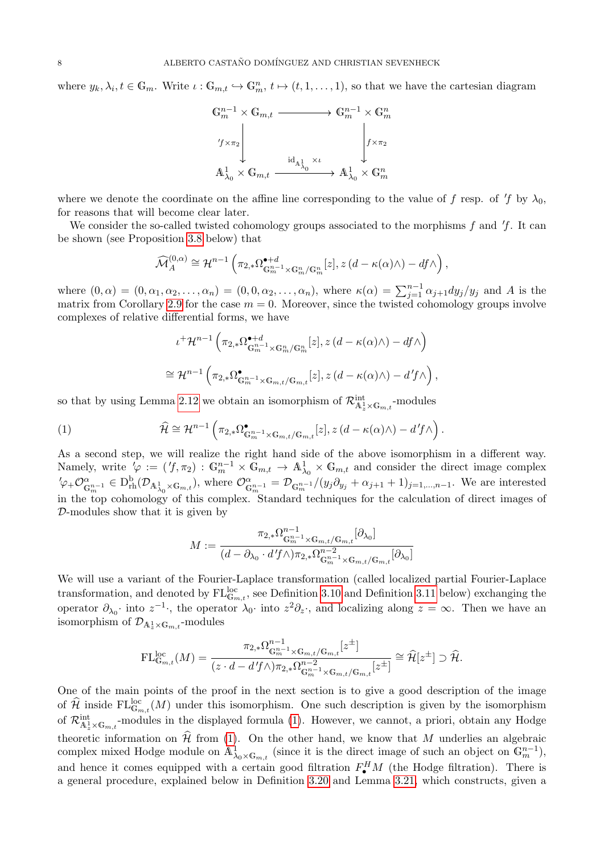where  $y_k, \lambda_i, t \in \mathbb{G}_m$ . Write  $\iota : \mathbb{G}_{m,t} \hookrightarrow \mathbb{G}_m^n$ ,  $t \mapsto (t, 1, \ldots, 1)$ , so that we have the cartesian diagram

$$
\begin{array}{ccc} \mathbb{G}_m^{n-1} \times \mathbb{G}_{m,t} & \xrightarrow{\qquad \qquad } \mathbb{G}_m^{n-1} \times \mathbb{G}_m^n \\\\ \left. \begin{array}{c} \text{if} \times \pi_2 \\ \text{if} \times \pi_2 \end{array} \right| & \text{if} \times \pi_2 \\ \mathbb{A}_{\lambda_0}^1 \times \mathbb{G}_{m,t} & \xrightarrow{\text{if} \lambda_0 \times \mathbb{G}_m^n} \mathbb{A}_{\lambda_0}^1 \times \mathbb{G}_m^n \end{array}
$$

where we denote the coordinate on the affine line corresponding to the value of f resp. of 'f by  $\lambda_0$ , for reasons that will become clear later.

We consider the so-called twisted cohomology groups associated to the morphisms f and  $f$ . It can be shown (see Proposition [3.8](#page-11-0) below) that

$$
\widehat{\mathcal{M}}_A^{(0,\alpha)} \cong \mathcal{H}^{n-1}\left(\pi_{2,*}\Omega_{\mathbb{G}_m^{n-1}\times\mathbb{G}_m^n/\mathbb{G}_m^n}^{*}[z], z\left(d-\kappa(\alpha)\wedge\right)-df\wedge\right),
$$

where  $(0, \alpha) = (0, \alpha_1, \alpha_2, \ldots, \alpha_n) = (0, 0, \alpha_2, \ldots, \alpha_n)$ , where  $\kappa(\alpha) = \sum_{j=1}^{n-1} \alpha_{j+1} dy_j/y_j$  and A is the matrix from Corollary [2.9](#page-4-0) for the case  $m = 0$ . Moreover, since the twisted cohomology groups involve complexes of relative differential forms, we have

<span id="page-7-0"></span>
$$
\iota^+\mathcal{H}^{n-1}\left(\pi_{2,*}\Omega^{\bullet+d}_{\mathbb{G}_m^{n-1}\times\mathbb{G}_m^n/\mathbb{G}_m^n}[z],z\left(d-\kappa(\alpha)\wedge\right)-df\wedge\right)
$$
  

$$
\cong\mathcal{H}^{n-1}\left(\pi_{2,*}\Omega^{\bullet}_{\mathbb{G}_m^{n-1}\times\mathbb{G}_{m,t}/\mathbb{G}_{m,t}}[z],z\left(d-\kappa(\alpha)\wedge\right)-d'f\wedge\right),
$$

so that by using Lemma [2.12](#page-5-0) we obtain an isomorphism of  $\mathcal{R}^{\text{int}}_{\mathbb{A}^1_z \times \mathbb{G}_{m,t}}$ -modules

(1) 
$$
\widehat{\mathcal{H}} \cong \mathcal{H}^{n-1}\left(\pi_{2,*}\Omega_{\mathbb{G}_m^{n-1}\times\mathbb{G}_m,t/\mathbb{G}_m,t}[z],z\left(d-\kappa(\alpha)\wedge\right)-d'f\wedge\right).
$$

As a second step, we will realize the right hand side of the above isomorphism in a different way. Namely, write  $\varphi := (f, \pi_2) : \mathbb{G}_m^{n-1} \times \bar{\mathbb{G}}_{m,t} \to \mathbb{A}_{\lambda_0}^1 \times \mathbb{G}_{m,t}$  and consider the direct image complex  $\mathcal{O}_{\mathbb{G}_m^{n-1}}^{\alpha} \in D^{\mathrm{b}}_{\mathrm{rh}}(\mathcal{D}_{\mathbb{A}^1_{\lambda_0} \times \mathbb{G}_{m,t}})$ , where  $\mathcal{O}_{\mathbb{G}_m^{n-1}}^{\alpha} = \mathcal{D}_{\mathbb{G}_m^{n-1}}/(y_j \partial_{y_j} + \alpha_{j+1} + 1)_{j=1,\dots,n-1}$ . We are interested in the top cohomology of this complex. Standard techniques for the calculation of direct images of D-modules show that it is given by

$$
M := \frac{\pi_{2,*}\Omega_{\mathbb{G}_m^{n-1}\times\mathbb{G}_{m,t}/\mathbb{G}_{m,t}}^{-1}[\partial_{\lambda_0}]}{(d-\partial_{\lambda_0}\cdot d'f \wedge)\pi_{2,*}\Omega_{\mathbb{G}_m^{n-1}\times\mathbb{G}_{m,t}/\mathbb{G}_{m,t}}^{-2}[\partial_{\lambda_0}]}
$$

We will use a variant of the Fourier-Laplace transformation (called localized partial Fourier-Laplace transformation, and denoted by  $FL_{\mathbb{G}_{m,t}}^{\text{loc}}$ , see Definition [3.10](#page-13-0) and Definition [3.11](#page-14-0) below) exchanging the operator  $\partial_{\lambda_0}$  into  $z^{-1}$ , the operator  $\lambda_0$  into  $z^2 \partial_z$ , and localizing along  $z = \infty$ . Then we have an isomorphism of  $\mathcal{D}_{{\mathbb A}^1_z \times {\mathbb G}_{m,t}}$ -modules

$$
\mathrm{FL}_{\mathbb{G}_{m,t}}^{\mathrm{loc}}(M)=\frac{\pi_{2,*}\Omega_{\mathbb{G}_m^{n-1}\times\mathbb{G}_{m,t}/\mathbb{G}_{m,t}}^{-1}[z^{\pm}]}{(z\cdot d-d'f\wedge)\pi_{2,*}\Omega_{\mathbb{G}_m^{n-1}\times\mathbb{G}_{m,t}/\mathbb{G}_{m,t}}^{-2}[z^{\pm}]}\cong\widehat{\mathcal{H}}[z^{\pm}]\supset\widehat{\mathcal{H}}.
$$

One of the main points of the proof in the next section is to give a good description of the image of  $\hat{\mathcal{H}}$  inside  $FL_{\mathbb{G}_{m,t}}^{\text{loc}}(M)$  under this isomorphism. One such description is given by the isomorphism of  $\mathcal{R}_{\mathbb{A}_z^1 \times \mathbb{G}_{m,t}}^{\text{int}}$ -modules in the displayed formula [\(1\)](#page-7-0). However, we cannot, a priori, obtain any Hodge theoretic information on  $\hat{\mathcal{H}}$  from [\(1\)](#page-7-0). On the other hand, we know that M underlies an algebraic complex mixed Hodge module on  $\mathbf{A}^1_{\lambda_0 \times \mathbb{G}_{m,t}}$  (since it is the direct image of such an object on  $\mathbb{G}_m^{n-1}$ ), and hence it comes equipped with a certain good filtration  $F^H_{\bullet}M$  (the Hodge filtration). There is a general procedure, explained below in Definition [3.20](#page-21-0) and Lemma [3.21,](#page-22-0) which constructs, given a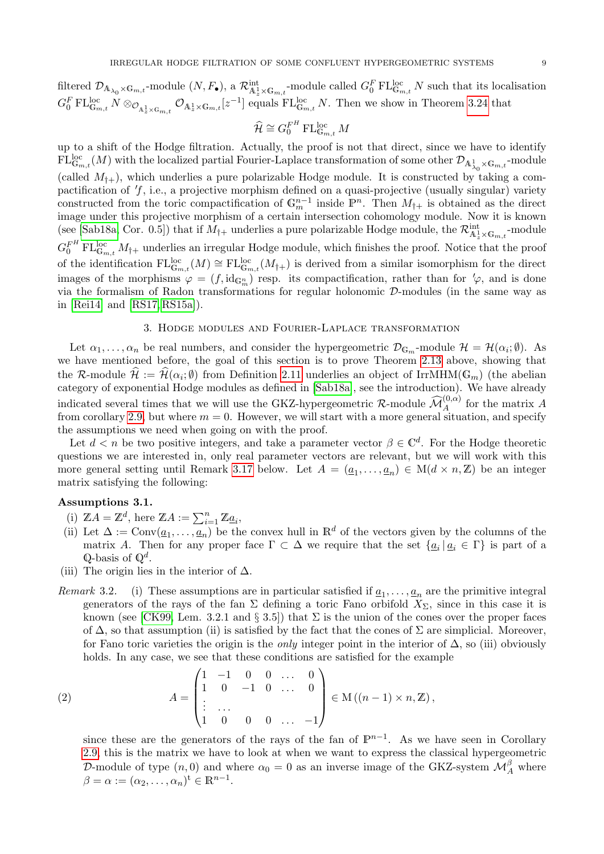filtered  $\mathcal{D}_{\mathbb{A}_{\lambda_0}\times\mathbb{G}_{m,t}}$ -module  $(N, F_{\bullet})$ , a  $\mathcal{R}^{\text{int}}_{\mathbb{A}^1_x\times\mathbb{G}_{m,t}}$ -module called  $G_0^F \text{FL}_{\mathbb{G}_{m,t}}^{\text{loc}} N$  such that its localisation  $G_0^F \text{FL}_{\mathbb{G}_{m,t}}^{\text{loc}} N \otimes_{\mathcal{O}_{\mathbb{A}_z^1 \times \mathbb{G}_{m,t}}} \mathcal{O}_{\mathbb{A}_z^1 \times \mathbb{G}_{m,t}}[z^{-1}]$  equals  $\text{FL}_{\mathbb{G}_{m,t}}^{\text{loc}} N$ . Then we show in Theorem [3.24](#page-24-0) that

$$
\widehat{\mathcal{H}} \cong G_0^{F^H} \operatorname{FL}_{\mathbb{G}_{m,t}}^{\mathrm{loc}} M
$$

up to a shift of the Hodge filtration. Actually, the proof is not that direct, since we have to identify  $\mathrm{FL}_{\mathbb{G}_{m,t}}^{\mathrm{loc}}(M)$  with the localized partial Fourier-Laplace transformation of some other  $\mathcal{D}_{\mathbb{A}^1_{\lambda_0}\times\mathbb{G}_{m,t}}$ -module (called  $M_{\dagger+}$ ), which underlies a pure polarizable Hodge module. It is constructed by taking a compactification of  $f$ , i.e., a projective morphism defined on a quasi-projective (usually singular) variety constructed from the toric compactification of  $\mathbb{G}_m^{n-1}$  inside  $\mathbb{P}^n$ . Then  $M_{\dagger+}$  is obtained as the direct image under this projective morphism of a certain intersection cohomology module. Now it is known (see [\[Sab18a,](#page-30-0) Cor. 0.5]) that if  $M_{\dagger+}$  underlies a pure polarizable Hodge module, the  $\mathcal{R}^{\text{int}}_{\mathbb{A}^1_z \times \mathbb{G}_{m,t}}$ -module  $G_0^{F^H} \text{FL}_{\mathbb{G}_{m,t}}^{\text{loc}} M_{\dagger+}$  underlies an irregular Hodge module, which finishes the proof. Notice that the proof of the identification  $FL_{\mathbb{G}_{m,t}}^{\text{loc}}(M) \cong FL_{\mathbb{G}_{m,t}}^{\text{loc}}(M_{\dagger+})$  is derived from a similar isomorphism for the direct images of the morphisms  $\varphi = (f, id_{\mathbb{G}_m^n})$  resp. its compactification, rather than for  $\varphi$ , and is done via the formalism of Radon transformations for regular holonomic D-modules (in the same way as in [\[Rei14\]](#page-30-10) and [\[RS17,](#page-30-12) [RS15a\]](#page-30-17)).

#### 3. Hodge modules and Fourier-Laplace transformation

Let  $\alpha_1, \ldots, \alpha_n$  be real numbers, and consider the hypergeometric  $\mathcal{D}_{\mathbb{G}_m}$ -module  $\mathcal{H} = \mathcal{H}(\alpha_i; \emptyset)$ . As we have mentioned before, the goal of this section is to prove Theorem [2.13](#page-6-0) above, showing that the R-module  $\hat{\mathcal{H}} := \hat{\mathcal{H}}(\alpha_i; \emptyset)$  from Definition [2.11](#page-5-1) underlies an object of IrrMHM( $\mathbb{G}_m$ ) (the abelian category of exponential Hodge modules as defined in [\[Sab18a\]](#page-30-0), see the introduction). We have already indicated several times that we will use the GKZ-hypergeometric  $\mathcal{R}$ -module  $\widehat{\mathcal{M}}_{A}^{(0,\alpha)}$  for the matrix A from corollary [2.9,](#page-4-0) but where  $m = 0$ . However, we will start with a more general situation, and specify the assumptions we need when going on with the proof.

Let  $d < n$  be two positive integers, and take a parameter vector  $\beta \in \mathbb{C}^d$ . For the Hodge theoretic questions we are interested in, only real parameter vectors are relevant, but we will work with this more general setting until Remark [3.17](#page-19-0) below. Let  $A = (\underline{a}_1, \ldots, \underline{a}_n) \in M(d \times n, \mathbb{Z})$  be an integer matrix satisfying the following:

## <span id="page-8-1"></span>Assumptions 3.1.

- (i)  $\mathbb{Z}A = \mathbb{Z}^d$ , here  $\mathbb{Z}A := \sum_{i=1}^n \mathbb{Z}_{\underline{a}_i}$ ,
- (ii) Let  $\Delta := \text{Conv}(\underline{a}_1, \ldots, \underline{a}_n)$  be the convex hull in  $\mathbb{R}^d$  of the vectors given by the columns of the matrix A. Then for any proper face  $\Gamma \subset \Delta$  we require that the set  $\{ \underline{a}_i \mid \underline{a}_i \in \Gamma \}$  is part of a  $\mathbb{Q}$ -basis of  $\mathbb{Q}^d$ .
- (iii) The origin lies in the interior of  $\Delta$ .
- Remark 3.2. (i) These assumptions are in particular satisfied if  $\underline{a}_1, \ldots, \underline{a}_n$  are the primitive integral generators of the rays of the fan  $\Sigma$  defining a toric Fano orbifold  $X_{\Sigma}$ , since in this case it is known (see [\[CK99,](#page-29-5) Lem. 3.2.1 and § 3.5]) that  $\Sigma$  is the union of the cones over the proper faces of  $\Delta$ , so that assumption (ii) is satisfied by the fact that the cones of  $\Sigma$  are simplicial. Moreover, for Fano toric varieties the origin is the *only* integer point in the interior of  $\Delta$ , so (iii) obviously holds. In any case, we see that these conditions are satisfied for the example

(2) 
$$
A = \begin{pmatrix} 1 & -1 & 0 & 0 & \dots & 0 \\ 1 & 0 & -1 & 0 & \dots & 0 \\ \vdots & \dots & \vdots & \ddots & \vdots \\ 1 & 0 & 0 & 0 & \dots & -1 \end{pmatrix} \in M((n-1) \times n, \mathbb{Z}),
$$

<span id="page-8-0"></span>since these are the generators of the rays of the fan of  $\mathbb{P}^{n-1}$ . As we have seen in Corollary [2.9,](#page-4-0) this is the matrix we have to look at when we want to express the classical hypergeometric D-module of type  $(n,0)$  and where  $\alpha_0=0$  as an inverse image of the GKZ-system  $\mathcal{M}_{A}^{\beta}$  where  $\beta = \alpha := (\alpha_2, \ldots, \alpha_n)^{\text{t}} \in \mathbb{R}^{n-1}.$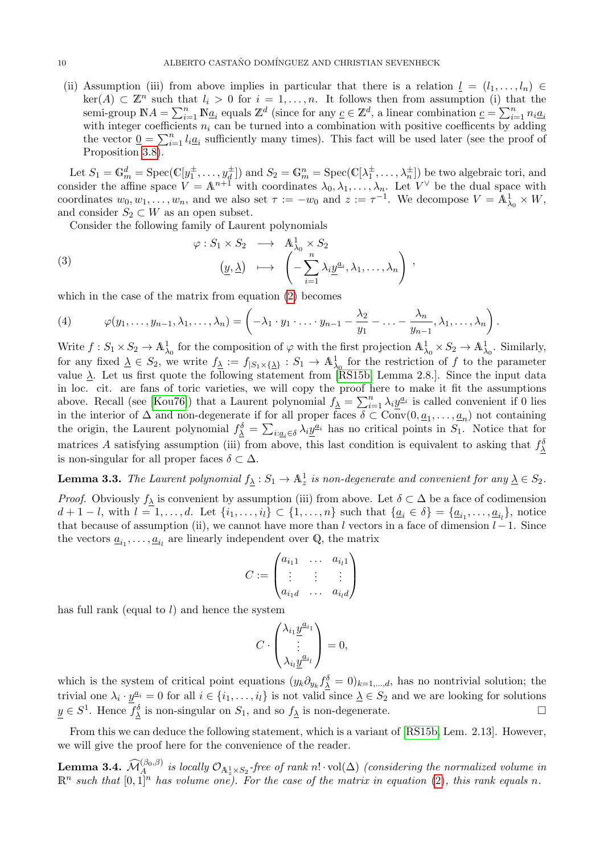(ii) Assumption (iii) from above implies in particular that there is a relation  $l = (l_1, \ldots, l_n) \in$  $\ker(A) \subset \mathbb{Z}^n$  such that  $l_i > 0$  for  $i = 1, \ldots, n$ . It follows then from assumption (i) that the semi-group  $\mathbb{N}A = \sum_{i=1}^n \mathbb{N}\underline{a}_i$  equals  $\mathbb{Z}^d$  (since for any  $\underline{c} \in \mathbb{Z}^d$ , a linear combination  $\underline{c} = \sum_{i=1}^n n_i\underline{a}_i$ with integer coefficients  $n_i$  can be turned into a combination with positive coefficents by adding the vector  $\underline{0} = \sum_{i=1}^n l_i \underline{a}_i$  sufficiently many times). This fact will be used later (see the proof of Proposition [3.8\)](#page-11-0).

Let  $S_1 = \mathbb{G}_m^d = \text{Spec}(\mathbb{C}[y_1^{\pm}, \dots, y_d^{\pm}])$  and  $S_2 = \mathbb{G}_m^n = \text{Spec}(\mathbb{C}[\lambda_1^{\pm}, \dots, \lambda_n^{\pm}])$  be two algebraic tori, and consider the affine space  $V = \mathbb{A}^{n+1}$  with coordinates  $\lambda_0, \lambda_1, \ldots, \lambda_n$ . Let  $V^{\vee}$  be the dual space with coordinates  $w_0, w_1, \ldots, w_n$ , and we also set  $\tau := -w_0$  and  $z := \tau^{-1}$ . We decompose  $V = \mathbb{A}^1_{\lambda_0} \times W$ , and consider  $S_2 \subset W$  as an open subset.

Consider the following family of Laurent polynomials

(3) 
$$
\varphi: S_1 \times S_2 \longrightarrow \mathbb{A}^1_{\lambda_0} \times S_2
$$

$$
(\underline{y}, \underline{\lambda}) \longrightarrow \left(-\sum_{i=1}^n \lambda_i \underline{y}^{a_i}, \lambda_1, \dots, \lambda_n\right),
$$

which in the case of the matrix from equation [\(2\)](#page-8-0) becomes

(4) 
$$
\varphi(y_1,\ldots,y_{n-1},\lambda_1,\ldots,\lambda_n)=\left(-\lambda_1\cdot y_1\cdot\ldots\cdot y_{n-1}-\frac{\lambda_2}{y_1}-\ldots-\frac{\lambda_n}{y_{n-1}},\lambda_1,\ldots,\lambda_n\right).
$$

Write  $f: S_1 \times S_2 \to \mathbb{A}^1_{\lambda_0}$  for the composition of  $\varphi$  with the first projection  $\mathbb{A}^1_{\lambda_0} \times S_2 \to \mathbb{A}^1_{\lambda_0}$ . Similarly, for any fixed  $\Delta \in S_2$ , we write  $f_{\Delta} := f_{|S_1 \times {\{\Delta\}}} : S_1 \to \mathbb{A}^1_{\lambda_0}$  for the restriction of f to the parameter value  $\Delta$ . Let us first quote the following statement from [\[RS15b,](#page-30-11) Lemma 2.8.]. Since the input data in loc. cit. are fans of toric varieties, we will copy the proof here to make it fit the assumptions above. Recall (see [\[Kou76\]](#page-30-25)) that a Laurent polynomial  $f_{\lambda} = \sum_{i=1}^{n} \lambda_i \underline{y}^{a_i}$  is called convenient if 0 lies in the interior of  $\Delta$  and non-degenerate if for all proper faces  $\delta \subset \text{Conv}(0, \underline{a}_1, \ldots, \underline{a}_n)$  not containing the origin, the Laurent polynomial  $f^{\delta}_{\underline{\lambda}} = \sum_{i: a_i \in \delta} \lambda_i \underline{y}^{a_i}$  has no critical points in  $S_1$ . Notice that for matrices A satisfying assumption (iii) from above, this last condition is equivalent to asking that  $f_{\lambda}^{\delta}$ is non-singular for all proper faces  $\delta \subset \Delta$ .

<span id="page-9-0"></span>**Lemma 3.3.** The Laurent polynomial  $f_{\lambda}: S_1 \to \mathbb{A}_z^1$  is non-degenerate and convenient for any  $\lambda \in S_2$ . *Proof.* Obviously  $f_{\underline{\lambda}}$  is convenient by assumption (iii) from above. Let  $\delta \subset \Delta$  be a face of codimension  $d+1-l$ , with  $l=1,\ldots,d$ . Let  $\{i_1,\ldots,i_l\} \subset \{1,\ldots,n\}$  such that  $\{\underline{a}_i \in \delta\} = \{\underline{a}_{i_1},\ldots,\underline{a}_{i_l}\}$ , notice that because of assumption (ii), we cannot have more than l vectors in a face of dimension  $l-1$ . Since the vectors  $\underline{a}_{i_1}, \ldots, \underline{a}_{i_l}$  are linearly independent over Q, the matrix

$$
C := \begin{pmatrix} a_{i_1 1} & \cdots & a_{i_l 1} \\ \vdots & \vdots & \vdots \\ a_{i_1 d} & \cdots & a_{i_l d} \end{pmatrix}
$$

has full rank (equal to  $l$ ) and hence the system

$$
C\cdot \begin{pmatrix} \lambda_{i_1}\underline{y}^{a_{i_1}} \\ \vdots \\ \lambda_{i_l}\underline{y}^{a_{i_l}} \end{pmatrix} = 0,
$$

which is the system of critical point equations  $(y_k \partial_{y_k} f_{\lambda}^{\delta} = 0)_{k=1,\dots,d}$ , has no nontrivial solution; the trivial one  $\lambda_i \cdot y^{a_i} = 0$  for all  $i \in \{i_1, \ldots, i_l\}$  is not valid since  $\underline{\lambda} \in S_2$  and we are looking for solutions  $\underline{y} \in S^1$ . Hence  $f_{\underline{\lambda}}^{\delta}$  is non-singular on  $S_1$ , and so  $f_{\underline{\lambda}}$  is non-degenerate.

From this we can deduce the following statement, which is a variant of [\[RS15b,](#page-30-11) Lem. 2.13]. However, we will give the proof here for the convenience of the reader.

**Lemma 3.4.**  $\widehat{\mathcal{M}}_{A}^{(\beta_0,\beta)}$  is locally  $\mathcal{O}_{A^1_x \times S_2}$ -free of rank n! · vol( $\Delta$ ) (considering the normalized volume in  $\mathbb{R}^n$  such that  $[0,1]^n$  has volume one). For the case of the matrix in equation [\(2\)](#page-8-0), this rank equals n.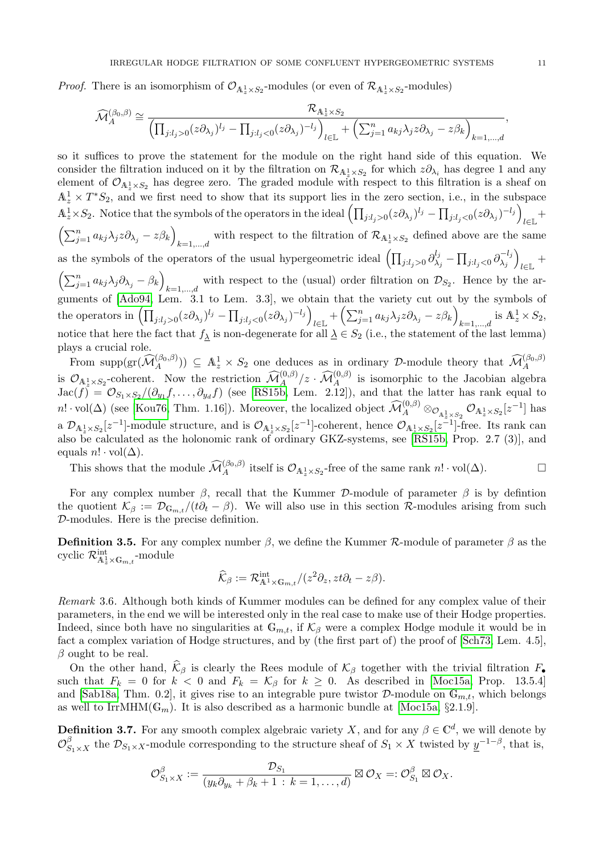*Proof.* There is an isomorphism of  $\mathcal{O}_{A_z^1 \times S_2}$ -modules (or even of  $\mathcal{R}_{A_z^1 \times S_2}$ -modules)

$$
\widehat{\mathcal{M}}_A^{(\beta_0,\beta)} \cong \frac{\mathcal{R}_{\mathbb{A}_z^1 \times S_2}}{\left(\prod_{j:l_j>0} (z \partial_{\lambda_j})^{l_j} - \prod_{j:l_j<0} (z \partial_{\lambda_j})^{-l_j}\right)_{l \in \mathbb{L}} + \left(\sum_{j=1}^n a_{kj} \lambda_j z \partial_{\lambda_j} - z \beta_k\right)_{k=1,\dots,d}},
$$

so it suffices to prove the statement for the module on the right hand side of this equation. We consider the filtration induced on it by the filtration on  $\mathcal{R}_{A_z^1 \times S_2}$  for which  $z \partial_{\lambda_i}$  has degree 1 and any element of  $\mathcal{O}_{A_z^1 \times S_2}$  has degree zero. The graded module with respect to this filtration is a sheaf on  $\mathbb{A}_z^1 \times T^*S_2$ , and we first need to show that its support lies in the zero section, i.e., in the subspace  $\mathbb{A}_z^1 \times S_2$ . Notice that the symbols of the operators in the ideal  $\left(\prod_{j:l_j>0}(z\partial_{\lambda_j})^{l_j} - \prod_{j:l_j<0}(z\partial_{\lambda_j})^{-l_j}\right)$  $\frac{1}{l \in \mathbb{L}}$  $\left(\sum_{j=1}^n a_{kj}\lambda_j z \partial_{\lambda_j} - z\beta_k\right)$ with respect to the filtration of  $\mathcal{R}_{A_z^1 \times S_2}$  defined above are the same as the symbols of the operators of the usual hypergeometric ideal  $\left(\prod_{j:l_j>0}\partial_{\lambda}^{l_j}\right)$  $\lambda_j^{l_j} - \prod_{j: l_j < 0} \partial_{\lambda_j}^{-l_j}$  $\lambda_j^{-l_j}\Big)$  $l\in\mathbb{L}$ <sup>+</sup>  $\left(\sum_{j=1}^n a_{kj}\lambda_j\partial_{\lambda_j}-\beta_k\right)$ with respect to the (usual) order filtration on  $\mathcal{D}_{S_2}$ . Hence by the arguments of [\[Ado94,](#page-29-6) Lem. 3.1 to Lem. 3.3], we obtain that the variety cut out by the symbols of the operators in  $\left(\prod_{j:l_j>0}(z\partial_{\lambda_j})^{l_j} - \prod_{j:l_j<0}(z\partial_{\lambda_j})^{-l_j}\right)$  $\mathcal{L}_{l\in\mathbb{L}} + \left( \sum_{j=1}^n a_{kj} \lambda_j z \partial_{\lambda_j} - z\beta_k \right)$  $_{k=1,\ldots,d}$  is  $\mathbb{A}_z^1 \times S_2$ , notice that here the fact that  $f_{\lambda}$  is non-degenerate for all  $\lambda \in S_2$  (i.e., the statement of the last lemma) plays a crucial role.

From supp $(\mathcal{M}_{A}^{(\beta_0,\beta)})) \subseteq \mathbb{A}_{z}^{1} \times S_2$  one deduces as in ordinary D-module theory that  $\widehat{\mathcal{M}}_{A}^{(\beta_0,\beta)}$ is  $\mathcal{O}_{\mathbb{A}^1_+ \times S_2}$ -coherent. Now the restriction  $\widehat{\mathcal{M}}^{(0,\beta)}_A/z \cdot \widehat{\mathcal{M}}^{(0,\beta)}_A$  is isomorphic to the Jacobian algebra  $Jac(f) = \mathcal{O}_{S_1\times S_2}/(\partial_{y_1}f,\ldots,\partial_{y_d}f)$  (see [\[RS15b,](#page-30-11) Lem. 2.12]), and that the latter has rank equal to  $n! \cdot \text{vol}(\Delta)$  (see [\[Kou76,](#page-30-25) Thm. 1.16]). Moreover, the localized object  $\widehat{\mathcal{M}}^{(0,\beta)}_A \otimes_{\mathcal{O}_{\mathbb{A}^1_\mathbb{Z} \times S_2}} \mathcal{O}_{\mathbb{A}^1_\mathbb{Z} \times S_2}[z^{-1}]$  has a  $\mathcal{D}_{\mathbb{A}_z^1\times S_2}[z^{-1}]$ -module structure, and is  $\mathcal{O}_{\mathbb{A}_z^1\times S_2}[z^{-1}]$ -coherent, hence  $\mathcal{O}_{\mathbb{A}_z^1\times S_2}[z^{-1}]$ -free. Its rank can also be calculated as the holonomic rank of ordinary GKZ-systems, see [\[RS15b,](#page-30-11) Prop. 2.7 (3)], and equals  $n! \cdot \text{vol}(\Delta)$ .

This shows that the module  $\widehat{\mathcal{M}}_A^{(\beta_0,\beta)}$  itself is  $\mathcal{O}_{A^1_\star \times S_2}$ -free of the same rank  $n! \cdot \text{vol}(\Delta)$ .

For any complex number  $\beta$ , recall that the Kummer D-module of parameter  $\beta$  is by defintion the quotient  $\mathcal{K}_{\beta} := \mathcal{D}_{\mathbb{G}_{m,t}}/(t\partial_t - \beta)$ . We will also use in this section R-modules arising from such D-modules. Here is the precise definition.

**Definition 3.5.** For any complex number  $\beta$ , we define the Kummer  $\mathcal{R}$ -module of parameter  $\beta$  as the cyclic  $\mathcal{R}^{\rm int}_{\mathbb{A}^1_z \times \mathbb{G}_{m,t}}$ -module

$$
\widehat{\mathcal{K}}_{\beta} := \mathcal{R}_{\mathbb{A}^1 \times \mathbb{G}_{m,t}}^{\text{int}} / (z^2 \partial_z, z t \partial_t - z \beta).
$$

<span id="page-10-1"></span>Remark 3.6. Although both kinds of Kummer modules can be defined for any complex value of their parameters, in the end we will be interested only in the real case to make use of their Hodge properties. Indeed, since both have no singularities at  $\mathbb{G}_{m,t}$ , if  $\mathcal{K}_{\beta}$  were a complex Hodge module it would be in fact a complex variation of Hodge structures, and by (the first part of) the proof of [\[Sch73,](#page-30-26) Lem. 4.5],  $\beta$  ought to be real.

On the other hand,  $\hat{\mathcal{K}}_{\beta}$  is clearly the Rees module of  $\mathcal{K}_{\beta}$  together with the trivial filtration  $F_{\bullet}$ such that  $F_k = 0$  for  $k < 0$  and  $F_k = \mathcal{K}_{\beta}$  for  $k \geq 0$ . As described in [\[Moc15a,](#page-30-1) Prop. 13.5.4] and [\[Sab18a,](#page-30-0) Thm. 0.2], it gives rise to an integrable pure twistor  $D$ -module on  $\mathbb{G}_{m,t}$ , which belongs as well to IrrMHM( $\mathbb{G}_m$ ). It is also described as a harmonic bundle at [\[Moc15a,](#page-30-1) §2.1.9].

<span id="page-10-0"></span>**Definition 3.7.** For any smooth complex algebraic variety X, and for any  $\beta \in \mathbb{C}^d$ , we will denote by  $\mathcal{O}_{S_1\times X}^{\beta}$  the  $\mathcal{D}_{S_1\times X}$ -module corresponding to the structure sheaf of  $S_1\times X$  twisted by  $\underline{y}^{-1-\beta}$ , that is,

$$
\mathcal{O}_{S_1\times X}^{\beta}:=\frac{\mathcal{D}_{S_1}}{(y_k\partial_{y_k}+\beta_k+1\,:\,k=1,\ldots,d)}\boxtimes\mathcal{O}_X=:\mathcal{O}_{S_1}^{\beta}\boxtimes\mathcal{O}_X.
$$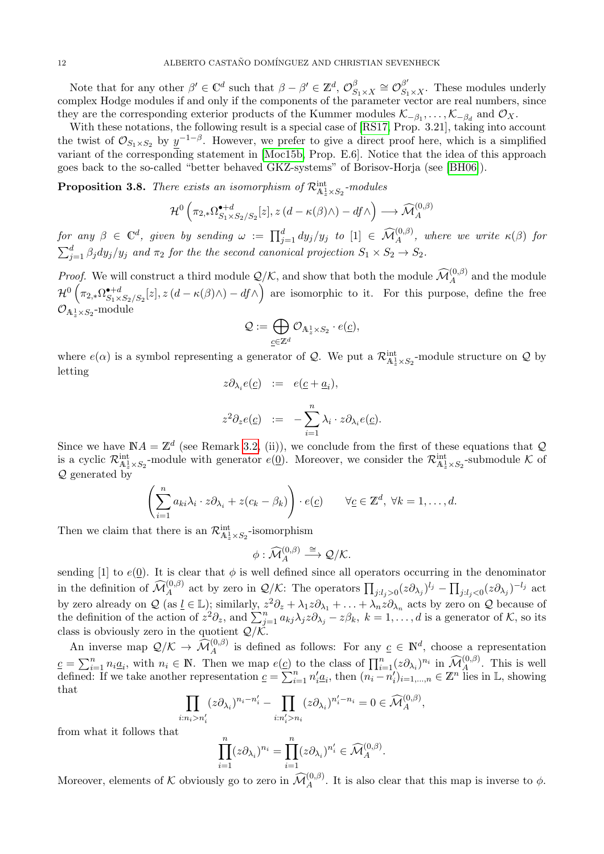Note that for any other  $\beta' \in \mathbb{C}^d$  such that  $\beta - \beta' \in \mathbb{Z}^d$ ,  $\mathcal{O}_S^{\beta}$  $S_{1\times X} \cong \mathcal{O}_{S_1\times X}^{\beta'}$ . These modules underly complex Hodge modules if and only if the components of the parameter vector are real numbers, since they are the corresponding exterior products of the Kummer modules  $\mathcal{K}_{-\beta_1}, \ldots, \mathcal{K}_{-\beta_d}$  and  $\mathcal{O}_X$ .

With these notations, the following result is a special case of [\[RS17,](#page-30-12) Prop. 3.21], taking into account the twist of  $\mathcal{O}_{S_1\times S_2}$  by  $y^{-1-\beta}$ . However, we prefer to give a direct proof here, which is a simplified variant of the corresponding statement in [\[Moc15b,](#page-30-27) Prop. E.6]. Notice that the idea of this approach goes back to the so-called "better behaved GKZ-systems" of Borisov-Horja (see [\[BH06\]](#page-29-7)).

<span id="page-11-0"></span>**Proposition 3.8.** There exists an isomorphism of  $\mathcal{R}^{\text{int}}_{\mathbb{A}^1_z \times S_2}$ -modules

$$
\mathcal{H}^0\left(\pi_{2,*}\Omega^{\bullet+d}_{S_1\times S_2/S_2}[z],z\left(d-\kappa(\beta)\wedge\right)-df\wedge\right)\longrightarrow\widehat{\mathcal{M}}_A^{(0,\beta)}
$$

 $\begin{array}{rclclcl} \textit{for any $\beta\in\mathbb{C}^d$, given by sending $\omega := \prod_{j=1}^d dy_j/y_j$ to $[1]\in\widehat{\mathcal{M}}_A^{(0,\beta)},$ where we write $\kappa(\beta)$ for $f$ is a finite number of times.} \end{array}$  $\sum_{j=1}^{d} \beta_j dy_j/y_j$  and  $\pi_2$  for the the second canonical projection  $S_1 \times S_2 \rightarrow S_2$ .

*Proof.* We will construct a third module  $\mathcal{Q}/\mathcal{K}$ , and show that both the module  $\widehat{\mathcal{M}}_{A}^{(0,\beta)}$  and the module  $\mathcal{H}^{0}\left( \pi_{2,\ast}\Omega_{S_{1}\times}^{\bullet+d}\right)$  $\mathcal{S}_1 \star \mathcal{S}_2$   $[\mathbf{z}], \mathbf{z}$   $(d - \kappa(\beta) \wedge) - df \wedge$  are isomorphic to it. For this purpose, define the free  $\mathcal{O}_{{\mathbb A}^1_z \times S_2}$ -module

$$
\mathcal{Q}:=\bigoplus_{\underline{c}\in\mathbb{Z}^d}\mathcal{O}_{\mathbb{A}^1_z\times S_2}\cdot e(\underline{c}),
$$

where  $e(\alpha)$  is a symbol representing a generator of Q. We put a  $\mathcal{R}_{\mathbb{A}^1_z \times S_2}^{\text{int}}$ -module structure on Q by letting

$$
z\partial_{\lambda_i}e(\underline{c}) \quad := \quad e(\underline{c} + \underline{a}_i),
$$

$$
z^2 \partial_z e(\underline{c}) \quad := \quad -\sum_{i=1}^n \lambda_i \cdot z \partial_{\lambda_i} e(\underline{c}).
$$

Since we have  $\mathbb{N}A = \mathbb{Z}^d$  (see Remark [3.2,](#page-0-0) (ii)), we conclude from the first of these equations that Q is a cyclic  $\mathcal{R}_{\mathbb{A}_z^1 \times S_2}^{\text{int}}$ -module with generator  $e(\underline{0})$ . Moreover, we consider the  $\mathcal{R}_{\mathbb{A}_z^1 \times S_2}^{\text{int}}$ -submodule K of  $\mathcal{Q}$  generated by

$$
\left(\sum_{i=1}^n a_{ki}\lambda_i \cdot z\partial_{\lambda_i} + z(c_k - \beta_k)\right) \cdot e(\underline{c}) \qquad \forall \underline{c} \in \mathbb{Z}^d, \ \forall k = 1, \dots, d.
$$

Then we claim that there is an  $\mathcal{R}^{\text{int}}_{\mathbb{A}^1_z \times S_2}$ -isomorphism

$$
\phi: \widehat{\mathcal{M}}_A^{(0,\beta)} \stackrel{\cong}{\longrightarrow} \mathcal{Q}/\mathcal{K}.
$$

sending [1] to  $e(0)$ . It is clear that  $\phi$  is well defined since all operators occurring in the denominator in the definition of  $\widehat{\mathcal{M}}_{A}^{(0,\beta)}$  act by zero in  $\mathcal{Q}/\mathcal{K}$ : The operators  $\prod_{j:l_j>0}(z\partial_{\lambda_j})^{l_j}-\prod_{j:l_j<0}(z\partial_{\lambda_j})^{-l_j}$  act by zero already on  $\mathcal{Q}$  (as  $\underline{l} \in \mathbb{L}$ ); similarly,  $z^2 \partial_z + \lambda_1 z \partial_{\lambda_1} + \ldots + \lambda_n z \partial_{\lambda_n}$  acts by zero on  $\mathcal{Q}$  because of the definition of the action of  $z^2 \partial_z$ , and  $\sum_{j=1}^n a_{kj} \lambda_j z \partial_{\lambda_j} - z \beta_k$ ,  $k = 1, \ldots, d$  is a generator of K, so its class is obviously zero in the quotient  $\mathcal{Q}/\mathcal{K}$ .

An inverse map  $\mathcal{Q}/\mathcal{K} \to \widehat{\mathcal{M}}_{A}^{(0,\beta)}$  is defined as follows: For any  $c \in \mathbb{N}^d$ , choose a representation A  $c = \sum_{i=1}^n n_i a_i$ , with  $n_i \in \mathbb{N}$ . Then we map  $e(c)$  to the class of  $\prod_{i=1}^n (z \partial_{\lambda_i})^{n_i}$  in  $\widehat{\mathcal{M}}_A^{(0,\beta)}$ . This is well defined: If we take another representation  $c = \sum_{i=1}^{n} n'_i a_i$ , then  $(n_i - n'_i)_{i=1,\dots,n} \in \mathbb{Z}^n$  lies in L, showing that

$$
\prod_{i:n_i>n_i'}(z\partial_{\lambda_i})^{n_i-n_i'} - \prod_{i:n_i'>n_i}(z\partial_{\lambda_i})^{n_i'-n_i} = 0 \in \widehat{\mathcal{M}}_A^{(0,\beta)},
$$

from what it follows that

$$
\prod_{i=1}^n (z\partial_{\lambda_i})^{n_i} = \prod_{i=1}^n (z\partial_{\lambda_i})^{n_i'} \in \widehat{\mathcal{M}}_A^{(0,\beta)}.
$$

Moreover, elements of K obviously go to zero in  $\widehat{\mathcal{M}}_{A}^{(0,\beta)}$ . It is also clear that this map is inverse to  $\phi$ .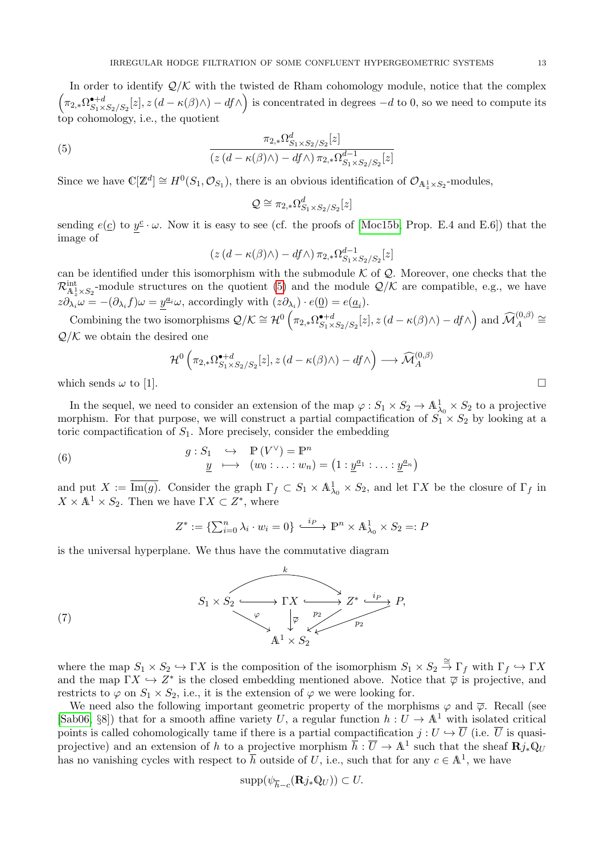In order to identify  $\mathcal{Q}/\mathcal{K}$  with the twisted de Rham cohomology module, notice that the complex  $\Big(\pi_{2,*}\Omega^{\bullet+d}_{S_1\times}$  $\mathbf{S}_1 \star S_2 / S_2[z], z(d - \kappa(\beta) \wedge) - df \wedge$  is concentrated in degrees  $-d$  to 0, so we need to compute its top cohomology, i.e., the quotient

(5) 
$$
\frac{\pi_{2,*}\Omega_{S_1\times S_2/S_2}^d[z]}{(z(d-\kappa(\beta)\wedge)-df\wedge)\pi_{2,*}\Omega_{S_1\times S_2/S_2}^{d-1}[z]}
$$

Since we have  $\mathbb{C}[\mathbb{Z}^d] \cong H^0(S_1, \mathcal{O}_{S_1})$ , there is an obvious identification of  $\mathcal{O}_{A^1_\star \times S_2}$ -modules,

<span id="page-12-0"></span>
$$
\mathcal{Q}\cong\pi_{2,*}\Omega^d_{S_1\times S_2/S_2}[z]
$$

sending  $e(\underline{c})$  to  $y^{\underline{c}} \cdot \omega$ . Now it is easy to see (cf. the proofs of [\[Moc15b,](#page-30-27) Prop. E.4 and E.6]) that the image of

$$
(z (d - \kappa(\beta) \wedge) - df \wedge) \pi_{2,*} \Omega_{S_1 \times S_2 / S_2}^{d-1}[z]
$$

can be identified under this isomorphism with the submodule  $K$  of  $\mathcal Q$ . Moreover, one checks that the  $\mathcal{R}_{\mathbb{A}^1\times S_2}^{\text{int}}$ -module structures on the quotient [\(5\)](#page-12-0) and the module  $\mathcal{Q}/\mathcal{K}$  are compatible, e.g., we have  $\frac{1}{z} \times S_2$  $z\partial_{\lambda_i}\omega = -(\partial_{\lambda_i}f)\omega = \underline{y}^{a_i}\omega$ , accordingly with  $(z\partial_{\lambda_i}) \cdot e(\underline{0}) = e(\underline{a}_i)$ .

Combining the two isomorphisms  $\mathcal{Q}/\mathcal{K} \cong \mathcal{H}^0\left(\pi_{2,*}\Omega^{*+d}_{S_1} \right)$  $\mathcal{S}_1 \times \mathcal{S}_2/\mathcal{S}_2[z], z(d - \kappa(\beta) \wedge) - df \wedge \right)$  and  $\widehat{\mathcal{M}}_A^{(0, \beta)} \cong$  $\mathcal{Q}/\mathcal{K}$  we obtain the desired one

$$
\mathcal{H}^0\left(\pi_{2,*}\Omega^{•+d}_{S_1\times S_2/S_2}[z],z\left(d-\kappa(\beta)\wedge\right)-df\wedge\right)\longrightarrow \widehat{\mathcal{M}}_A^{(0,\beta)}
$$

which sends  $\omega$  to [1].

In the sequel, we need to consider an extension of the map  $\varphi: S_1 \times S_2 \to \mathbb{A}^1_{\lambda_0} \times S_2$  to a projective morphism. For that purpose, we will construct a partial compactification of  $S_1 \times S_2$  by looking at a toric compactification of  $S_1$ . More precisely, consider the embedding

(6) 
$$
g: S_1 \hookrightarrow \mathbb{P}(V^{\vee}) = \mathbb{P}^n
$$

$$
\underline{y} \longmapsto (w_0: \dots: w_n) = (1: \underline{y}^{\underline{a}_1}: \dots: \underline{y}^{\underline{a}_n})
$$

and put  $X := \overline{\text{Im}(g)}$ . Consider the graph  $\Gamma_f \subset S_1 \times \mathbb{A}^1_{\lambda_0} \times S_2$ , and let  $\Gamma X$  be the closure of  $\Gamma_f$  in  $X \times \mathbb{A}^1 \times S_2$ . Then we have  $\Gamma X \subset Z^*$ , where

<span id="page-12-2"></span><span id="page-12-1"></span>
$$
Z^* := \{ \sum_{i=0}^n \lambda_i \cdot w_i = 0 \} \xrightarrow{\cdot i_P} \mathbb{P}^n \times \mathbb{A}^1_{\lambda_0} \times S_2 =: P
$$

is the universal hyperplane. We thus have the commutative diagram



where the map  $S_1 \times S_2 \hookrightarrow \Gamma X$  is the composition of the isomorphism  $S_1 \times S_2 \stackrel{\cong}{\to} \Gamma_f$  with  $\Gamma_f \hookrightarrow \Gamma X$ and the map  $\Gamma X \hookrightarrow Z^*$  is the closed embedding mentioned above. Notice that  $\overline{\varphi}$  is projective, and restricts to  $\varphi$  on  $S_1 \times S_2$ , i.e., it is the extension of  $\varphi$  we were looking for.

We need also the following important geometric property of the morphisms  $\varphi$  and  $\overline{\varphi}$ . Recall (see [\[Sab06,](#page-30-28) §8]) that for a smooth affine variety U, a regular function  $h: U \to \mathbb{A}^1$  with isolated critical points is called cohomologically tame if there is a partial compactification  $j: U \hookrightarrow \overline{U}$  (i.e.  $\overline{U}$  is quasiprojective) and an extension of h to a projective morphism  $\bar{h}: \overline{U} \to \mathbb{A}^1$  such that the sheaf  $\mathbb{R}j_*\mathbb{Q}_U$ has no vanishing cycles with respect to  $\overline{h}$  outside of U, i.e., such that for any  $c \in \mathbb{A}^1$ , we have

$$
\mathrm{supp}(\psi_{\overline{h}-c}(\mathbf{R}j_*\mathbb{Q}_U))\subset U.
$$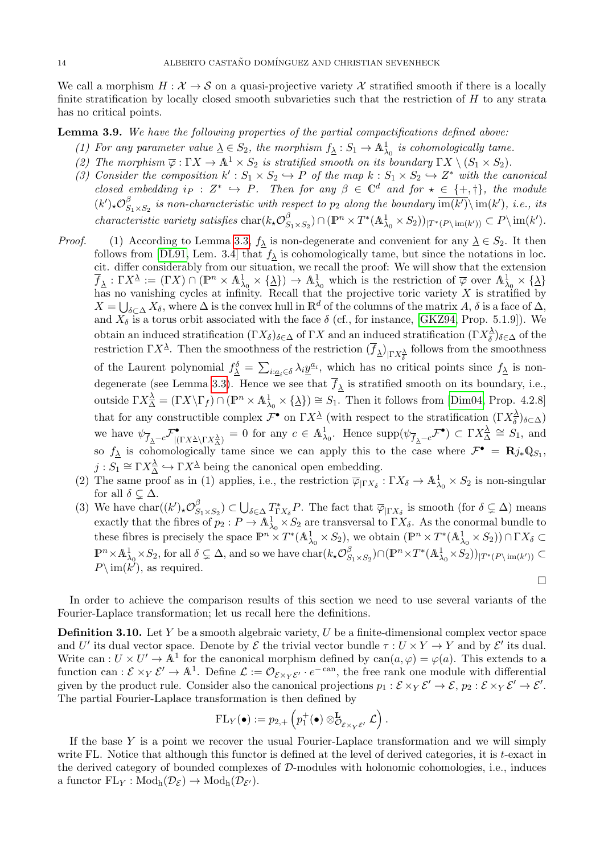We call a morphism  $H : \mathcal{X} \to \mathcal{S}$  on a quasi-projective variety X stratified smooth if there is a locally finite stratification by locally closed smooth subvarieties such that the restriction of  $H$  to any strata has no critical points.

<span id="page-13-1"></span>Lemma 3.9. We have the following properties of the partial compactifications defined above:

- (1) For any parameter value  $\underline{\lambda} \in S_2$ , the morphism  $f_{\underline{\lambda}} : S_1 \to \mathbb{A}^1_{\lambda_0}$  is cohomologically tame.
- (2) The morphism  $\overline{\varphi}: \Gamma X \to \mathbb{A}^1 \times S_2$  is stratified smooth on its boundary  $\Gamma X \setminus (S_1 \times S_2)$ .
- (3) Consider the composition  $k': S_1 \times S_2 \hookrightarrow P$  of the map  $k: S_1 \times S_2 \hookrightarrow Z^*$  with the canonical closed embedding  $i_P : Z^* \hookrightarrow P$ . Then for any  $\beta \in \mathbb{C}^d$  and for  $\star \in \{+, \dagger\}$ , the module  $(k')_{*}\mathcal{O}_{S}^{\beta}$  $S_{1\times S_2}$  is non-characteristic with respect to  $p_2$  along the boundary  $\overline{\text{im}(k')}\setminus \text{im}(k')$ , i.e., its *characteristic variety satisfies* char $(k_{\star}\mathcal{O}_{S}^{\beta})$  $(S_1 \times S_2) \cap (\mathbb{P}^n \times T^*(\mathbb{A}^1_{\lambda_0} \times S_2))_{|T^*(P \setminus \text{im}(k'))} \subset P \setminus \text{im}(k').$
- *Proof.* (1) According to Lemma [3.3,](#page-9-0)  $f_{\lambda}$  is non-degenerate and convenient for any  $\lambda \in S_2$ . It then follows from [\[DL91,](#page-29-8) Lem. 3.4] that  $f_{\lambda}$  is cohomologically tame, but since the notations in loc. cit. differ considerably from our situation, we recall the proof: We will show that the extension  $\overline{f}_{\underline{\lambda}} : \Gamma X^{\underline{\lambda}} := (\Gamma X) \cap (\mathbb{P}^n \times \mathbb{A}^1_{\lambda_0} \times {\underline{\lambda}}) \to \mathbb{A}^1_{\lambda_0}$  which is the restriction of  $\overline{\varphi}$  over  $\mathbb{A}^1_{\lambda_0} \times {\underline{\lambda}}$ has no vanishing cycles at infinity. Recall that the projective toric variety  $X$  is stratified by  $X = \bigcup_{\delta \subset \Delta} X_{\delta}$ , where  $\Delta$  is the convex hull in  $\mathbb{R}^d$  of the columns of the matrix  $A$ ,  $\delta$  is a face of  $\Delta$ , and  $X_{\delta}$  is a torus orbit associated with the face  $\delta$  (cf., for instance, [\[GKZ94,](#page-30-29) Prop. 5.1.9]). We obtain an induced stratification  $(\Gamma X_{\delta})_{\delta \in \Delta}$  of  $\Gamma X$  and an induced stratification  $(\Gamma X_{\delta}^{\Delta})$  $(\frac{\Delta}{\delta})_{\delta \in \Delta}$  of the restriction  $\Gamma X^{\underline{\lambda}}$ . Then the smoothness of the restriction  $(\overline{f}_{\underline{\lambda}})_{|\Gamma X^{\underline{\lambda}}_{\delta}}$  follows from the smoothness of the Laurent polynomial  $f^{\delta}_{\underline{\lambda}} = \sum_{i: \underline{a}_i \in \delta} \lambda_i \underline{y}^{\underline{a}_i}$ , which has no critical points since  $f_{\underline{\lambda}}$  is non-degenerate (see Lemma [3.3\)](#page-9-0). Hence we see that  $f_{\lambda}$  is stratified smooth on its boundary, i.e., outside  $\Gamma X^{\underline{\lambda}}_{\Delta} = (\Gamma X \backslash \Gamma_f) \cap (\mathbb{P}^n \times \mathbb{A}^1_{\lambda_0} \times {\{\underline{\lambda}\}}) \cong S_1$ . Then it follows from [\[Dim04,](#page-29-9) Prop. 4.2.8] that for any constructible complex  $\mathcal{F}^{\bullet}$  on  $\Gamma X^{\underline{\lambda}}$  (with respect to the stratification  $(\Gamma X^{\underline{\lambda}}_{\delta})$  $(\frac{\Delta}{\delta})_{\delta \subset \Delta})$ we have  $\psi_{\overline{f}_\Delta - c} \mathcal{F}_{\vert (}^{\bullet}$  $\sum_{|\Gamma X^{\underline{\lambda}}\setminus \Gamma X^{\underline{\lambda}}_{\underline{\lambda}}}\n= 0$  for any  $c \in \mathbb{A}^1_{\lambda_0}$ . Hence  $\text{supp}(\psi_{\overline{f}_{\underline{\lambda}}-c}\mathcal{F}^{\bullet}) \subset \Gamma X^{\underline{\lambda}}_{\underline{\lambda}}$  $\frac{\lambda}{\Delta} \cong S_1$ , and so  $f_{\lambda}$  is cohomologically tame since we can apply this to the case where  $\mathcal{F}^{\bullet} = \mathbf{R} j_* \mathbb{Q}_{S_1}$ ,  $j: S_1 \cong \Gamma X_{\Delta}^{\underline{\lambda}} \hookrightarrow \Gamma X^{\underline{\lambda}}$  being the canonical open embedding.
	- (2) The same proof as in (1) applies, i.e., the restriction  $\overline{\varphi}_{| \Gamma X_{\delta}} : \Gamma X_{\delta} \to \mathbb{A}^1_{\lambda_0} \times S_2$  is non-singular for all  $\delta \subsetneq \Delta$ .
	- (3) We have  $char((k')_{*}\mathcal{O}_{S}^{\beta})$  $S_{S_1\times S_2}(\beta) \subset \bigcup_{\delta \in \Delta} T^*_{\Gamma X_{\delta}} P$ . The fact that  $\overline{\varphi}_{|\Gamma X_{\delta}}$  is smooth (for  $\delta \subsetneq \Delta$ ) means exactly that the fibres of  $p_2: P \to \mathbb{A}^1_{\lambda_0} \times S_2$  are transversal to  $\Gamma X_{\delta}$ . As the conormal bundle to these fibres is precisely the space  $\mathbb{P}^n \times T^*(\mathbb{A}^1_{\lambda_0} \times S_2)$ , we obtain  $(\mathbb{P}^n \times T^*(\mathbb{A}^1_{\lambda_0} \times S_2)) \cap \Gamma X_{\delta} \subset$  $\mathbb{P}^n \times \mathbb{A}^1_{\lambda_0} \times S_2$ , for all  $\delta \subsetneq \Delta$ , and so we have char $(k_{\star} \mathcal{O}_S^{\beta})$  $(S_1 \times S_2) \cap (\mathbb{P}^n \times T^*(\mathbb{A}^1_{\lambda_0} \times S_2))_{|T^*(P\setminus \text{im}(k'))}$  ⊂  $P\setminus \mathrm{im}(\widetilde{k'})$ , as required.  $\Box$

In order to achieve the comparison results of this section we need to use several variants of the Fourier-Laplace transformation; let us recall here the definitions.

<span id="page-13-0"></span>**Definition 3.10.** Let Y be a smooth algebraic variety,  $U$  be a finite-dimensional complex vector space and U' its dual vector space. Denote by  $\mathcal E$  the trivial vector bundle  $\tau: U \times Y \to Y$  and by  $\mathcal E'$  its dual. Write can :  $U \times U' \to \mathbb{A}^1$  for the canonical morphism defined by  $can(a, \varphi) = \varphi(a)$ . This extends to a function can :  $\mathcal{E} \times_Y \mathcal{E}' \to \mathbb{A}^1$ . Define  $\mathcal{L} := \mathcal{O}_{\mathcal{E} \times_Y \mathcal{E}'} \cdot e^{-\text{can}}$ , the free rank one module with differential given by the product rule. Consider also the canonical projections  $p_1 : \mathcal{E} \times_Y \mathcal{E}' \to \mathcal{E}, p_2 : \mathcal{E} \times_Y \mathcal{E}' \to \mathcal{E}'.$ The partial Fourier-Laplace transformation is then defined by

$$
\mathrm{FL}_Y(\bullet) := p_{2,+}\left(p_1^+(\bullet) \otimes_{\mathcal{O}_{\mathcal{E} \times_Y \mathcal{E}'}}^{\mathbf{L}} \mathcal{L}\right).
$$

If the base Y is a point we recover the usual Fourier-Laplace transformation and we will simply write FL. Notice that although this functor is defined at the level of derived categories, it is t-exact in the derived category of bounded complexes of  $D$ -modules with holonomic cohomologies, i.e., induces a functor  $FL_Y: Mod_h(\mathcal{D}_{\mathcal{E}}) \to Mod_h(\mathcal{D}_{\mathcal{E}'}).$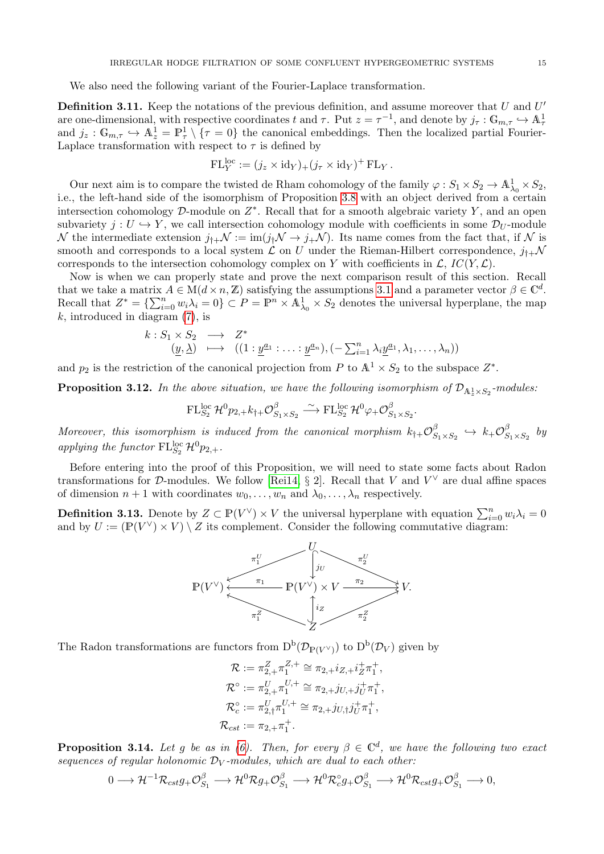We also need the following variant of the Fourier-Laplace transformation.

<span id="page-14-0"></span>**Definition 3.11.** Keep the notations of the previous definition, and assume moreover that U and  $U'$ are one-dimensional, with respective coordinates t and  $\tau$ . Put  $z = \tau^{-1}$ , and denote by  $j_{\tau} : \mathbb{G}_{m,\tau} \hookrightarrow \mathbb{A}^1_{\tau}$ <br>and  $j_z : \mathbb{G}_{m,\tau} \hookrightarrow \mathbb{A}^1_z = \mathbb{P}^1_{\tau} \setminus {\tau = 0}$  the canonical embeddings. Then the localize Laplace transformation with respect to  $\tau$  is defined by

$$
\mathrm{FL}_Y^{\mathrm{loc}} := (j_z \times \mathrm{id}_Y)_+ (j_\tau \times \mathrm{id}_Y)^+ \mathrm{FL}_Y.
$$

Our next aim is to compare the twisted de Rham cohomology of the family  $\varphi: S_1 \times S_2 \to \mathbb{A}^1_{\lambda_0} \times S_2$ , i.e., the left-hand side of the isomorphism of Proposition [3.8](#page-11-0) with an object derived from a certain intersection cohomology  $D$ -module on  $Z^*$ . Recall that for a smooth algebraic variety Y, and an open subvariety  $j: U \hookrightarrow Y$ , we call intersection cohomology module with coefficients in some  $\mathcal{D}_U$ -module N the intermediate extension  $j_{\dagger+} \mathcal{N} := \text{im}(j_{\dagger} \mathcal{N} \to j_{+} \mathcal{N})$ . Its name comes from the fact that, if N is smooth and corresponds to a local system  $\mathcal L$  on U under the Rieman-Hilbert correspondence,  $j_{\dagger+\mathcal{N}}$ corresponds to the intersection cohomology complex on Y with coefficients in  $\mathcal{L}$ ,  $IC(Y, \mathcal{L})$ .

Now is when we can properly state and prove the next comparison result of this section. Recall that we take a matrix  $A \in M(d \times n, \mathbb{Z})$  satisfying the assumptions [3.1](#page-8-1) and a parameter vector  $\beta \in \mathbb{C}^d$ . Recall that  $Z^* = \{\sum_{i=0}^n w_i \lambda_i = 0\} \subset P = \mathbb{P}^n \times \mathbb{A}^1_{\lambda_0} \times S_2$  denotes the universal hyperplane, the map  $k$ , introduced in diagram  $(7)$ , is

$$
k: S_1 \times S_2 \longrightarrow Z^* \n\underline{(y, \lambda)} \longmapsto ((1: \underline{y}^{a_1} : \dots : \underline{y}^{a_n}), (-\sum_{i=1}^n \lambda_i \underline{y}^{a_1}, \lambda_1, \dots, \lambda_n))
$$

and  $p_2$  is the restriction of the canonical projection from P to  $\mathbb{A}^1 \times S_2$  to the subspace  $Z^*$ .

<span id="page-14-1"></span>**Proposition 3.12.** In the above situation, we have the following isomorphism of  $\mathcal{D}_{A_z^1 \times S_2}$ -modules:

$$
\mathrm{FL}_{S_2}^{\mathrm{loc}}\,\mathcal{H}^0{p}_{2,+}k_{\dagger+}\mathcal{O}_{S_1\times S_2}^{\beta}\stackrel{\sim}{\longrightarrow}\mathrm{FL}_{S_2}^{\mathrm{loc}}\,\mathcal{H}^0\varphi_+\mathcal{O}_{S_1\times S_2}^{\beta}.
$$

Moreover, this isomorphism is induced from the canonical morphism  $k_{\dagger+} \mathcal{O}^{\beta}_{S}$  $s_1 \times s_2 \hookrightarrow k_{+} \mathcal{O}_{S}^{\beta}$  $\int_{S_1\times S_2}^{\rho}$  by applying the functor  $\mathrm{FL}_{S_2}^{\mathrm{loc}}\mathcal{H}^0 p_{2,+}.$ 

Before entering into the proof of this Proposition, we will need to state some facts about Radon transformations for D-modules. We follow [\[Rei14,](#page-30-10) § 2]. Recall that V and  $V^{\vee}$  are dual affine spaces of dimension  $n + 1$  with coordinates  $w_0, \ldots, w_n$  and  $\lambda_0, \ldots, \lambda_n$  respectively.

**Definition 3.13.** Denote by  $Z \subset \mathbb{P}(V^{\vee}) \times V$  the universal hyperplane with equation  $\sum_{i=0}^{n} w_i \lambda_i = 0$ and by  $U := (\mathbb{P}(V^{\vee}) \times V) \setminus Z$  its complement. Consider the following commutative diagram:



The Radon transformations are functors from  $D^b(\mathcal{D}_{\mathbb{P}(V^{\vee})})$  to  $D^b(\mathcal{D}_V)$  given by

$$
\mathcal{R} := \pi_{2,+}^Z \pi_1^{Z,+} \cong \pi_{2,+} i_{Z,+} i_Z^+ \pi_1^+,
$$
  
\n
$$
\mathcal{R}^\circ := \pi_{2,+}^U \pi_1^{U,+} \cong \pi_{2,+} j_{U,+} j_U^+ \pi_1^+,
$$
  
\n
$$
\mathcal{R}_c^\circ := \pi_{2,+}^U \pi_1^{U,+} \cong \pi_{2,+} j_{U,+} j_U^+ \pi_1^+,
$$
  
\n
$$
\mathcal{R}_{cst} := \pi_{2,+} \pi_1^+.
$$

<span id="page-14-2"></span>**Proposition 3.14.** Let g be as in [\(6\)](#page-12-2). Then, for every  $\beta \in \mathbb{C}^d$ , we have the following two exact sequences of regular holonomic  $\mathcal{D}_V$ -modules, which are dual to each other:

$$
0\longrightarrow \mathcal{H}^{-1}\mathcal{R}_{cst}g_{+}\mathcal{O}_{S_1}^{\beta} \longrightarrow \mathcal{H}^0\mathcal{R}g_{+}\mathcal{O}_{S_1}^{\beta} \longrightarrow \mathcal{H}^0\mathcal{R}_{c}^{\circ}g_{+}\mathcal{O}_{S_1}^{\beta} \longrightarrow \mathcal{H}^0\mathcal{R}_{cst}g_{+}\mathcal{O}_{S_1}^{\beta} \longrightarrow 0,
$$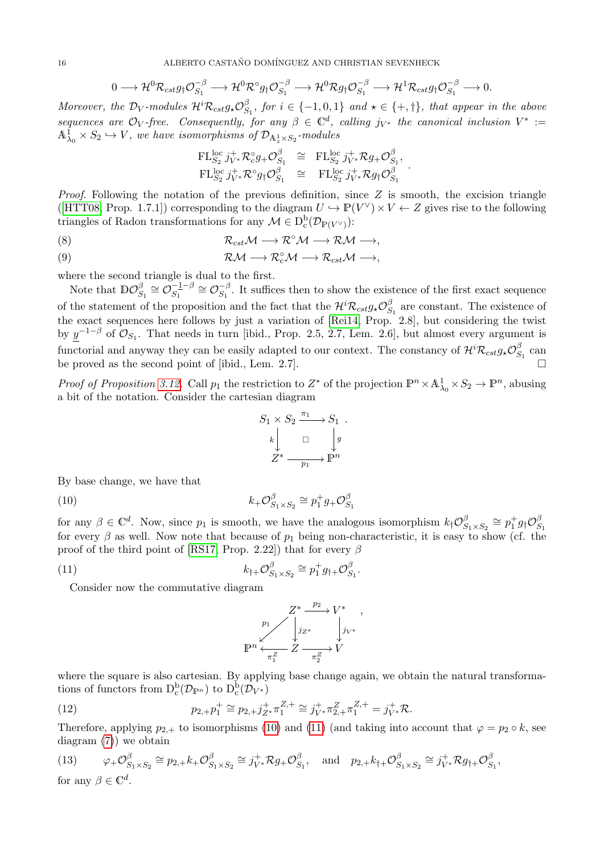$$
0\longrightarrow \mathcal{H}^0\mathcal{R}_{cst}g_{\dagger}\mathcal{O}_{S_1}^{-\beta}\longrightarrow \mathcal{H}^0\mathcal{R}^{\circ}g_{\dagger}\mathcal{O}_{S_1}^{-\beta}\longrightarrow \mathcal{H}^0\mathcal{R}g_{\dagger}\mathcal{O}_{S_1}^{-\beta}\longrightarrow \mathcal{H}^1\mathcal{R}_{cst}g_{\dagger}\mathcal{O}_{S_1}^{-\beta}\longrightarrow 0.
$$

Moreover, the D<sub>V</sub>-modules  $\mathcal{H}^i \mathcal{R}_{cst}g_* \mathcal{O}_S^{\beta}$  $S_1, for i \in \{-1,0,1\}$  and  $\star \in \{+, \dagger\}, that appear in the above$ sequences are  $\mathcal{O}_V$ -free. Consequently, for any  $\beta \in \mathbb{C}^d$ , calling  $j_{V^*}$  the canonical inclusion  $V^* :=$  $\mathbb{A}^1_{\lambda_0}\times S_2\hookrightarrow V$ , we have isomorphisms of  $\mathcal{D}_{\mathbb{A}^1_z\times S_2}$ -modules

$$
\begin{array}{rcl}\n\mathrm{FL}_{S_2}^{\mathrm{loc}}\,j_{V^*}^+\mathcal{R}_c^\circ g_+\mathcal{O}_{S_1}^\beta & \cong & \mathrm{FL}_{S_2}^{\mathrm{loc}}\,j_{V^*}^+\mathcal{R} g_+\mathcal{O}_{S_1}^\beta, \\
\mathrm{FL}_{S_2}^{\mathrm{loc}}\,j_{V^*}^+\mathcal{R}^\circ g_\dagger\mathcal{O}_{S_1}^\beta & \cong & \mathrm{FL}_{S_2}^{\mathrm{loc}}\,j_{V^*}^+\mathcal{R} g_\dagger\mathcal{O}_{S_1}^\beta\n\end{array}
$$

.

*Proof.* Following the notation of the previous definition, since  $Z$  is smooth, the excision triangle ([\[HTT08,](#page-30-19) Prop. 1.7.1]) corresponding to the diagram  $U \hookrightarrow \mathbb{P}(V^{\vee}) \times V \leftarrow Z$  gives rise to the following triangles of Radon transformations for any  $\mathcal{M} \in D_c^b(\mathcal{D}_{\mathbb{P}(V^{\vee})})$ :

$$
(8) \t\t\t\t\mathcal{R}_{cst}\mathcal{M} \longrightarrow \mathcal{R}^{\circ}\mathcal{M} \longrightarrow \mathcal{R}\mathcal{M} \longrightarrow,
$$

(9) 
$$
\mathcal{RM} \longrightarrow \mathcal{R}_c^{\circ} \mathcal{M} \longrightarrow \mathcal{R}_{cst} \mathcal{M} \longrightarrow,
$$

where the second triangle is dual to the first.

Note that  $\mathbb{D}\mathcal{O}_S^{\beta}$  $S_1 \cong \mathcal{O}_{S_1}^{-1-\beta}$  $S_1^{-1-\beta} \cong \mathcal{O}_{S_1}^{-\beta}$  $S_1^{\rho}$ . It suffices then to show the existence of the first exact sequence of the statement of the proposition and the fact that the  $\mathcal{H}^i \mathcal{R}_{cst} g_{\star} \mathcal{O}_{S}^{\beta}$  $S_1$  are constant. The existence of the exact sequences here follows by just a variation of [\[Rei14,](#page-30-10) Prop. 2.8], but considering the twist by  $\underline{y}^{-1-\beta}$  of  $\mathcal{O}_{S_1}$ . That needs in turn [ibid., Prop. 2.5, 2.7, Lem. 2.6], but almost every argument is functorial and anyway they can be easily adapted to our context. The constancy of  $\mathcal{H}^i\mathcal{R}_{cst}g_*\mathcal{O}_S^{\beta}$  $S_1^D$  can be proved as the second point of [ibid., Lem. 2.7].

Proof of Proposition [3.12.](#page-14-1) Call  $p_1$  the restriction to  $Z^*$  of the projection  $\mathbb{P}^n \times \mathbb{A}^1_{\lambda_0} \times S_2 \to \mathbb{P}^n$ , abusing a bit of the notation. Consider the cartesian diagram

<span id="page-15-0"></span>
$$
S_1 \times S_2 \xrightarrow{\pi_1} S_1 .
$$
  
\n
$$
k \downarrow \qquad \Box \qquad \downarrow g
$$
  
\n
$$
Z^* \xrightarrow{\qquad p_1} P^n
$$

By base change, we have that

(10)  $k_{+}\mathcal{O}_{S}^{\beta}$  $S_1 \times S_2 \cong p_1^+ g_+ \mathcal{O}_S^{\beta}$  $S_1$ 

for any  $\beta \in \mathbb{C}^d$ . Now, since  $p_1$  is smooth, we have the analogous isomorphism  $k_{\dagger} \mathcal{O}_{S}^{\beta}$  $S_1 \times S_2 \cong p_1^+ g_\dagger \mathcal{O}_S^{\beta}$ for every  $\beta$  as well. Now note that because of  $p_1$  being non-characteristic, it is easy to show (cf. the proof of the third point of [\[RS17,](#page-30-12) Prop. 2.22]) that for every  $\beta$ 

(11) 
$$
k_{\dagger +} \mathcal{O}_{S_1 \times S_2}^{\beta} \cong p_1^+ g_{\dagger +} \mathcal{O}_{S_1}^{\beta}.
$$

Consider now the commutative diagram

<span id="page-15-3"></span><span id="page-15-1"></span>
$$
P^1 \n Y \n\begin{matrix}\nZ^* \xrightarrow{p_2} V^* \\
j_{Z^*} \\
\downarrow j_{V^*}\n\end{matrix}
$$
\n
$$
\mathbb{P}^n \xleftarrow{\times} \mathbb{Z} \xrightarrow{\pi_Z^Z} V
$$

,

where the square is also cartesian. By applying base change again, we obtain the natural transformations of functors from  $D_c^b(\mathcal{D}_{\mathbb{P}^n})$  to  $D_c^b(\mathcal{D}_{V^*})$ 

(12) 
$$
p_{2,+}p_1^+ \cong p_{2,+}j_{Z^*}^+, \pi_1^{Z,+} \cong j_{V^*}^+, \pi_{2,+}^Z \pi_1^{Z,+} = j_{V^*}^+, \mathcal{R}.
$$

Therefore, applying  $p_{2,+}$  to isomorphisms [\(10\)](#page-15-0) and [\(11\)](#page-15-1) (and taking into account that  $\varphi = p_2 \circ k$ , see diagram [\(7\)](#page-12-1)) we obtain

<span id="page-15-2"></span>(13) 
$$
\varphi_+\mathcal{O}_{S_1\times S_2}^{\beta} \cong p_{2,+}k_+\mathcal{O}_{S_1\times S_2}^{\beta} \cong j_{V^*}^+\mathcal{R}g_+\mathcal{O}_{S_1}^{\beta}, \text{ and } p_{2,+}k_{\uparrow+}\mathcal{O}_{S_1\times S_2}^{\beta} \cong j_{V^*}^+\mathcal{R}g_{\uparrow+}\mathcal{O}_{S_1}^{\beta},
$$
 for any  $\beta \in \mathbb{C}^d$ .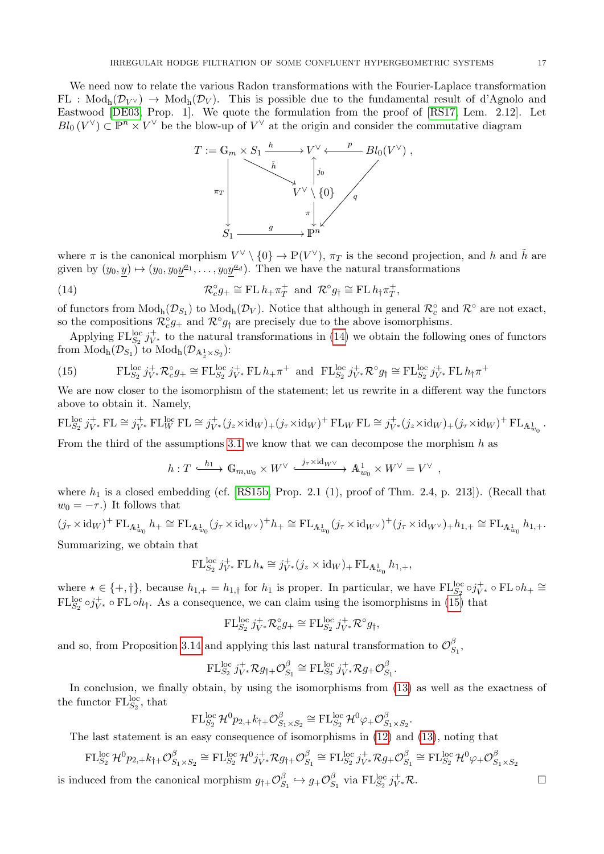We need now to relate the various Radon transformations with the Fourier-Laplace transformation  $FL : Mod_h(\mathcal{D}_{V} \rightarrow Mod_h(\mathcal{D}_V)$ . This is possible due to the fundamental result of d'Agnolo and Eastwood [\[DE03,](#page-29-10) Prop. 1]. We quote the formulation from the proof of [\[RS17,](#page-30-12) Lem. 2.12]. Let  $Bl_0(V^{\vee}) \subset \mathbb{P}^n \times V^{\vee}$  be the blow-up of  $V^{\vee}$  at the origin and consider the commutative diagram

<span id="page-16-0"></span>

where  $\pi$  is the canonical morphism  $V^{\vee} \setminus \{0\} \to \mathbb{P}(V^{\vee}), \pi_T$  is the second projection, and h and  $\tilde{h}$  are given by  $(y_0, y) \mapsto (y_0, y_0 y^{\underline{a}_1}, \dots, y_0 y^{\underline{a}_d})$ . Then we have the natural transformations

(14) 
$$
\mathcal{R}_c^{\circ} g_+ \cong \text{FL } h_+ \pi_T^+ \text{ and } \mathcal{R}^{\circ} g_\dagger \cong \text{FL } h_\dagger \pi_T^+,
$$

of functors from  $Mod_h(\mathcal{D}_{S_1})$  to  $Mod_h(\mathcal{D}_V)$ . Notice that although in general  $\mathcal{R}^{\circ}_c$  and  $\mathcal{R}^{\circ}$  are not exact, so the compositions  $\mathcal{R}_c^{\circ}g_{+}$  and  $\mathcal{R}^{\circ}g_{\dagger}$  are precisely due to the above isomorphisms.

Applying  $FL_{S_2}^{\text{loc}} j_{V^*}^+$  to the natural transformations in [\(14\)](#page-16-0) we obtain the following ones of functors from  $\mathop{\rm Mod}\nolimits_{\mathop{\rm h}\nolimits}(\mathcal{D}_{S_1})$  to  $\mathop{\rm Mod}\nolimits_{\mathop{\rm h}\nolimits}(\mathcal{D}_{{\mathbb A}^1_z\times S_2})$ :

<span id="page-16-1"></span>(15) 
$$
\text{FL}_{S_2}^{\text{loc}} j_{V^*}^+ \mathcal{R}_c^{\circ} g_+ \cong \text{FL}_{S_2}^{\text{loc}} j_{V^*}^+ \text{FL} \, h_+ \pi^+ \text{ and } \text{FL}_{S_2}^{\text{loc}} j_{V^*}^+ \mathcal{R}^{\circ} g_{\dagger} \cong \text{FL}_{S_2}^{\text{loc}} j_{V^*}^+ \text{FL} \, h_{\dagger} \pi^+
$$

We are now closer to the isomorphism of the statement; let us rewrite in a different way the functors above to obtain it. Namely,

 $FL_{S_2}^{\text{loc}}j_{V^*}^+$ FL $\cong j_{V^*}^+$ FL $_{W}^{\text{loc}}$ FL $\cong j_{V^*}^+(j_z \times \text{id}_W) + (j_\tau \times \text{id}_W)^+$ FL $_{W}$ FL $\cong j_{V^*}^+(j_z \times \text{id}_W) + (j_\tau \times \text{id}_W)^+$ FL $_{A_{w_0}^1}$ .

From the third of the assumptions [3.1](#page-8-1) we know that we can decompose the morphism  $h$  as

$$
h: T \xrightarrow{h_1} \mathbb{G}_{m,w_0} \times W^{\vee} \xrightarrow{j_{\tau} \times id_{W^{\vee}}} \mathbb{A}^1_{w_0} \times W^{\vee} = V^{\vee} ,
$$

where  $h_1$  is a closed embedding (cf. [\[RS15b,](#page-30-11) Prop. 2.1 (1), proof of Thm. 2.4, p. 213]). (Recall that  $w_0 = -\tau$ .) It follows that

$$
(j_{\tau} \times \mathrm{id}_W)^+ \mathrm{FL}_{A^1_{w_0}} h_+ \cong \mathrm{FL}_{A^1_{w_0}} (j_{\tau} \times \mathrm{id}_W \vee)^+ h_+ \cong \mathrm{FL}_{A^1_{w_0}} (j_{\tau} \times \mathrm{id}_W \vee)^+ (j_{\tau} \times \mathrm{id}_W \vee)_+ h_{1,+} \cong \mathrm{FL}_{A^1_{w_0}} h_{1,+}.
$$
  
Summarizing, we obtain that

$$
\operatorname{FL}_{S_2}^{\operatorname{loc}} j_{V^*}^+ \operatorname{FL} h_\star \cong j_{V^*}^+(j_z \times \operatorname{id}_W)_+ \operatorname{FL}_{\mathbb{A}^1_{w_0}} h_{1,+},
$$

where  $\star \in \{+, \dagger\}$ , because  $h_{1,+} = h_{1,\dagger}$  for  $h_1$  is proper. In particular, we have  $FL_{S_2}^{\text{loc}} \circ j_{V^*}^+ \circ FL \circ h_+ \cong$  $FL_{S_2}^{\text{loc}} \circ j_{V^*}^+ \circ FL \circ h_{\uparrow}$ . As a consequence, we can claim using the isomorphisms in [\(15\)](#page-16-1) that

$$
\operatorname{FL}_{S_2}^{\operatorname{loc}} j_{V^*}^+ \mathcal{R}^{\circ}_c g_+ \cong \operatorname{FL}_{S_2}^{\operatorname{loc}} j_{V^*}^+ \mathcal{R}^{\circ} g_{\dagger},
$$

and so, from Proposition [3.14](#page-14-2) and applying this last natural transformation to  $\mathcal{O}_S^{\beta}$  $S_1^D,$ 

$$
\mathrm{FL}_{S_2}^{\mathrm{loc}} j_{V^*}^+ \mathcal{R} g_{\dagger +} \mathcal{O}_{S_1}^{\beta} \cong \mathrm{FL}_{S_2}^{\mathrm{loc}} j_{V^*}^+ \mathcal{R} g_+ \mathcal{O}_{S_1}^{\beta}
$$

.

.

In conclusion, we finally obtain, by using the isomorphisms from  $(13)$  as well as the exactness of the functor  $FL_{S_2}^{\text{loc}}$ , that

$$
\mathrm{FL}_{S_2}^{\mathrm{loc}}\mathcal{H}^0 p_{2,+}k_{\dagger+}\mathcal{O}_{S_1\times S_2}^{\beta}\cong \mathrm{FL}_{S_2}^{\mathrm{loc}}\mathcal{H}^0\varphi_+\mathcal{O}_{S_1\times S_2}^{\beta}
$$

The last statement is an easy consequence of isomorphisms in [\(12\)](#page-15-3) and [\(13\)](#page-15-2), noting that

$$
\mathrm{FL}_{S_2}^{\mathrm{loc}}\mathcal{H}^0 p_{2,+}k_{\dagger+}\mathcal{O}_{S_1\times S_2}^{\beta} \cong \mathrm{FL}_{S_2}^{\mathrm{loc}}\mathcal{H}^0 j_{V^*}^+\mathcal{R} g_{\dagger+}\mathcal{O}_{S_1}^{\beta} \cong \mathrm{FL}_{S_2}^{\mathrm{loc}}j_{V^*}^+\mathcal{R} g_{+}\mathcal{O}_{S_1}^{\beta} \cong \mathrm{FL}_{S_2}^{\mathrm{loc}}\mathcal{H}^0\varphi_+\mathcal{O}_{S_1\times S_2}^{\beta}
$$
  
is induced from the canonical morphism  $g_{\dagger+}\mathcal{O}_{S_1}^{\beta} \hookrightarrow g_{+}\mathcal{O}_{S_1}^{\beta}$  via  $\mathrm{FL}_{S_2}^{\mathrm{loc}}j_{V^*}^+\mathcal{R}$ .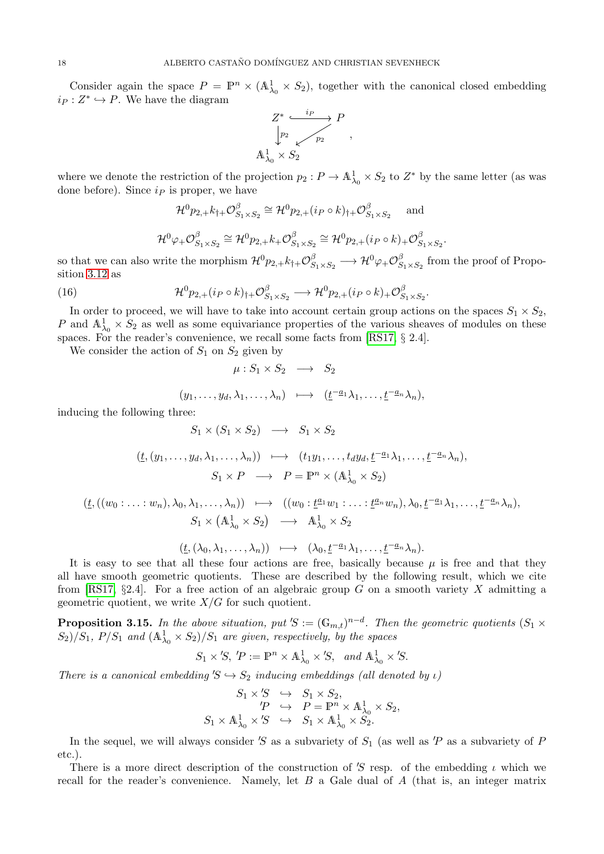Consider again the space  $P = \mathbb{P}^n \times (\mathbb{A}^1_{\lambda_0} \times S_2)$ , together with the canonical closed embedding  $i_P: Z^* \hookrightarrow P$ . We have the diagram

$$
Z^* \xrightarrow{\quad i_P \quad} P
$$

$$
\downarrow p_2 \qquad \qquad p_2
$$

$$
\mathbb{A}^1_{\lambda_0} \times S_2
$$

,

.

where we denote the restriction of the projection  $p_2: P \to \mathbb{A}^1_{\lambda_0} \times S_2$  to  $Z^*$  by the same letter (as was done before). Since  $i<sub>P</sub>$  is proper, we have

<span id="page-17-0"></span>
$$
\mathcal{H}^0 p_{2,+} k_{\dagger+} \mathcal{O}_{S_1 \times S_2}^{\beta} \cong \mathcal{H}^0 p_{2,+} (i_P \circ k)_{\dagger+} \mathcal{O}_{S_1 \times S_2}^{\beta} \text{ and}
$$
  

$$
\mathcal{H}^0 \varphi_+ \mathcal{O}_{S_1 \times S_2}^{\beta} \cong \mathcal{H}^0 p_{2,+} k_+ \mathcal{O}_{S_1 \times S_2}^{\beta} \cong \mathcal{H}^0 p_{2,+} (i_P \circ k)_+ \mathcal{O}_{S_1 \times S_2}^{\beta}
$$

so that we can also write the morphism  $\mathcal{H}^0 p_{2,+} k_{\dagger+} \mathcal{O}_S^{\beta}$  $\begin{CD} \begin{array}{c} \beta\ S_1 \times S_2 \end{array} \longrightarrow {\cal H}^0 \varphi_+ {\cal O}^{\beta}_S$  $S_{1\times S_2}$  from the proof of Proposition [3.12](#page-14-1) as

(16) 
$$
\mathcal{H}^0 p_{2,+}(i_P \circ k)_{\dagger+} \mathcal{O}_{S_1 \times S_2}^{\beta} \longrightarrow \mathcal{H}^0 p_{2,+}(i_P \circ k)_{+} \mathcal{O}_{S_1 \times S_2}^{\beta}.
$$

In order to proceed, we will have to take into account certain group actions on the spaces  $S_1 \times S_2$ , P and  $\mathbb{A}^1_{\lambda_0} \times \mathbb{S}_2$  as well as some equivariance properties of the various sheaves of modules on these spaces. For the reader's convenience, we recall some facts from [\[RS17,](#page-30-12) § 2.4].

We consider the action of  $S_1$  on  $S_2$  given by

$$
\mu: S_1 \times S_2 \longrightarrow S_2
$$
  
\n
$$
(y_1, \dots, y_d, \lambda_1, \dots, \lambda_n) \longmapsto (\underline{t}^{-a_1} \lambda_1, \dots, \underline{t}^{-a_n} \lambda_n),
$$
  
\nthree:  
\n
$$
S_1 \times (S_1 \times S_2) \longrightarrow S_1 \times S_2
$$

inducing the following

 $(\underline{t},(y_1,\ldots,y_d,\lambda_1,\ldots,\lambda_n)) \longmapsto (t_1y_1,\ldots,t_dy_d,\underline{t}^{-a_1}\lambda_1,\ldots,\underline{t}^{-a_n}\lambda_n),$  $S_1 \times P \longrightarrow P = \mathbb{P}^n \times (\mathbb{A}^1_{\lambda_0} \times S_2)$ 

$$
\begin{array}{cccc}\n(t,((w_0:\ldots:w_n),\lambda_0,\lambda_1,\ldots,\lambda_n)) & \longmapsto & ((w_0:\underline{t}^{a_1}w_1:\ldots:\underline{t}^{a_n}w_n),\lambda_0,\underline{t}^{-a_1}\lambda_1,\ldots,\underline{t}^{-a_n}\lambda_n),\\ & S_1\times(\mathbb{A}^1_{\lambda_0}\times S_2) & \longrightarrow & \mathbb{A}^1_{\lambda_0}\times S_2\n\end{array}
$$

$$
(\underline{t},(\lambda_0,\lambda_1,\ldots,\lambda_n)) \quad \longmapsto \quad (\lambda_0,\underline{t}^{-\underline{a}_1}\lambda_1,\ldots,\underline{t}^{-\underline{a}_n}\lambda_n).
$$

It is easy to see that all these four actions are free, basically because  $\mu$  is free and that they all have smooth geometric quotients. These are described by the following result, which we cite from [\[RS17,](#page-30-12) §2.4]. For a free action of an algebraic group G on a smooth variety X admitting a geometric quotient, we write  $X/G$  for such quotient.

**Proposition 3.15.** In the above situation, put 'S :=  $(\mathbb{G}_{m,t})^{n-d}$ . Then the geometric quotients  $(S_1 \times S_2)$  $S_2$ / $S_1$ ,  $P/S_1$  and  $(\mathbb{A}^1_{\lambda_0} \times S_2)/S_1$  are given, respectively, by the spaces

$$
S_1 \times 'S, \ P := \mathbb{P}^n \times \mathbb{A}^1_{\lambda_0} \times 'S, \ \text{and } \mathbb{A}^1_{\lambda_0} \times 'S.
$$

There is a canonical embedding  $S \hookrightarrow S_2$  inducing embeddings (all denoted by  $\iota$ )

$$
S_1 \times S \quad \hookrightarrow \quad S_1 \times S_2,
$$
  
\n
$$
P \quad \hookrightarrow \quad P = \mathbb{P}^n \times \mathbb{A}^1_{\lambda_0} \times S_2,
$$
  
\n
$$
S_1 \times \mathbb{A}^1_{\lambda_0} \times S \quad \hookrightarrow \quad S_1 \times \mathbb{A}^1_{\lambda_0} \times S_2.
$$

In the sequel, we will always consider 'S as a subvariety of  $S_1$  (as well as 'P as a subvariety of P etc.).

There is a more direct description of the construction of 'S resp. of the embedding  $\iota$  which we recall for the reader's convenience. Namely, let B a Gale dual of A (that is, an integer matrix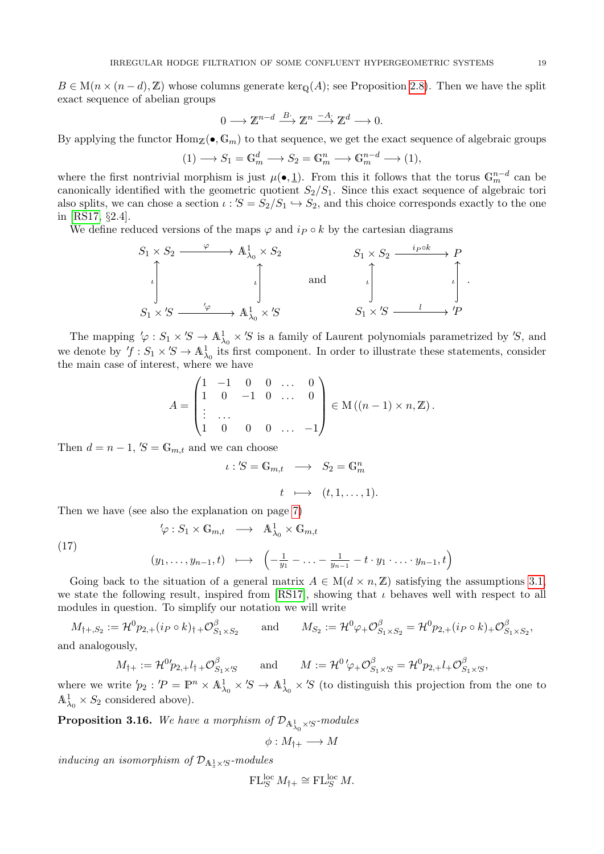$B \in M(n \times (n-d), \mathbb{Z})$  whose columns generate ker<sub>Q</sub>(A); see Proposition [2.8\)](#page-4-1). Then we have the split exact sequence of abelian groups

$$
0 \longrightarrow \mathbb{Z}^{n-d} \xrightarrow{B} \mathbb{Z}^n \xrightarrow{-A} \mathbb{Z}^d \longrightarrow 0.
$$

By applying the functor  $\text{Hom}_{\mathbb{Z}}(\bullet, \mathbb{G}_m)$  to that sequence, we get the exact sequence of algebraic groups

$$
(1) \longrightarrow S_1 = \mathbb{G}_m^d \longrightarrow S_2 = \mathbb{G}_m^n \longrightarrow \mathbb{G}_m^{n-d} \longrightarrow (1),
$$

where the first nontrivial morphism is just  $\mu(\bullet, \underline{1})$ . From this it follows that the torus  $\mathbb{G}_m^{n-d}$  can be canonically identified with the geometric quotient  $S_2/S_1$ . Since this exact sequence of algebraic tori also splits, we can chose a section  $\iota$  :  $S = S_2/S_1 \hookrightarrow S_2$ , and this choice corresponds exactly to the one in [\[RS17,](#page-30-12) §2.4].

We define reduced versions of the maps  $\varphi$  and  $i \rho \circ k$  by the cartesian diagrams

$$
S_1 \times S_2 \xrightarrow{\varphi} A^1_{\lambda_0} \times S_2
$$
\n
$$
\downarrow \qquad \qquad S_1 \times S_2 \xrightarrow{i_{P} \circ k} P
$$
\n
$$
\downarrow \qquad \qquad \downarrow \qquad \qquad \downarrow
$$
\n
$$
S_1 \times S_2 \xrightarrow{i_{P} \circ k} P
$$
\n
$$
\downarrow \qquad \qquad \downarrow
$$
\n
$$
S_1 \times S \xrightarrow{\qquad i_{P} \circ k} P
$$
\n
$$
S_1 \times S \xrightarrow{\qquad \qquad i \qquad} P
$$

The mapping  $\varphi : S_1 \times S \to \mathbb{A}^1_{\lambda_0} \times S$  is a family of Laurent polynomials parametrized by S, and we denote by  $f : S_1 \times S \to \mathbb{A}^1_{\lambda_0}$  its first component. In order to illustrate these statements, consider the main case of interest, where we have

$$
A = \begin{pmatrix} 1 & -1 & 0 & 0 & \dots & 0 \\ 1 & 0 & -1 & 0 & \dots & 0 \\ \vdots & \dots & & & \\ 1 & 0 & 0 & 0 & \dots & -1 \end{pmatrix} \in M((n-1) \times n, \mathbb{Z}).
$$

Then  $d = n - 1$ ,  $S = \mathbb{G}_{m,t}$  and we can choose

$$
\iota : S = \mathbb{G}_{m,t} \longrightarrow S_2 = \mathbb{G}_m^n
$$

$$
t \longmapsto (t, 1, \dots, 1).
$$

Then we have (see also the explanation on page [7\)](#page-6-0)

<span id="page-18-1"></span>
$$
\begin{aligned}\n\varphi: S_1 \times \mathbb{G}_{m,t} &\longrightarrow \mathbb{A}^1_{\lambda_0} \times \mathbb{G}_{m,t} \\
(y_1, \dots, y_{n-1}, t) &\longmapsto \left(-\frac{1}{y_1} - \dots - \frac{1}{y_{n-1}} - t \cdot y_1 \cdot \dots \cdot y_{n-1}, t\right)\n\end{aligned}
$$

(17)

Going back to the situation of a general matrix 
$$
A \in M(d \times n, \mathbb{Z})
$$
 satisfying the assumptions 3.1,  
we state the following result, inspired from [RS17], showing that  $\iota$  behaves well with respect to all  
modules in question. To simplify our notation we will write

 $M_{\dagger+,S_2}:=\mathcal{H}^0p_{2,+}(i_P\circ k)_{\dagger+}\mathcal{O}^{\beta}_S$  $\begin{array}{lll} \beta_{S_1\times S_2} & \hbox{and} & M_{S_2}:=\mathcal{H}^0\varphi_{+}\mathcal{O}_S^{\beta} \end{array}$  $\int_{S_1\times S_2}^{\beta} = {\cal H}^0 p_{2,+}(i_P\circ k)_+ {\cal O}^{\beta}_S$  $S_1 \times S_2$ 

and analogously,

$$
M_{\dagger+} := \mathcal{H}^{0} p_{2,+} l_{\dagger+} \mathcal{O}_{S_1 \times S}^{\beta} \quad \text{and} \quad M := \mathcal{H}^{0} \varphi_{+} \mathcal{O}_{S_1 \times S}^{\beta} = \mathcal{H}^{0} p_{2,+} l_{+} \mathcal{O}_{S_1 \times S}^{\beta},
$$

where we write  $p_2$ :  $P = \mathbb{P}^n \times \mathbb{A}^1_{\lambda_0} \times S \to \mathbb{A}^1_{\lambda_0} \times S$  (to distinguish this projection from the one to  $\mathbb{A}^1_{\lambda_0} \times S_2$  considered above).

<span id="page-18-0"></span>**Proposition 3.16.** We have a morphism of  $\mathcal{D}_{{\mathbb A}^1_{\lambda_0} \times S}$ -modules

$$
\phi: M_{\dagger +} \longrightarrow M
$$

inducing an isomorphism of  $\mathcal{D}_{{\mathbb A}^1_z \times \mathcal S}}$ -modules

$$
\operatorname{FL}_{S}^{\operatorname{loc}}M_{\dagger+}\cong \operatorname{FL}_{S}^{\operatorname{loc}}M.
$$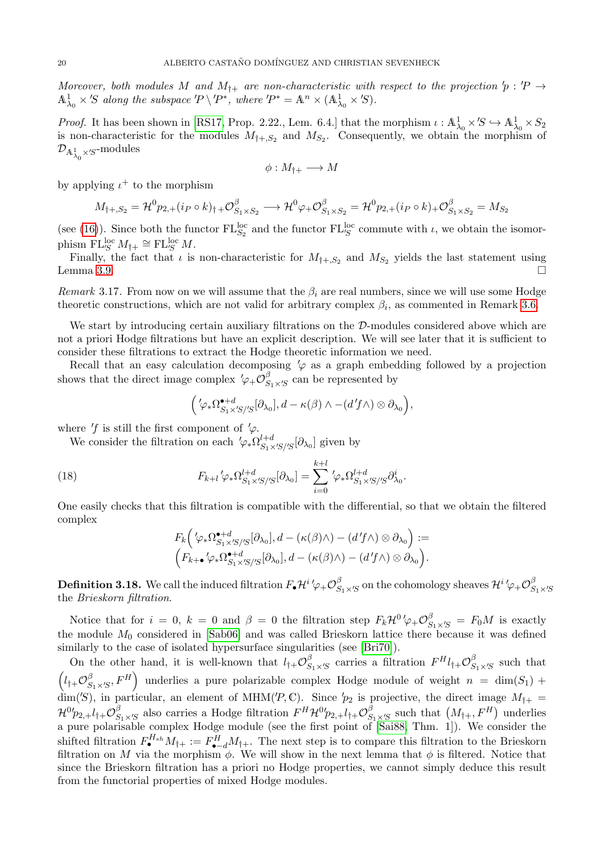Moreover, both modules M and  $M_{\dagger+}$  are non-characteristic with respect to the projection  $p' : P \rightarrow$  $\mathbb{A}^1_{\lambda_0} \times S$  along the subspace  $P \setminus P^*$ , where  $P^* = \mathbb{A}^n \times (\mathbb{A}^1_{\lambda_0} \times S)$ .

*Proof.* It has been shown in [\[RS17,](#page-30-12) Prop. 2.22., Lem. 6.4.] that the morphism  $\iota : \mathbb{A}^1_{\lambda_0} \times S \hookrightarrow \mathbb{A}^1_{\lambda_0} \times S_2$ is non-characteristic for the modules  $M_{\dagger,S_2}$  and  $M_{S_2}$ . Consequently, we obtain the morphism of  $\mathcal{D}_{{\mathbb A}^1_{\lambda_0}\times S}$ -modules

$$
\phi: M_{\dagger +} \longrightarrow M
$$

by applying  $\iota^+$  to the morphism

$$
M_{\dagger,S_2} = \mathcal{H}^0 p_{2,+} (i_P \circ k)_{\dagger} + \mathcal{O}_{S_1 \times S_2}^{\beta} \longrightarrow \mathcal{H}^0 \varphi_+ \mathcal{O}_{S_1 \times S_2}^{\beta} = \mathcal{H}^0 p_{2,+} (i_P \circ k)_{+} \mathcal{O}_{S_1 \times S_2}^{\beta} = M_{S_2}
$$

(see [\(16\)](#page-17-0)). Since both the functor  $FL_{S_2}^{\text{loc}}$  and the functor  $FL_{S}^{\text{loc}}$  commute with  $\iota$ , we obtain the isomorphism  $FL_{S}^{\text{loc}} M_{\dagger+} \cong FL_{S}^{\text{loc}} M$ .

Finally, the fact that  $\iota$  is non-characteristic for  $M_{\dagger,S_2}$  and  $M_{S_2}$  yields the last statement using Lemma [3.9.](#page-13-1)

<span id="page-19-0"></span>*Remark* 3.17. From now on we will assume that the  $\beta_i$  are real numbers, since we will use some Hodge theoretic constructions, which are not valid for arbitrary complex  $\beta_i$ , as commented in Remark [3.6.](#page-10-1)

We start by introducing certain auxiliary filtrations on the D-modules considered above which are not a priori Hodge filtrations but have an explicit description. We will see later that it is sufficient to consider these filtrations to extract the Hodge theoretic information we need.

Recall that an easy calculation decomposing  $\varphi$  as a graph embedding followed by a projection shows that the direct image complex  $\varphi_{+} \mathcal{O}_{S}^{\beta}$  $S_{1\times S}$  can be represented by

$$
\Big(\langle \varphi_*\Omega^{\bullet+d}_{S_1\times S/S/S}[\partial_{\lambda_0}],d-\kappa(\beta)\wedge -(d'f\wedge)\otimes \partial_{\lambda_0}\Big),\right.
$$

where  $'f$  is still the first component of  $'\varphi$ .

We consider the filtration on each  $'\varphi_* \Omega_{S_1 \times S/S}^{l+d} [\partial_{\lambda_0}]$  given by

(18) 
$$
F_{k+l}\langle \varphi_*\Omega^{l+d}_{S_1\times S/S/S}[\partial_{\lambda_0}]=\sum_{i=0}^{k+l}\langle \varphi_*\Omega^{l+d}_{S_1\times S/S}\partial_{\lambda_0}^i.
$$

One easily checks that this filtration is compatible with the differential, so that we obtain the filtered complex

<span id="page-19-1"></span>
$$
F_k\left(\langle \varphi_* \Omega_{S_1 \times S'/S}^{\bullet+d}[\partial_{\lambda_0}], d - (\kappa(\beta) \wedge) - (d'f \wedge) \otimes \partial_{\lambda_0}\right) :=
$$
  

$$
\left(F_{k+\bullet} \langle \varphi_* \Omega_{S_1 \times S'/S}^{\bullet+d}[\partial_{\lambda_0}], d - (\kappa(\beta) \wedge) - (d'f \wedge) \otimes \partial_{\lambda_0}\right).
$$

**Definition 3.18.** We call the induced filtration  $F_{\bullet}\mathcal{H}^{i}\varphi_{+}\mathcal{O}_{S}^{\beta}$  $\frac{\beta}{S_1 \times S}$  on the cohomology sheaves  $\mathcal{H}^i{}' \varphi_+ {\cal O}^{\beta}_S$  $S_1\times S$ the Brieskorn filtration.

Notice that for  $i = 0$ ,  $k = 0$  and  $\beta = 0$  the filtration step  $F_k \mathcal{H}^0/\varphi_+ \mathcal{O}_{S_1 \times S_2}^{\beta} = F_0 M$  is exactly the module  $M_0$  considered in [\[Sab06\]](#page-30-28) and was called Brieskorn lattice there because it was defined similarly to the case of isolated hypersurface singularities (see [\[Bri70\]](#page-29-11)).

On the other hand, it is well-known that  $l_{\dagger+} \mathcal{O}_S^{\beta}$  $S_{1\times S}$  carries a filtration  $F^{H}l_{\dagger+}\mathcal{O}_{S}^{\beta}$  $S_{1} \times S$  such that  $\left(l_{\dagger+}\mathcal{O}_{S}^{\beta}\right)$  $\left(S_1 \times S, F^H\right)$  underlies a pure polarizable complex Hodge module of weight  $n = \dim(S_1) +$ dim('S), in particular, an element of MHM('P, C). Since  $p_2$  is projective, the direct image  $M_{\dagger+}$  =  ${\mathcal H}^0 p_{2,+} l_{\dagger +} {\mathcal O}^{\beta}_S$  $S_{1} \times S$  also carries a Hodge filtration  $F^{H} \mathcal{H}^{0} p_{2,+} l_{\dagger+} \mathcal{O}_{S}^{\beta}$  $S_{1 \times S}$  such that  $(M_{\dagger +}, F^H)$  underlies a pure polarisable complex Hodge module (see the first point of [\[Sai88,](#page-30-30) Thm. 1]). We consider the shifted filtration  $F_{\bullet}^{H_{sh}}M_{\dagger+} := F_{\bullet-d}^H M_{\dagger+}$ . The next step is to compare this filtration to the Brieskorn filtration on M via the morphism  $\phi$ . We will show in the next lemma that  $\phi$  is filtered. Notice that since the Brieskorn filtration has a priori no Hodge properties, we cannot simply deduce this result from the functorial properties of mixed Hodge modules.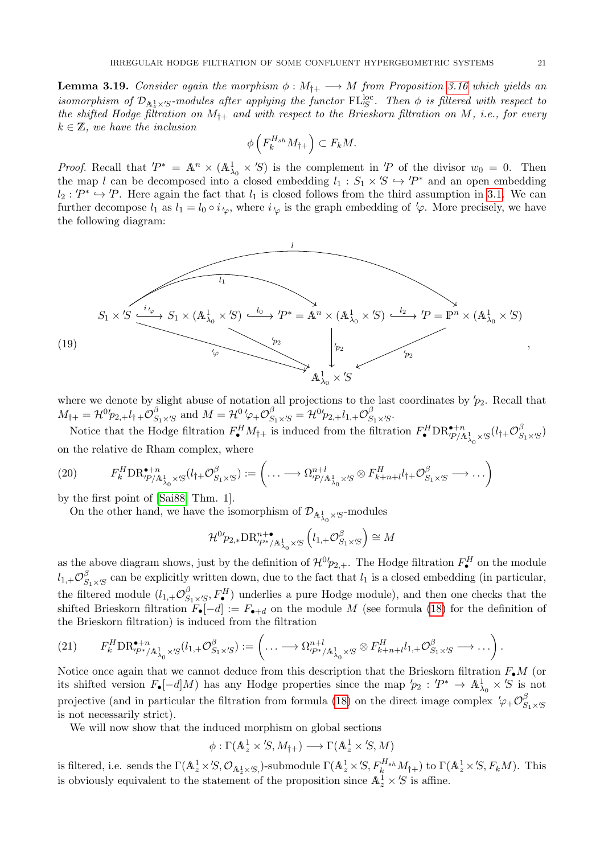<span id="page-20-0"></span>**Lemma 3.19.** Consider again the morphism  $\phi : M_{\dagger+} \longrightarrow M$  from Proposition [3.16](#page-18-0) which yields an isomorphism of  $\mathcal{D}_{A_z^1\times S}$ -modules after applying the functor  $\mathrm{FL}_{S}^{\mathrm{loc}}$ . Then  $\phi$  is filtered with respect to the shifted Hodge filtration on  $M_{\dagger+}$  and with respect to the Brieskorn filtration on M, i.e., for every  $k \in \mathbb{Z}$ , we have the inclusion

$$
\phi\left(F_k^{H_{sh}}M_{\dagger+}\right) \subset F_kM.
$$

*Proof.* Recall that  $P^* = \mathbb{A}^n \times (\mathbb{A}^1_{\lambda_0} \times \mathcal{B})$  is the complement in  $P$  of the divisor  $w_0 = 0$ . Then the map l can be decomposed into a closed embedding  $l_1 : S_1 \times S \hookrightarrow 'P^*$  and an open embedding  $l_2$ : ' $P^* \hookrightarrow P$ . Here again the fact that  $l_1$  is closed follows from the third assumption in [3.1.](#page-8-1) We can further decompose  $l_1$  as  $l_1 = l_0 \circ i_{\varphi}$ , where  $i_{\varphi}$  is the graph embedding of  $\varphi$ . More precisely, we have the following diagram:



where we denote by slight abuse of notation all projections to the last coordinates by  $p_2$ . Recall that  $M_{\dagger+} = \mathcal{H}^0 p_{2,+} l_{\dagger+} \mathcal{O}_S^{\beta}$  $S_{1\times S}$  and  $M = \mathcal{H}^0' \varphi_+ \mathcal{O}_{S_1\times S}^{\beta} = \mathcal{H}^0 p_{2,+} l_{1,+} \mathcal{O}_{S}^{\beta}$  $S_1 \times S^*$ 

Notice that the Hodge filtration  $F_{\bullet}^H M_{\dagger+}$  is induced from the filtration  $F_{\bullet}^H \text{DR}_{P/A_{\lambda_0}^1 \times S}^{\bullet+n}(l_{\dagger}+\mathcal{O}_S^{\beta})$  $S_1 \times S$ on the relative de Rham complex, where

(20) 
$$
F_k^H \text{DR}_{P/A_{\lambda_0}^1 \times S}^{\bullet+n} (l_\dagger \oplus \mathcal{O}_{S_1 \times S}^\beta) := \left( \dots \longrightarrow \Omega_{P/A_{\lambda_0}^1 \times S}^{n+l} \otimes F_{k+n+l}^H l_\dagger \oplus \mathcal{O}_{S_1 \times S}^\beta \longrightarrow \dots \right)
$$

by the first point of [\[Sai88,](#page-30-30) Thm. 1].

On the other hand, we have the isomorphism of  $\mathcal{D}_{\mathbb{A}^1_{\lambda_0} \times S}$ -modules

$$
\mathcal{H}^{0'}\!p_{2,*}\mathrm{DR}^{n+\bullet}_{\mathcal{P}^*/\mathbb{A}^1_{\lambda_0}\times\mathcal{S}}\left(l_{1,+}\mathcal{O}^{\beta}_{S_1\times\mathcal{S}}\right)\cong M
$$

as the above diagram shows, just by the definition of  $\mathcal{H}^{0}p_{2,+}$ . The Hodge filtration  $F_{\bullet}^{H}$  on the module  $l_{1,+}\mathcal{O}_{S}^{\beta}$  $S_{1\times S}$  can be explicitly written down, due to the fact that  $l_1$  is a closed embedding (in particular, the filtered module  $(l_{1,+}\mathcal{O}_S^{\beta})$  $S_{1\times S}$ ,  $F_{\bullet}^{H}$ ) underlies a pure Hodge module), and then one checks that the shifted Brieskorn filtration  $F_{\bullet}[-d] := F_{\bullet+d}$  on the module M (see formula [\(18\)](#page-19-1) for the definition of the Brieskorn filtration) is induced from the filtration

$$
(21) \qquad F_{k}^{H} \text{DR}_{\mathcal{P}^{*}/\mathbb{A}^{1}_{\lambda_{0}} \times S}^{\bullet+n}(l_{1,+}\mathcal{O}^{\beta}_{S_{1} \times S}) := \left( \ldots \longrightarrow \Omega_{\mathcal{P}^{*}/\mathbb{A}^{1}_{\lambda_{0}} \times S}^{\eta+1} \otimes F_{k+n+l}^{H} l_{1,+}\mathcal{O}^{\beta}_{S_{1} \times S} \longrightarrow \ldots \right).
$$

Notice once again that we cannot deduce from this description that the Brieskorn filtration  $F_{\bullet}M$  (or its shifted version  $F_{\bullet}[-d]M$ ) has any Hodge properties since the map  $'p_2 : 'P^* \to \mathbb{A}^1_{\lambda_0} \times 'S$  is not projective (and in particular the filtration from formula [\(18\)](#page-19-1) on the direct image complex  $\psi_+ \mathcal{O}_S^{\beta}$  $S_1\times S$ is not necessarily strict).

We will now show that the induced morphism on global sections

$$
\phi : \Gamma(\mathbb{A}^1_z \times \mathcal{S}, M_{\dagger +}) \longrightarrow \Gamma(\mathbb{A}^1_z \times \mathcal{S}, M)
$$

is filtered, i.e. sends the  $\Gamma(\mathbb{A}_z^1\times S,\mathcal{O}_{\mathbb{A}_z^1\times S,})$ -submodule  $\Gamma(\mathbb{A}_z^1\times S, F_k^{H_{sh}}M_{\dagger+})$  to  $\Gamma(\mathbb{A}_z^1\times S, F_kM)$ . This is obviously equivalent to the statement of the proposition since  $\mathbb{A}_z^{\mathbb{I}} \times S$  is affine.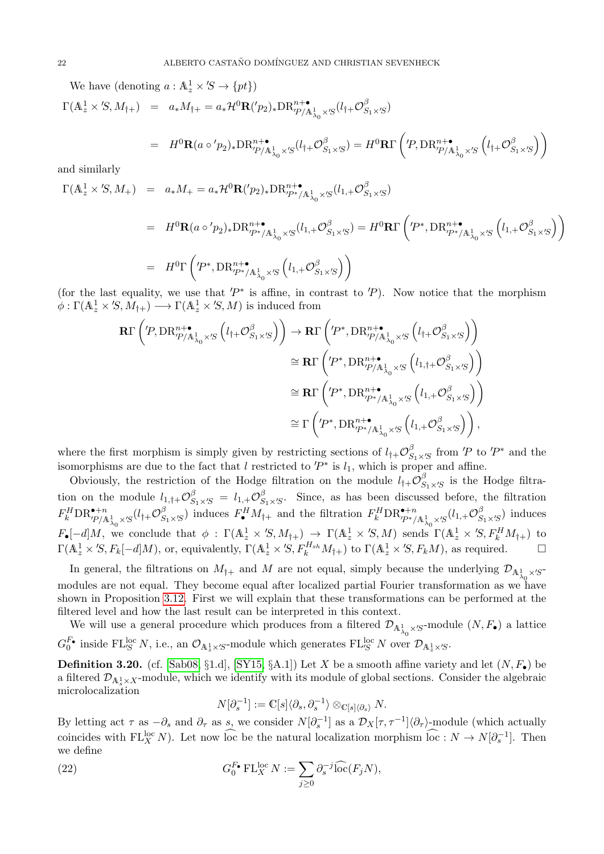We have (denoting  $a: \mathbb{A}_z^1 \times S \to \{pt\})$ )

$$
\Gamma(\mathbb{A}^1_z\times'\mathbb{S},M_{\dagger+})\ =\ a_*M_{\dagger+}=a_*\mathcal{H}^0\mathbf{R}('p_2)_*\mathrm{DR}^{n+\bullet}_{'P/\mathbb{A}^1_{\lambda_0}\times'\mathbb{S}}(l_{\dagger+}\mathcal{O}^{\beta}_{S_1\times'\mathbb{S}})
$$

$$
= H^{0}\mathbf{R}(a\circ'p_{2})_{*} \text{DR}_{\text{CP/A}_{\lambda_{0}}^{\lambda}}^{n+\bullet} \circ (l_{\dagger} + \mathcal{O}_{S_{1} \times S}^{\beta}) = H^{0}\mathbf{R}\Gamma\left(\text{P}, \text{DR}_{\text{CP/A}_{\lambda_{0}}^{\lambda} \times S}^{n+\bullet}\left(l_{\dagger} + \mathcal{O}_{S_{1} \times S}^{\beta}\right)\right)
$$

and similarly

$$
\Gamma(\mathbb{A}_z^1 \times S, M_+) = a_* M_+ = a_* \mathcal{H}^0 \mathbf{R}({p_2})_* \mathcal{D} \mathcal{R}_{P^*/\mathbb{A}^1_{\lambda_0} \times S}^{n^+ \bullet} (l_{1,+} \mathcal{O}_{S_1 \times S}^{\beta})
$$

$$
= H^{0}\mathbf{R}(a \circ 'p_{2})_{*}DR_{\mathcal{P}^{*}/A^{1}_{\lambda_{0}} \times S}^{n+\bullet}(l_{1,+}\mathcal{O}_{S_{1}\times S}^{\beta}) = H^{0}\mathbf{R}\Gamma\left(\mathcal{P}^{*},\mathrm{DR}_{\mathcal{P}^{*}/A^{1}_{\lambda_{0}} \times S}^{n+\bullet}\left(l_{1,+}\mathcal{O}_{S_{1}\times S}^{\beta}\right)\right)
$$
  

$$
= H^{0}\Gamma\left(\mathcal{P}^{*},\mathrm{DR}_{\mathcal{P}^{*}/A^{1}_{\lambda_{0}} \times S}^{n+\bullet}\left(l_{1,+}\mathcal{O}_{S_{1}\times S}^{\beta}\right)\right)
$$

(for the last equality, we use that  $P^*$  is affine, in contrast to  $P$ ). Now notice that the morphism  $\phi : \Gamma(\mathbb{A}^1_z \times \mathcal{S}, M_{\dagger}) \longrightarrow \Gamma(\mathbb{A}^1_z \times \mathcal{S}, M)$  is induced from

$$
\begin{split} \mathbf{R}\Gamma\left(\textit{P},\mathrm{DR}_{P/\mathbb{A}^1_{\lambda_0}\times S}^{n+\bullet}\left(l_{\dagger+}\mathcal{O}_{S_1\times S}^{\beta}\right)\right) &\to \mathbf{R}\Gamma\left(\textit{P}^*,\mathrm{DR}_{P/\mathbb{A}^1_{\lambda_0}\times S}^{n+\bullet}\left(l_{\dagger+}\mathcal{O}_{S_1\times S}^{\beta}\right)\right) \\ &\cong \mathbf{R}\Gamma\left(\textit{P}^*,\mathrm{DR}_{P/\mathbb{A}^1_{\lambda_0}\times S}^{n+\bullet}\left(l_{1,\dagger+}\mathcal{O}_{S_1\times S}^{\beta}\right)\right) \\ &\cong \mathbf{R}\Gamma\left(\textit{P}^*,\mathrm{DR}_{P^*/\mathbb{A}^1_{\lambda_0}\times S}^{n+\bullet}\left(l_{1,+}\mathcal{O}_{S_1\times S}^{\beta}\right)\right) \\ &\cong \Gamma\left(\textit{P}^*,\mathrm{DR}_{P^*/\mathbb{A}^1_{\lambda_0}\times S}^{n+\bullet}\left(l_{1,+}\mathcal{O}_{S_1\times S}^{\beta}\right)\right), \end{split}
$$

where the first morphism is simply given by restricting sections of  $l_{\dagger+}O_S^{\beta}$  $S_{1} \times S$  from 'P to 'P<sup>\*</sup> and the isomorphisms are due to the fact that l restricted to  $P^*$  is  $l_1$ , which is proper and affine.

Obviously, the restriction of the Hodge filtration on the module  $l_{\dagger+}O_S^{\beta}$  $S_{1} \times S$  is the Hodge filtration on the module  $l_{1, \dagger +} \mathcal{O}_{S_1 \times S}^{\beta} = l_{1,+} \mathcal{O}_{S}^{\beta}$  $S_{1} \times S$ . Since, as has been discussed before, the filtration  $F^H_k \text{DR}^{\bullet+n}_{^\prime P/\mathbb{A}^1_{\lambda_0} \times S} (l_\dagger + \mathcal{O}^\beta_S$  $S_{1\times S}$ ) induces  $F_{\bullet}^H M_{\dagger+}$  and the filtration  $F_k^H \text{DR}_{P^*/\mathbb{A}^1_{\lambda_0}\times S}^{\bullet+n}(l_{1,+}\mathcal{O}_S^{\beta})$  $S_{1\times S}$  induces  $F_{\bullet}[-d]M$ , we conclude that  $\phi : \Gamma(\mathbb{A}^1_z \times S, M_{\dagger}) \to \Gamma(\mathbb{A}^1_z \times S, M)$  sends  $\Gamma(\mathbb{A}^1_z \times S, F_k^H M_{\dagger})$  to  $\Gamma(\mathbb{A}^1_z \times S, F_k[-d]M)$ , or, equivalently,  $\Gamma(\mathbb{A}^1_z \times S, F_k^{H_{sh}}M_{\dagger})$  to  $\Gamma(\mathbb{A}^1_z \times S, F_kM)$ , as required.

In general, the filtrations on  $M_{\dagger+}$  and M are not equal, simply because the underlying  $\mathcal{D}_{\mathbb{A}^1_{\lambda_0}\times S^-}$ modules are not equal. They become equal after localized partial Fourier transformation as we have shown in Proposition [3.12.](#page-14-1) First we will explain that these transformations can be performed at the filtered level and how the last result can be interpreted in this context.

We will use a general procedure which produces from a filtered  $\mathcal{D}_{\mathbb{A}^1_{\lambda_0} \times S}$ -module  $(N, F_{\bullet})$  a lattice  $G_0^{\vec{F}}$ <sup>*i*</sup> inside FL<sup>loc</sup> N, i.e., an  $\mathcal{O}_{A_z^1 \times S}$ -module which generates FL<sup>loc</sup> N over  $\mathcal{D}_{A_z^1 \times S}$ *.* 

<span id="page-21-0"></span>**Definition 3.20.** (cf. [\[Sab08,](#page-30-13) §1.d], [\[SY15,](#page-30-4) §A.1]) Let X be a smooth affine variety and let  $(N, F_{\bullet})$  be a filtered  $\mathcal{D}_{A_s^1 \times X}$ -module, which we identify with its module of global sections. Consider the algebraic microlocalization

<span id="page-21-1"></span>
$$
N[\partial_s^{-1}] := \mathbb{C}[s] \langle \partial_s, \partial_s^{-1} \rangle \otimes_{\mathbb{C}[s] \langle \partial_s \rangle} N.
$$

By letting act  $\tau$  as  $-\partial_s$  and  $\partial_{\tau}$  as s, we consider  $N[\partial_s^{-1}]$  as a  $\mathcal{D}_X[\tau, \tau^{-1}]\langle\partial_{\tau}\rangle$ -module (which actually coincides with  $FL_X^{loc} N$ ). Let now loc be the natural localization morphism loc :  $N \to N[\partial_s^{-1}]$ . Then we define

(22) 
$$
G_0^{F_{\bullet}} \operatorname{FL}_{X}^{\operatorname{loc}} N := \sum_{j \geq 0} \partial_s^{-j} \widehat{\operatorname{loc}}(F_j N),
$$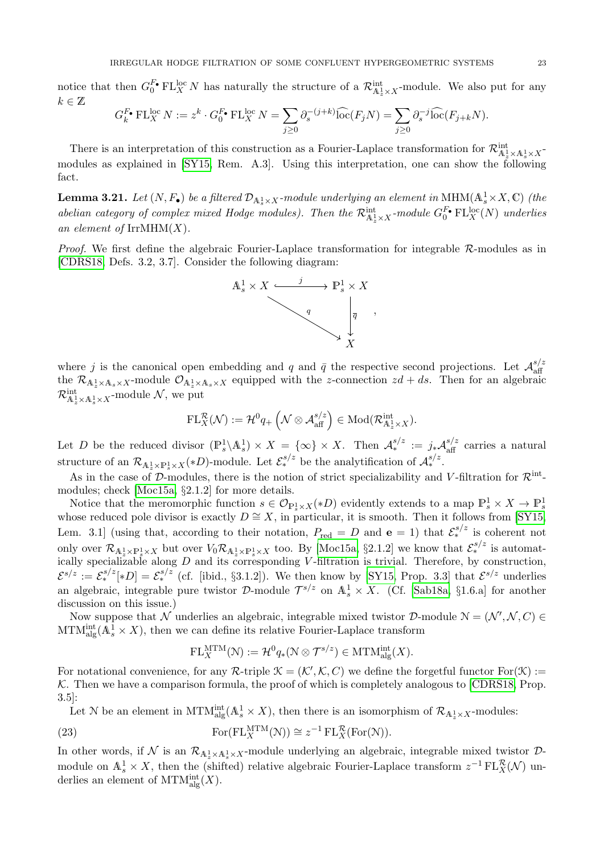notice that then  $G_0^{F_\bullet} \text{FL}_{X}^{\text{loc}} N$  has naturally the structure of a  $\mathcal{R}_{\mathbb{A}^1_x \times X}^{\text{int}}$ -module. We also put for any  $k \in \mathbb{Z}$ 

$$
G_k^{F_\bullet} \operatorname{FL}_{X}^{\operatorname{loc}} N := z^k \cdot G_0^{F_\bullet} \operatorname{FL}_{X}^{\operatorname{loc}} N = \sum_{j \ge 0} \partial_s^{-(j+k)} \widehat{\operatorname{loc}}(F_j N) = \sum_{j \ge 0} \partial_s^{-j} \widehat{\operatorname{loc}}(F_{j+k} N).
$$

There is an interpretation of this construction as a Fourier-Laplace transformation for  $\mathcal{R}^{\text{int}}_{A_z^1\times A_s^1\times X}$ modules as explained in [\[SY15,](#page-30-4) Rem. A.3]. Using this interpretation, one can show the following fact.

<span id="page-22-0"></span>**Lemma 3.21.** Let  $(N, F_{\bullet})$  be a filtered  $\mathcal{D}_{A_s^1 \times X}$ -module underlying an element in MHM( $A_s^1 \times X$ , C) (the abelian category of complex mixed Hodge modules). Then the  $\mathcal{R}^\text{int}_{\mathbb{A}^1_x\times X}$ -module  $G_0^{\text{F}} \in L_X^{\text{loc}}(N)$  underlies an element of  $\text{IrrMHM}(X)$ .

*Proof.* We first define the algebraic Fourier-Laplace transformation for integrable  $\mathcal{R}$ -modules as in [\[CDRS18,](#page-29-4) Defs. 3.2, 3.7]. Consider the following diagram:



where j is the canonical open embedding and q and  $\bar{q}$  the respective second projections. Let  $\mathcal{A}_{\text{aff}}^{s/z}$ aff the  $\mathcal{R}_{A_z^1\times A_s\times X}$ -module  $\mathcal{O}_{A_z^1\times A_s\times X}$  equipped with the z-connection  $zd+ds$ . Then for an algebraic  $\mathcal{R}^{\text{int}}_{\mathbb{A}^1_z \times \mathbb{A}^1_s \times X}$ -module  $\mathcal{N}$ , we put

$$
\mathrm{FL}^{\mathcal{R}}_X(\mathcal{N}) := \mathcal{H}^0 q_+\left(\mathcal{N} \otimes \mathcal{A}_{\mathrm{aff}}^{s/z}\right) \in \mathrm{Mod}(\mathcal{R}_{\mathbb{A}_z^1 \times X}^{\mathrm{int}}).
$$

Let D be the reduced divisor  $(\mathbb{P}_s^1 \setminus \mathbb{A}_s^1) \times X = \{ \infty \} \times X$ . Then  $\mathcal{A}_*^{s/z} := j_* \mathcal{A}_{\text{aff}}^{s/z}$  carries a natural structure of an  $\mathcal{R}_{\mathbb{A}_*^1 \times \mathbb{P}_s^1 \times X}(*D)$ -module. Let  $\mathcal{E}_*^{s/z}$  be the analytification of  $\mathcal{A}_*^{s/z}$ .

As in the case of D-modules, there is the notion of strict specializability and V-filtration for  $\mathcal{R}^{\text{int}}$ modules; check [\[Moc15a,](#page-30-1) §2.1.2] for more details.

Notice that the meromorphic function  $s \in \mathcal{O}_{\mathbb{P}_{s}^{1} \times X}(*D)$  evidently extends to a map  $\mathbb{P}_{s}^{1} \times X \to \mathbb{P}_{s}^{1}$ whose reduced pole divisor is exactly  $D \cong X$ , in particular, it is smooth. Then it follows from [\[SY15,](#page-30-4) Lem. 3.1] (using that, according to their notation,  $P_{\text{red}} = D$  and  $e = 1$ ) that  $\mathcal{E}_{*}^{s/z}$  is coherent not only over  $\mathcal{R}_{\mathbb{A}_z^1\times\mathbb{P}_s^1\times X}$  but over  $V_0\mathcal{R}_{\mathbb{A}_z^1\times\mathbb{P}_s^1\times X}$  too. By [\[Moc15a,](#page-30-1) §2.1.2] we know that  $\mathcal{E}_*^{s/z}$  is automatically specializable along  $D$  and its corresponding V-filtration is trivial. Therefore, by construction,  $\mathcal{E}^{s/z} := \mathcal{E}^{s/z}_*$  [\*D] =  $\mathcal{E}^{s/z}_*$  (cf. [ibid., §3.1.2]). We then know by [\[SY15,](#page-30-4) Prop. 3.3] that  $\mathcal{E}^{s/z}$  underlies an algebraic, integrable pure twistor D-module  $\mathcal{T}^{s/z}$  on  $\mathbb{A}^1_s \times X$ . (Cf. [\[Sab18a,](#page-30-0) §1.6.a] for another discussion on this issue.)

Now suppose that N underlies an algebraic, integrable mixed twistor D-module  $N = (N', N, C)$  $\text{MTM}_{\text{alg}}^{\text{int}}(\mathbb{A}^1_s \times X)$ , then we can define its relative Fourier-Laplace transform

<span id="page-22-1"></span>
$$
\mathrm{FL}_X^{\mathrm{MTM}}(\mathcal{N}) := \mathcal{H}^0 q_*(\mathcal{N} \otimes \mathcal{T}^{s/z}) \in \mathrm{MTM}_{\mathrm{alg}}^{\mathrm{int}}(X).
$$

For notational convenience, for any  $\mathcal{R}\text{-triple }\mathcal{K}=(\mathcal{K}',\mathcal{K},C)$  we define the forgetful functor  $\text{For}(\mathcal{K}):=$  $K$ . Then we have a comparison formula, the proof of which is completely analogous to [\[CDRS18,](#page-29-4) Prop. 3.5]:

Let N be an element in MTM<sup>int</sup><sub>dg</sub>( $A_s^1 \times X$ ), then there is an isomorphism of  $\mathcal{R}_{A_s^1 \times X}$ -modules:

(23) 
$$
\operatorname{For}(\operatorname{FL}_{X}^{\operatorname{MTM}}(\mathcal{N})) \cong z^{-1} \operatorname{FL}_{X}^{\mathcal{R}}(\operatorname{For}(\mathcal{N})).
$$

In other words, if  $\mathcal N$  is an  $\mathcal R_{A_z^1 \times A_s^1 \times X}$ -module underlying an algebraic, integrable mixed twistor  $\mathcal D$ module on  $\mathbb{A}_s^1 \times X$ , then the (shifted) relative algebraic Fourier-Laplace transform  $z^{-1} \mathcal{FL}_X^{\mathcal{R}}(\mathcal{N})$  underlies an element of  $\text{MTM}^{\text{int}}_{\text{alg}}(X)$ .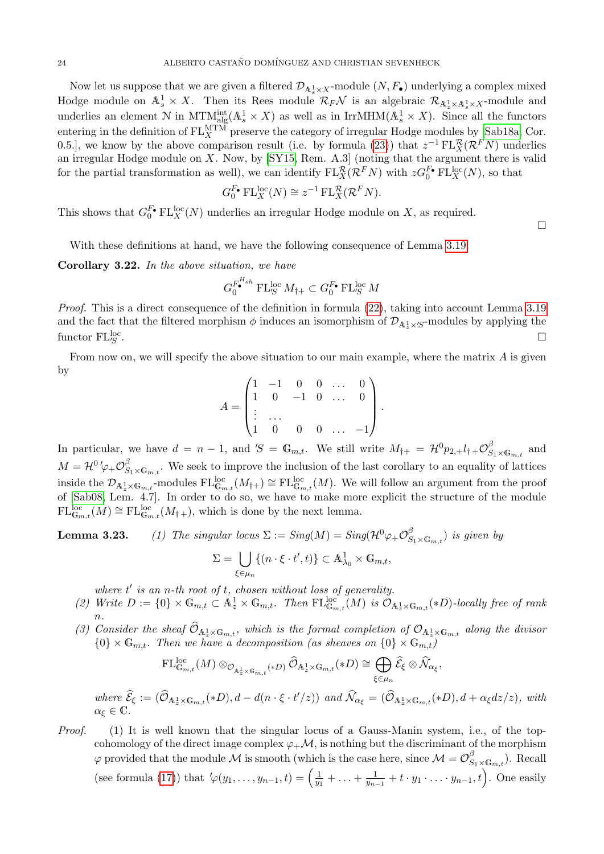Now let us suppose that we are given a filtered  $\mathcal{D}_{A_s^1 \times X}$ -module  $(N, F_{\bullet})$  underlying a complex mixed Hodge module on  $\mathbb{A}_s^1 \times X$ . Then its Rees module  $\mathcal{R}_F \mathcal{N}$  is an algebraic  $\mathcal{R}_{\mathbb{A}_s^1 \times \mathbb{A}_s^1 \times X}$ -module and underlies an element N in  $MTM<sup>int</sup><sub>alg</sub>(A<sup>1</sup><sub>s</sub> × X)$  as well as in IrrMHM( $A<sup>1</sup><sub>s</sub> × X$ ). Since all the functors entering in the definition of  $FL_X^{\text{MTM}}$  preserve the category of irregular Hodge modules by [\[Sab18a,](#page-30-0) Cor. 0.5.], we know by the above comparison result (i.e. by formula [\(23\)](#page-22-1)) that  $z^{-1} \operatorname{FL}^{\mathcal{R}}_{X}(\mathcal{R}^F N)$  underlies an irregular Hodge module on X. Now, by [\[SY15,](#page-30-4) Rem. A.3] (noting that the argument there is valid for the partial transformation as well), we can identify  $FL_X^{\mathcal{R}}(\mathcal{R}^F N)$  with  $zG_0^{F_\bullet}FL_X^{\text{loc}}(N)$ , so that

$$
G_0^{F_\bullet} \operatorname{FL}_X^{\operatorname{loc}}(N) \cong z^{-1} \operatorname{FL}_X^{\mathcal{R}}(\mathcal{R}^F N).
$$

This shows that  $G_0^{F_\bullet} \operatorname{FL}_X^{\operatorname{loc}}(N)$  underlies an irregular Hodge module on X, as required.

With these definitions at hand, we have the following consequence of Lemma [3.19:](#page-20-0)

Corollary 3.22. In the above situation, we have

 $\alpha_{\xi}$ 

$$
G_0^{F_\bullet^{H_{sh}}} \operatorname{FL}_{S}^{\operatorname{loc}} M_{\dagger +} \subset G_0^{F_\bullet} \operatorname{FL}_{S}^{\operatorname{loc}} M
$$

Proof. This is a direct consequence of the definition in formula [\(22\)](#page-21-1), taking into account Lemma [3.19](#page-20-0) and the fact that the filtered morphism  $\phi$  induces an isomorphism of  $\mathcal{D}_{A_{z}^1\times' S}$ -modules by applying the functor  $\operatorname{FL}_{S}^{\operatorname{loc}}$ . In the second control of the second control of the second control of the second control of the second control of

From now on, we will specify the above situation to our main example, where the matrix  $A$  is given by

$$
A = \begin{pmatrix} 1 & -1 & 0 & 0 & \dots & 0 \\ 1 & 0 & -1 & 0 & \dots & 0 \\ \vdots & \dots & & & & \\ 1 & 0 & 0 & 0 & \dots & -1 \end{pmatrix}.
$$

In particular, we have  $d = n - 1$ , and  $S = \mathbb{G}_{m,t}$ . We still write  $M_{\dagger+} = \mathcal{H}^0 p_{2,+} l_{\dagger} + \mathcal{O}_{S_1 \times \mathbb{G}_{m,t}}^{\beta}$  and  $M = \mathcal{H}^0'\varphi_+ \mathcal{O}_{S_1\times\mathbb{G}_{m,t}}^{\beta}$ . We seek to improve the inclusion of the last corollary to an equality of lattices inside the  $\mathcal{D}_{\mathbb{A}^1_z \times \mathbb{G}_{m,t}}$ -modules  $\mathrm{FL}_{\mathbb{G}_{m,t}}^{\text{loc}}(M_{\dagger+}) \cong \mathrm{FL}_{\mathbb{G}_{m,t}}^{\text{loc}}(M)$ . We will follow an argument from the proof of [\[Sab08,](#page-30-13) Lem. 4.7]. In order to do so, we have to make more explicit the structure of the module  $\mathrm{FL}_{\mathbb{G}_{m,t}}^{\text{loc}}(M) \cong \mathrm{FL}_{\mathbb{G}_{m,t}}^{\text{loc}}(M_{\dagger+}),$  which is done by the next lemma.

**Lemma 3.23.** (1) The singular locus  $\Sigma := Sing(M) = Sing(\mathcal{H}^0 \varphi_+ \mathcal{O}_{S_1 \times \mathbb{G}_{m,t}}^{\beta})$  is given by

$$
\Sigma = \bigcup_{\xi \in \mu_n} \{ (n \cdot \xi \cdot t', t) \} \subset \mathbb{A}^1_{\lambda_0} \times \mathbb{G}_{m,t},
$$

where  $t'$  is an n-th root of  $t$ , chosen without loss of generality.

- (2) Write  $D := \{0\} \times \mathbb{G}_{m,t} \subset \mathbb{A}_z^1 \times \mathbb{G}_{m,t}$ . Then  $\mathrm{FL}_{\mathbb{G}_{m,t}}^{\mathrm{loc}}(M)$  is  $\mathcal{O}_{\mathbb{A}_z^1 \times \mathbb{G}_{m,t}}(*D)$ -locally free of rank n.
- (3) Consider the sheaf  $\mathcal{O}_{A_z^1 \times G_{m,t}}$ , which is the formal completion of  $\mathcal{O}_{A_z^1 \times G_{m,t}}$  along the divisor  ${0} \times \mathbb{G}_{m,t}$ . Then we have a decomposition (as sheaves on  ${0} \times \mathbb{G}_{m,t}$ )

$$
\mathrm{FL}_{\mathbb{G}_{m,t}}^{\mathrm{loc}}(M) \otimes_{\mathcal{O}_{\mathbb{A}_z^1 \times \mathbb{G}_{m,t}}(*D)} \widehat{\mathcal{O}}_{\mathbb{A}_z^1 \times \mathbb{G}_{m,t}}(*D) \cong \bigoplus_{\xi \in \mu_n} \widehat{\mathcal{E}}_{\xi} \otimes \widehat{\mathcal{N}}_{\alpha_{\xi}},
$$
  
where  $\widehat{\mathcal{E}}_{\xi} := (\widehat{\mathcal{O}}_{\mathbb{A}_z^1 \times \mathbb{G}_{m,t}}(*D), d - d(n \cdot \xi \cdot t'/z))$  and  $\widehat{\mathcal{N}}_{\alpha_{\xi}} = (\widehat{\mathcal{O}}_{\mathbb{A}_z^1 \times \mathbb{G}_{m,t}}(*D), d + \alpha_{\xi}dz/z),$  with  $\alpha_{\xi} \in \mathbb{C}.$ 

*Proof.* (1) It is well known that the singular locus of a Gauss-Manin system, i.e., of the topcohomology of the direct image complex  $\varphi_+\mathcal{M}$ , is nothing but the discriminant of the morphism  $\varphi$  provided that the module M is smooth (which is the case here, since  $\mathcal{M} = \mathcal{O}_{S_1 \times \mathbb{G}_{m,t}}^{\beta}$ ). Recall (see formula [\(17\)](#page-18-1)) that  $\varphi(y_1, \ldots, y_{n-1}, t) = \left(\frac{1}{w}\right)$  $\frac{1}{y_1} + \ldots + \frac{1}{y_n}$  $\frac{1}{y_{n-1}} + t \cdot y_1 \cdot \ldots \cdot y_{n-1}, t$ ). One easily

 $\Box$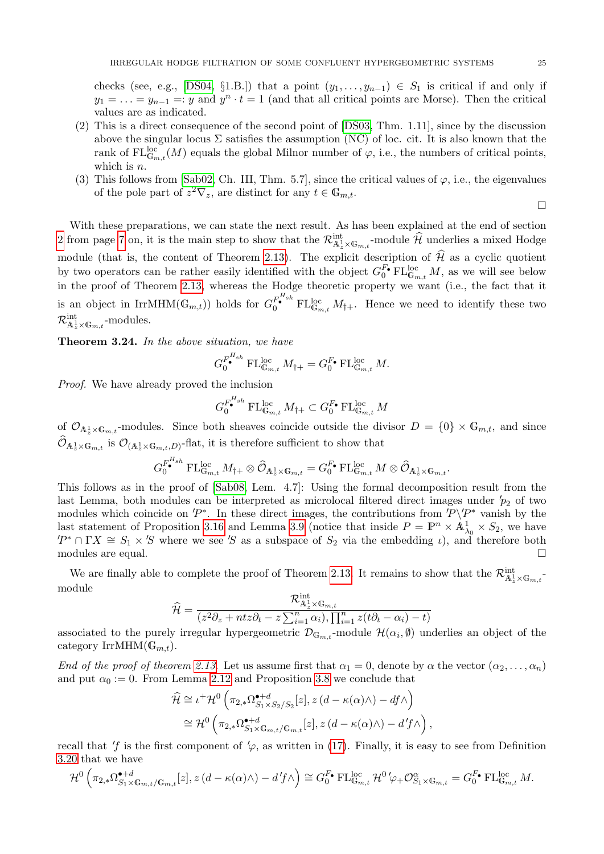checks (see, e.g., [\[DS04,](#page-30-14) §1.B.]) that a point  $(y_1, \ldots, y_{n-1}) \in S_1$  is critical if and only if  $y_1 = \ldots = y_{n-1} =: y$  and  $y^n \cdot t = 1$  (and that all critical points are Morse). Then the critical values are as indicated.

- (2) This is a direct consequence of the second point of [\[DS03,](#page-30-31) Thm. 1.11], since by the discussion above the singular locus  $\Sigma$  satisfies the assumption (NC) of loc. cit. It is also known that the rank of  $\mathrm{FL}_{\mathbb{G}_{m,t}}^{\mathrm{loc}}(M)$  equals the global Milnor number of  $\varphi$ , i.e., the numbers of critical points, which is *n*.
- (3) This follows from [\[Sab02,](#page-30-32) Ch. III, Thm. 5.7], since the critical values of  $\varphi$ , i.e., the eigenvalues of the pole part of  $z^2 \nabla_z$ , are distinct for any  $t \in \mathbb{G}_{m,t}$ .

 $\Box$ 

With these preparations, we can state the next result. As has been explained at the end of section [2](#page-2-3) from page [7](#page-6-0) on, it is the main step to show that the  $\mathcal{R}^{\text{int}}_{\mathbb{A}^1_x \times \mathbb{G}_{m,t}}$ -module  $\widehat{\mathcal{H}}$  underlies a mixed Hodge module (that is, the content of Theorem [2.13\)](#page-6-0). The explicit description of  $\hat{\mathcal{H}}$  as a cyclic quotient by two operators can be rather easily identified with the object  $G_0^{F_\bullet} \text{FL}_{\mathbb{G}_{m,t}}^{\text{loc}} M$ , as we will see below in the proof of Theorem [2.13,](#page-6-0) whereas the Hodge theoretic property we want (i.e., the fact that it is an object in IrrMHM( $\mathbb{G}_{m,t}$ ) holds for  $G_0^{F^{Hsh}}$  FL $_{\mathbb{G}_{m,t}}$   $M_{\dagger+}$ . Hence we need to identify these two  $\mathcal{R}^{\rm int}_{\mathbb{A}_z^1\times\mathbb{G}_{m,t}}$ -modules.

<span id="page-24-0"></span>Theorem 3.24. In the above situation, we have

$$
G_0^{F_{\bullet}^{H_{sh}}} \operatorname{FL}_{\mathbb{G}_{m,t}}^{\operatorname{loc}} M_{\dagger+} = G_0^{F_{\bullet}} \operatorname{FL}_{\mathbb{G}_{m,t}}^{\operatorname{loc}} M.
$$

Proof. We have already proved the inclusion

$$
G_0^{F_{\bullet}^{H_{sh}}} \to \mathcal{L}_{\mathbb{G}_{m,t}}^{\text{loc}} M_{\dagger+} \subset G_0^{F_{\bullet}} \to \mathcal{L}_{\mathbb{G}_{m,t}}^{\text{loc}} M
$$

of  $\mathcal{O}_{A^1_\star \times G_{m,t}}$ -modules. Since both sheaves coincide outside the divisor  $D = \{0\} \times G_{m,t}$ , and since  $\mathcal{O}_{A_z^1 \times \mathbb{G}_{m,t}}$  is  $\mathcal{O}_{(A_z^1 \times \mathbb{G}_{m,t},D)}$ -flat, it is therefore sufficient to show that

$$
G_0^{F_{\bullet}^{H_{sh}}} \operatorname{FL}_{\mathbb{G}_{m,t}}^{\operatorname{loc}} M_{\dagger+} \otimes \widehat{\mathcal{O}}_{\mathbb{A}^1_z \times \mathbb{G}_{m,t}} = G_0^{F_{\bullet}} \operatorname{FL}_{\mathbb{G}_{m,t}}^{\operatorname{loc}} M \otimes \widehat{\mathcal{O}}_{\mathbb{A}^1_z \times \mathbb{G}_{m,t}}.
$$

This follows as in the proof of [\[Sab08,](#page-30-13) Lem. 4.7]: Using the formal decomposition result from the last Lemma, both modules can be interpreted as microlocal filtered direct images under  $p_2$  of two modules which coincide on  $P^*$ . In these direct images, the contributions from  $P\Y P^*$  vanish by the last statement of Proposition [3.16](#page-18-0) and Lemma [3.9](#page-13-1) (notice that inside  $P = \mathbb{P}^n \times \mathbb{A}^1_{\lambda_0} \times S_2$ , we have  $P^* \cap \Gamma X \cong S_1 \times S$  where we see 'S as a subspace of  $S_2$  via the embedding  $\iota$ ), and therefore both modules are equal.  $\Box$ 

We are finally able to complete the proof of Theorem [2.13.](#page-6-0) It remains to show that the  $\mathcal{R}^{\text{int}}_{\mathbb{A}^1_z \times \mathbb{G}_{m,t}}$ module

$$
\widehat{\mathcal{H}} = \frac{\mathcal{R}_{\mathbb{A}_z}^{\text{int}}}{(z^2 \partial_z + ntz \partial_t - z \sum_{i=1}^n \alpha_i), \prod_{i=1}^n z(t \partial_t - \alpha_i) - t)}
$$

associated to the purely irregular hypergeometric  $\mathcal{D}_{\mathbb{G}_{m,t}}$ -module  $\mathcal{H}(\alpha_i, \emptyset)$  underlies an object of the category IrrMHM $(\mathbb{G}_{m,t}).$ 

End of the proof of theorem [2.13.](#page-6-0) Let us assume first that  $\alpha_1 = 0$ , denote by  $\alpha$  the vector  $(\alpha_2, \ldots, \alpha_n)$ and put  $\alpha_0 := 0$ . From Lemma [2.12](#page-5-0) and Proposition [3.8](#page-11-0) we conclude that

$$
\hat{\mathcal{H}} \cong \iota^+ \mathcal{H}^0 \left( \pi_{2,*} \Omega_{S_1 \times S_2/S_2}^{\bullet+d}[z], z (d - \kappa(\alpha) \wedge) - df \wedge \right)
$$
  
\n
$$
\cong \mathcal{H}^0 \left( \pi_{2,*} \Omega_{S_1 \times G_{m,t}/G_{m,t}}^{\bullet+d}[z], z (d - \kappa(\alpha) \wedge) - d'f \wedge \right),
$$

recall that  $'f$  is the first component of  $\varphi$ , as written in [\(17\)](#page-18-1). Finally, it is easy to see from Definition [3.20](#page-21-0) that we have

$$
\mathcal{H}^0\left(\pi_{2,*}\Omega_{S_1\times\mathbb{G}_{m,t}/\mathbb{G}_{m,t}}^{\bullet+d}[z],z\left(d-\kappa(\alpha)\wedge\right)-d'f\wedge\right)\cong G_0^{F_\bullet}\operatorname{FL}_{\mathbb{G}_{m,t}}^{\text{loc}}\mathcal{H}^0'\varphi_+\mathcal{O}_{S_1\times\mathbb{G}_{m,t}}^{\alpha}=G_0^{F_\bullet}\operatorname{FL}_{\mathbb{G}_{m,t}}^{\text{loc}}M.
$$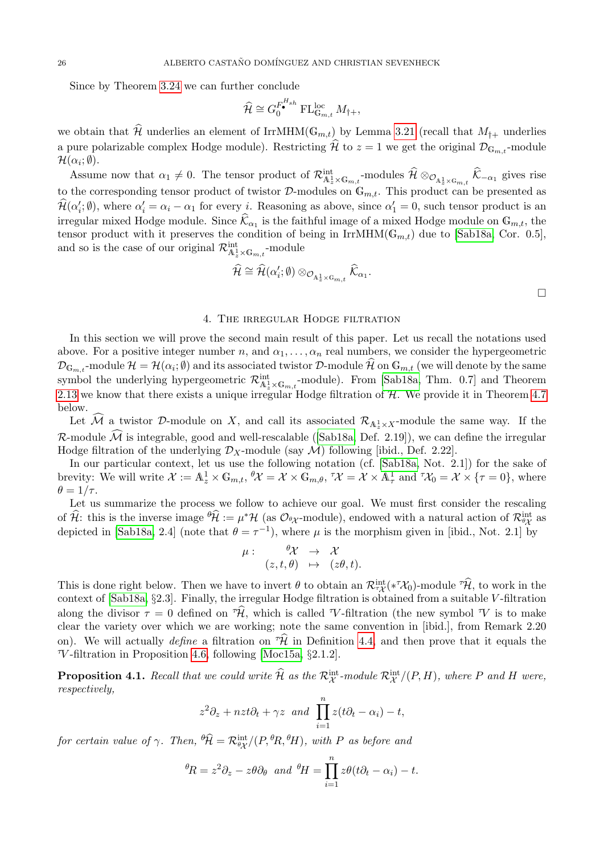Since by Theorem [3.24](#page-24-0) we can further conclude

$$
\widehat{\mathcal{H}} \cong G_0^{F_{\bullet}^{H_{sh}}} \operatorname{FL}_{\mathbb{G}_{m,t}}^{\text{loc}} M_{\dagger +},
$$

we obtain that  $\widehat{\mathcal{H}}$  underlies an element of IrrMHM( $\mathbb{G}_{m,t}$ ) by Lemma [3.21](#page-22-0) (recall that  $M_{\dagger+}$  underlies a pure polarizable complex Hodge module). Restricting  $\hat{\mathcal{H}}$  to  $z = 1$  we get the original  $\mathcal{D}_{\mathbb{G}_m,t}$ -module  $\mathcal{H}(\alpha_i; \emptyset).$ 

Assume now that  $\alpha_1 \neq 0$ . The tensor product of  $\mathcal{R}^{\text{int}}_{\mathbb{A}^1_z \times \mathbb{G}_{m,t}}$ -modules  $\widehat{\mathcal{H}} \otimes_{\mathcal{O}_{\mathbb{A}^1_z \times \mathbb{G}_{m,t}}} \widehat{\mathcal{K}}_{-\alpha_1}$  gives rise to the corresponding tensor product of twistor  $\mathcal{D}$ -modules on  $\mathbb{G}_{m,t}$ . This product can be presented as  $\hat{\mathcal{H}}(\alpha'_i; \emptyset)$ , where  $\alpha'_i = \alpha_i - \alpha_1$  for every *i*. Reasoning as above, since  $\alpha'_1 = 0$ , such tensor product is an irregular mixed Hodge module. Since  $\widehat{\mathcal{K}}_{\alpha_1}$  is the faithful image of a mixed Hodge module on  $\mathbb{G}_{m,t}$ , the tensor product with it preserves the condition of being in IrrMHM( $\mathbb{G}_{m,t}$ ) due to [\[Sab18a,](#page-30-0) Cor. 0.5], and so is the case of our original  $\mathcal{R}^{\text{int}}_{\mathbb{A}^1_z \times \mathbb{G}_{m,t}}$ -module

$$
\widehat{\mathcal{H}} \cong \widehat{\mathcal{H}}(\alpha_i'; \emptyset) \otimes_{\mathcal{O}_{\mathbb{A}_z^1 \times \mathbb{G}_{m,t}}} \widehat{\mathcal{K}}_{\alpha_1}.
$$

### 4. The irregular Hodge filtration

In this section we will prove the second main result of this paper. Let us recall the notations used above. For a positive integer number n, and  $\alpha_1, \ldots, \alpha_n$  real numbers, we consider the hypergeometric  $\mathcal{D}_{\mathbb{G}_{m,t}}$ -module  $\mathcal{H} = \mathcal{H}(\alpha_i; \emptyset)$  and its associated twistor  $\mathcal{D}\text{-module}$   $\mathcal{H}$  on  $\mathbb{G}_{m,t}$  (we will denote by the same symbol the underlying hypergeometric  $\mathcal{R}^{\text{int}}_{A_z^1 \times G_{m,t}}$ -module). From [\[Sab18a,](#page-30-0) Thm. 0.7] and Theorem [2.13](#page-6-0) we know that there exists a unique irregular Hodge filtration of  $H$ . We provide it in Theorem [4.7](#page-29-2) below.

Let M a twistor D-module on X, and call its associated  $\mathcal{R}_{A_{z}^1\times X}$ -module the same way. If the  $\mathcal R$  $\mathcal R$  $\mathcal R$ -module  $\widehat{\mathcal M}$  is integrable, good and well-rescalable ([\[Sab18a,](#page-30-0) Def. 2.19]), we can define the irregular Hodge filtration of the underlying  $\mathcal{D}_X$ -module (say  $\mathcal{M}$ ) following [ibid., Def. 2.22].

In our particular context, let us use the following notation (cf. [\[Sab18a,](#page-30-0) Not. 2.1]) for the sake of brevity: We will write  $\mathcal{X} := \mathbb{A}^1_z \times \mathbb{G}_{m,t}$ ,  $\theta \mathcal{X} = \mathcal{X} \times \mathbb{G}_{m,\theta}$ ,  $\tau \mathcal{X} = \mathcal{X} \times \mathbb{A}^1_\tau$  and  $\tau \mathcal{X}_0 = \mathcal{X} \times \{\tau = 0\}$ , where  $\theta = 1/\tau$ .

Let us summarize the process we follow to achieve our goal. We must first consider the rescaling of  $\hat{\mathcal{H}}$ : this is the inverse image  ${}^{\theta}\hat{\mathcal{H}} := \mu^* \mathcal{H}$  (as  $\mathcal{O}_{\theta\chi}$ -module), endowed with a natural action of  $\mathcal{R}_{\theta\chi}^{\text{int}}$  as depicted in [\[Sab18a,](#page-30-0) 2.4] (note that  $\theta = \tau^{-1}$ ), where  $\mu$  is the morphism given in [ibid., Not. 2.1] by

$$
\mu: \quad \begin{array}{rcl} \theta \mathcal{X} & \to & \mathcal{X} \\ (z,t,\theta) & \mapsto & (z\theta,t). \end{array}
$$

This is done right below. Then we have to invert  $\theta$  to obtain an  $\mathcal{R}^{\text{int}}_{\tau\mathcal{X}}(*\tau\mathcal{X}_0)$ -module  $\tau\hat{\mathcal{H}}$ , to work in the context of [\[Sab18a,](#page-30-0) §2.3]. Finally, the irregular Hodge filtration is obtained from a suitable V -filtration along the divisor  $\tau = 0$  defined on  $\hat{\tau}$ , which is called  $\tau$ -filtration (the new symbol  $\tau$ ) is to make clear the variety over which we are working; note the same convention in [ibid.], from Remark 2.20 on). We will actually define a filtration on  $\hat{\mathcal{H}}$  in Definition [4.4,](#page-27-0) and then prove that it equals the  $\tau$ -filtration in Proposition [4.6,](#page-28-0) following [\[Moc15a,](#page-30-1) §2.1.2].

<span id="page-25-0"></span>**Proposition 4.1.** Recall that we could write  $\widehat{\mathcal{H}}$  as the  $\mathcal{R}^{\text{int}}_{\mathcal{X}}$ -module  $\mathcal{R}^{\text{int}}_{\mathcal{X}}/(P,H)$ , where P and H were, respectively,

$$
z^2\partial_z + nz t \partial_t + \gamma z
$$
 and  $\prod_{i=1}^n z(t\partial_t - \alpha_i) - t$ ,

for certain value of  $\gamma$ . Then,  $\theta \widehat{\mathcal{H}} = \mathcal{R}_{\theta \chi}^{\text{int}}/(P,{}^{\theta}R,{}^{\theta}H)$ , with P as before and

$$
{}^{\theta}R = z^2 \partial_z - z\theta \partial_{\theta} \text{ and } {}^{\theta}H = \prod_{i=1}^{n} z\theta (t\partial_t - \alpha_i) - t.
$$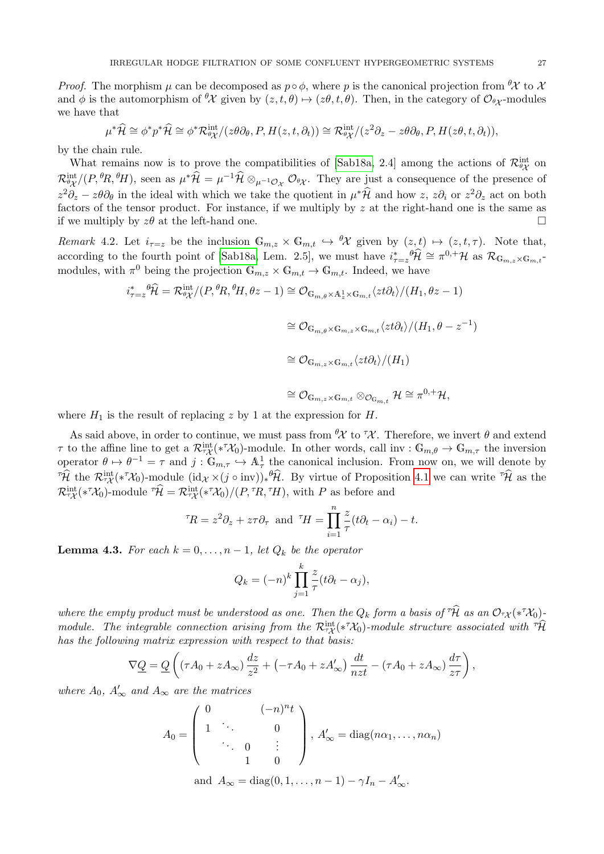*Proof.* The morphism  $\mu$  can be decomposed as  $p \circ \phi$ , where p is the canonical projection from  ${}^{\theta} \mathcal{X}$  to  $\mathcal{X}$ and  $\phi$  is the automorphism of  ${}^{\theta}\mathcal{X}$  given by  $(z, t, \theta) \mapsto (z\theta, t, \theta)$ . Then, in the category of  $\mathcal{O}_{\theta\chi}$ -modules we have that

$$
\mu^*\widehat{\mathcal{H}} \cong \phi^*p^*\widehat{\mathcal{H}} \cong \phi^*\mathcal{R}^{\text{int}}_{\partial\mathcal{X}}/(z\theta\partial_\theta, P, H(z, t, \partial_t)) \cong \mathcal{R}^{\text{int}}_{\partial\mathcal{X}}/(z^2\partial_z - z\theta\partial_\theta, P, H(z\theta, t, \partial_t)),
$$

by the chain rule.

What remains now is to prove the compatibilities of [\[Sab18a,](#page-30-0) 2.4] among the actions of  $\mathcal{R}_{\theta\gamma}^{\text{int}}$  on  $\theta$ λ  $\mathcal{R}_{\theta\chi}^{\text{int}}/(P,\theta R,\theta H)$ , seen as  $\mu^*\hat{\mathcal{H}} = \mu^{-1}\hat{\mathcal{H}} \otimes_{\mu^{-1}\mathcal{O}_{\mathcal{X}}} \mathcal{O}_{\theta\chi}$ . They are just a consequence of the presence of  $z^2\partial_z - z\theta\partial_\theta$  in the ideal with which we take the quotient in  $\mu^*\hat{\mathcal{H}}$  and how  $z$ ,  $z\partial_i$  or  $z^2\partial_z$  act on both factors of the tensor product. For instance, if we multiply by  $z$  at the right-hand one is the same as if we multiply by  $z\theta$  at the left-hand one.

Remark 4.2. Let  $i_{\tau=z}$  be the inclusion  $\mathbb{G}_{m,z}\times\mathbb{G}_{m,t}\hookrightarrow\mathscr{H}$  given by  $(z,t)\mapsto(z,t,\tau)$ . Note that, according to the fourth point of [\[Sab18a,](#page-30-0) Lem. 2.5], we must have  $i_{\tau=z}^* \theta \hat{\mathcal{H}} \cong \pi^{0,+} \mathcal{H}$  as  $\mathcal{R}_{\mathbb{G}_{m,z} \times \mathbb{G}_{m,t}}$ modules, with  $\pi^0$  being the projection  $\mathbb{G}_{m,z} \times \mathbb{G}_{m,t} \to \mathbb{G}_{m,t}$ . Indeed, we have

$$
i_{\tau=z}^* \theta \widehat{\mathcal{H}} = \mathcal{R}_{\theta \chi}^{\text{int}} / (P,{}^{\theta}R,{}^{\theta}H, \theta z - 1) \cong \mathcal{O}_{\mathbb{G}_{m,\theta} \times \mathbb{A}_z^1 \times \mathbb{G}_{m,t}} \langle z t \partial_t \rangle / (H_1, \theta z - 1)
$$
  
\n
$$
\cong \mathcal{O}_{\mathbb{G}_{m,\theta} \times \mathbb{G}_{m,z} \times \mathbb{G}_{m,t}} \langle z t \partial_t \rangle / (H_1, \theta - z^{-1})
$$
  
\n
$$
\cong \mathcal{O}_{\mathbb{G}_{m,z} \times \mathbb{G}_{m,t}} \langle z t \partial_t \rangle / (H_1)
$$
  
\n
$$
\cong \mathcal{O}_{\mathbb{G}_{m,z} \times \mathbb{G}_{m,t}} \otimes \mathcal{O}_{\mathbb{G}_{m,t}} \mathcal{H} \cong \pi^{0,+} \mathcal{H},
$$

where  $H_1$  is the result of replacing z by 1 at the expression for H.

As said above, in order to continue, we must pass from  $\partial \chi$  to  $\tau \chi$ . Therefore, we invert  $\theta$  and extend  $\tau$  to the affine line to get a  $\mathcal{R}_{\tau\chi}^{\text{int}}(*\tau\mathcal{X}_0)$ -module. In other words, call inv :  $\mathbb{G}_{m,\theta} \to \mathbb{G}_{m,\tau}$  the inversion operator  $\theta \mapsto \theta^{-1} = \tau$  and  $j : \mathbb{G}_{m,\tau} \hookrightarrow \mathbb{A}_{\tau}^1$  the canonical inclusion. From now on, we will denote by  $\hat{\mathcal{H}}$  the  $\mathcal{R}_{\tau\mathcal{X}}^{\text{int}}(*^{\tau}\mathcal{X}_0)$ -module  $(\mathrm{id}_{\mathcal{X}}\times(j\circ\mathrm{inv}))_*\hat{\mathcal{H}}$ . By virtue of Proposition [4.1](#page-25-0) we can write  $\hat{\mathcal{H}}$  as the  $\mathcal{R}_{\tau\mathcal{X}}^{\text{int}}(*\tau\mathcal{X}_0)$ -module  $\tau\widehat{\mathcal{H}} = \mathcal{R}_{\tau\mathcal{X}}^{\text{int}}(*\tau\mathcal{X}_0)/(P,\tau R,\tau H)$ , with P as before and

$$
{}^{\tau}R = z^2 \partial_z + z\tau \partial_{\tau} \text{ and } {}^{\tau}H = \prod_{i=1}^{n} \frac{z}{\tau} (t\partial_t - \alpha_i) - t.
$$

<span id="page-26-0"></span>**Lemma 4.3.** For each  $k = 0, \ldots, n - 1$ , let  $Q_k$  be the operator

$$
Q_k = (-n)^k \prod_{j=1}^k \frac{z}{\tau} (t \partial_t - \alpha_j),
$$

where the empty product must be understood as one. Then the  $Q_k$  form a basis of  $\hat{H}$  as an  $\mathcal{O}_{\tau\chi}(*\hat{X}_0)$ module. The integrable connection arising from the  $\mathcal{R}^{\text{int}}_{\tau\mathcal{X}}(*\tau\mathcal{X}_0)$ -module structure associated with  ${}^{\tau}\hat{\mathcal{H}}$ has the following matrix expression with respect to that basis:

$$
\nabla \underline{Q} = \underline{Q} \left( (\tau A_0 + z A_\infty) \frac{dz}{z^2} + (-\tau A_0 + z A'_\infty) \frac{dt}{nzt} - (\tau A_0 + z A_\infty) \frac{d\tau}{z\tau} \right),
$$

where  $A_0$ ,  $A'_\infty$  and  $A_\infty$  are the matrices

$$
A_0 = \begin{pmatrix} 0 & (-n)^n t \\ 1 & \ddots & 0 \\ \ddots & 0 & \vdots \\ 1 & 0 & \end{pmatrix}, A'_\infty = \text{diag}(n\alpha_1, \dots, n\alpha_n)
$$
\n
$$
\text{and } A_\infty = \text{diag}(0, 1, \dots, n-1) - \gamma I_n - A'_\infty.
$$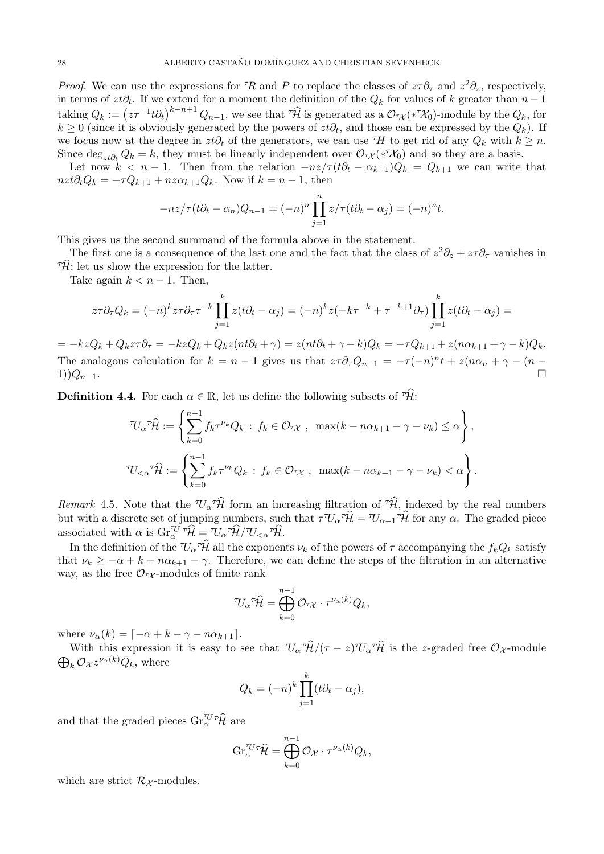*Proof.* We can use the expressions for <sup> $\tau$ </sup>R and P to replace the classes of  $z\tau\partial_\tau$  and  $z^2\partial_z$ , respectively, in terms of  $zt\partial_t$ . If we extend for a moment the definition of the  $Q_k$  for values of k greater than  $n-1$ taking  $Q_k := (z\tau^{-1}t\partial_t)^{k-n+1} Q_{n-1}$ , we see that  $\tau \hat{\mathcal{H}}$  is generated as a  $\mathcal{O}_{\tau\chi}(*\tau\mathcal{X}_0)$ -module by the  $Q_k$ , for  $k \geq 0$  (since it is obviously generated by the powers of  $zt\partial_t$ , and those can be expressed by the  $Q_k$ ). If we focus now at the degree in  $zt\partial_t$  of the generators, we can use  $H$  to get rid of any  $Q_k$  with  $k \geq n$ . Since  $\deg_{zt\partial_t} Q_k = k$ , they must be linearly independent over  $\mathcal{O}_{\tau\chi}(*\tau\chi_0)$  and so they are a basis.

Let now  $k < n - 1$ . Then from the relation  $-nz/\tau (t\partial_t - \alpha_{k+1})Q_k = Q_{k+1}$  we can write that  $nzt\partial_tQ_k = -\tau Q_{k+1} + nz\alpha_{k+1}Q_k$ . Now if  $k = n - 1$ , then

$$
-nz/\tau(t\partial_t - \alpha_n)Q_{n-1} = (-n)^n \prod_{j=1}^n z/\tau(t\partial_t - \alpha_j) = (-n)^n t.
$$

This gives us the second summand of the formula above in the statement.

The first one is a consequence of the last one and the fact that the class of  $z^2\partial_z + z\tau\partial_\tau$  vanishes in  $\hat{\mathcal{H}}$ ; let us show the expression for the latter.

Take again  $k < n - 1$ . Then,

$$
z\tau \partial_{\tau} Q_k = (-n)^k z\tau \partial_{\tau} \tau^{-k} \prod_{j=1}^k z(t\partial_t - \alpha_j) = (-n)^k z(-k\tau^{-k} + \tau^{-k+1} \partial_{\tau}) \prod_{j=1}^k z(t\partial_t - \alpha_j) =
$$

 $= -kzQ_k + Q_kz\tau \partial_\tau = -kzQ_k + Q_kz(nt\partial_t + \gamma) = z(nt\partial_t + \gamma - k)Q_k = -\tau Q_{k+1} + z(n\alpha_{k+1} + \gamma - k)Q_k.$ The analogous calculation for  $k = n - 1$  gives us that  $z\tau \partial_{\tau} Q_{n-1} = -\tau (-n)^{n} t + z(n\alpha_{n} + \gamma - (n 1)$ ) $Q_{n-1}$ .

<span id="page-27-0"></span>**Definition 4.4.** For each  $\alpha \in \mathbb{R}$ , let us define the following subsets of  $\widehat{\tau}\widehat{\mathcal{H}}$ :

$$
\begin{aligned}\n\mathcal{T}U_{\alpha} \mathcal{T}\hat{\mathcal{H}} &:= \left\{ \sum_{k=0}^{n-1} f_k \tau^{\nu_k} Q_k \, : \, f_k \in \mathcal{O}_{\tau \chi} \, , \, \max(k - n\alpha_{k+1} - \gamma - \nu_k) \le \alpha \right\}, \\
\mathcal{T}U_{<\alpha} \mathcal{T}\hat{\mathcal{H}} &:= \left\{ \sum_{k=0}^{n-1} f_k \tau^{\nu_k} Q_k \, : \, f_k \in \mathcal{O}_{\tau \chi} \, , \, \max(k - n\alpha_{k+1} - \gamma - \nu_k) < \alpha \right\}.\n\end{aligned}
$$

<span id="page-27-1"></span>Remark 4.5. Note that the  $\mathbb{U}_{\alpha} \hat{\mathcal{H}}$  form an increasing filtration of  $\hat{\mathcal{H}}$ , indexed by the real numbers but with a discrete set of jumping numbers, such that  $\tau^{\tau}U_{\alpha} \hat{\tau} \hat{\mathcal{H}} = U_{\alpha-1} \tau \hat{\mathcal{H}}$  for any  $\alpha$ . The graded piece associated with  $\alpha$  is  $\operatorname{Gr}_{\alpha}^{\tau U} \tau \hat{\mathcal{H}} = \tau U_{\alpha} \tau \hat{\mathcal{H}} / \tau U_{\leq \alpha} \tau \hat{\mathcal{H}}.$ 

In the definition of the  $\mathcal{U}_{\alpha} \hat{\mathcal{H}}$  all the exponents  $\nu_k$  of the powers of  $\tau$  accompanying the  $f_k Q_k$  satisfy that  $\nu_k \geq -\alpha + k - n\alpha_{k+1} - \gamma$ . Therefore, we can define the steps of the filtration in an alternative way, as the free  $\mathcal{O}_{\tau\chi}$ -modules of finite rank

$$
^{\mathcal{T}}\mathcal{U}_{\alpha}{}^{\tau}\widehat{\mathcal{H}} = \bigoplus_{k=0}^{n-1} \mathcal{O}_{^{\tau}\mathcal{X}}\cdot \tau^{\nu_{\alpha}(k)}Q_k,
$$

where  $\nu_{\alpha}(k) = \lceil -\alpha + k - \gamma - n\alpha_{k+1} \rceil$ .

With this expression it is easy to see that  $\mathcal{U}_{\alpha} \hat{\mathcal{H}}/(\tau - z) \mathcal{U}_{\alpha} \hat{\mathcal{H}}$  is the z-graded free  $\mathcal{O}_{\mathcal{X}}$ -module  $\bigoplus_k \mathcal{O}_{\mathcal{X}} z^{\nu_{\alpha}(k)} \bar{Q}_k$ , where

$$
\bar{Q}_k = (-n)^k \prod_{j=1}^k (t\partial_t - \alpha_j),
$$

and that the graded pieces  $\operatorname{Gr}^{\tau U \tau \widehat{\mathcal{H}}}_\alpha$  are

$$
\operatorname{Gr}_{\alpha}^{\tau U \tau} \widehat{\mathcal{H}} = \bigoplus_{k=0}^{n-1} \mathcal{O}_{\mathcal{X}} \cdot \tau^{\nu_{\alpha}(k)} Q_k,
$$

which are strict  $\mathcal{R}_{\mathcal{X}}$ -modules.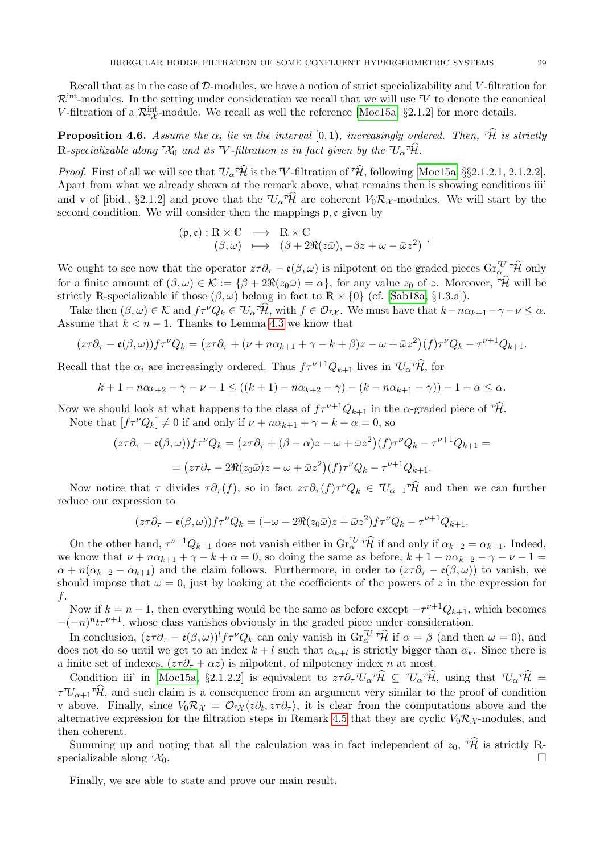Recall that as in the case of  $\mathcal{D}\text{-modules}$ , we have a notion of strict specializability and V-filtration for  $\mathcal{R}^{\text{int}}$ -modules. In the setting under consideration we recall that we will use V to denote the canonical V-filtration of a  $\mathcal{R}_{7\chi}^{int}$ -module. We recall as well the reference [\[Moc15a,](#page-30-1) §2.1.2] for more details.

<span id="page-28-0"></span>**Proposition 4.6.** Assume the  $\alpha_i$  lie in the interval  $[0,1)$ , increasingly ordered. Then,  $\hat{\mathcal{H}}$  is strictly  $\mathbb R$ -specializable along  ${}^{\tau\!\mathcal{X}_0}$  and its  $W$ -filtration is in fact given by the  ${}^{\tau\!\mathcal{U}_\alpha}{}^{\tau\!\widehat{\mathcal{H}}}$ .

*Proof.* First of all we will see that  $\mathcal{U}_{\alpha} \hat{\mathcal{H}}$  is the  $\mathcal{V}$ -filtration of  $\hat{\mathcal{H}}$ , following [\[Moc15a,](#page-30-1) §§2.1.2.1, 2.1.2.2]. Apart from what we already shown at the remark above, what remains then is showing conditions iii' and v of [ibid., §2.1.2] and prove that the  $U_{\alpha} \hat{\mathcal{H}}$  are coherent  $V_0 \mathcal{R}_{\mathcal{X}}$ -modules. We will start by the second condition. We will consider then the mappings  $\mathfrak{p}, \mathfrak{e}$  given by

$$
(\mathfrak{p}, \mathfrak{e}) : \mathbb{R} \times \mathbb{C} \longrightarrow \mathbb{R} \times \mathbb{C} \n(\beta, \omega) \longrightarrow (\beta + 2\Re(z\bar{\omega}), -\beta z + \omega - \bar{\omega}z^2) .
$$

We ought to see now that the operator  $z\tau\partial_{\tau} - \mathfrak{e}(\beta,\omega)$  is nilpotent on the graded pieces  $\text{Gr}_{\alpha}^{\mathcal{U}}\hat{\mathcal{H}}$  only for a finite amount of  $(\beta, \omega) \in \mathcal{K} := {\beta + 2\Re(z_0\bar{\omega}) = \alpha}$ , for any value  $z_0$  of z. Moreover,  $\widehat{H}$  will be strictly R-specializable if those  $(\beta, \omega)$  belong in fact to R  $\times$  {0} (cf. [\[Sab18a,](#page-30-0) §1.3.a]).

Take then  $(\beta, \omega) \in \mathcal{K}$  and  $f \tau^{\nu} Q_k \in T_{\alpha} \hat{\mathcal{H}}$ , with  $f \in \mathcal{O}_{\tau}$ . We must have that  $k - n \alpha_{k+1} - \gamma - \nu \leq \alpha$ . Assume that  $k < n - 1$ . Thanks to Lemma [4.3](#page-26-0) we know that

$$
(z\tau\partial_{\tau}-\mathfrak{e}(\beta,\omega))f\tau^{\nu}Q_{k}=(z\tau\partial_{\tau}+(\nu+n\alpha_{k+1}+\gamma-k+\beta)z-\omega+\bar{\omega}z^{2})(f)\tau^{\nu}Q_{k}-\tau^{\nu+1}Q_{k+1}.
$$

Recall that the  $\alpha_i$  are increasingly ordered. Thus  $f\tau^{\nu+1}Q_{k+1}$  lives in  $\mathcal{U}_{\alpha} \hat{\mathcal{H}}$ , for

$$
k+1 - n\alpha_{k+2} - \gamma - \nu - 1 \le ((k+1) - n\alpha_{k+2} - \gamma) - (k - n\alpha_{k+1} - \gamma)) - 1 + \alpha \le \alpha.
$$

Now we should look at what happens to the class of  $f\tau^{\nu+1}Q_{k+1}$  in the  $\alpha$ -graded piece of  $\widehat{\tau}\widehat{\mathcal{H}}$ . Note that  $[f\tau^{\nu}Q_k] \neq 0$  if and only if  $\nu + n\alpha_{k+1} + \gamma - k + \alpha = 0$ , so

$$
(z\tau\partial_{\tau} - \mathfrak{e}(\beta,\omega))f\tau^{\nu}Q_{k} = (z\tau\partial_{\tau} + (\beta-\alpha)z - \omega + \bar{\omega}z^{2})(f)\tau^{\nu}Q_{k} - \tau^{\nu+1}Q_{k+1} =
$$
  
=  $(z\tau\partial_{\tau} - 2\Re(z_{0}\bar{\omega})z - \omega + \bar{\omega}z^{2})(f)\tau^{\nu}Q_{k} - \tau^{\nu+1}Q_{k+1}.$ 

Now notice that  $\tau$  divides  $\tau \partial_{\tau}(f)$ , so in fact  $z\tau \partial_{\tau}(f)\tau^{\nu}Q_{k} \in \mathcal{U}_{\alpha-1}$   $\tau \hat{\mathcal{H}}$  and then we can further reduce our expression to

$$
(z\tau\partial_{\tau}-\mathfrak{e}(\beta,\omega))f\tau^{\nu}Q_{k}=(-\omega-2\Re(z_{0}\bar{\omega})z+\bar{\omega}z^{2})f\tau^{\nu}Q_{k}-\tau^{\nu+1}Q_{k+1}.
$$

On the other hand,  $\tau^{\nu+1}Q_{k+1}$  does not vanish either in  $\text{Gr}_{\alpha}^{\tau\sigma} \hat{\mathcal{H}}$  if and only if  $\alpha_{k+2} = \alpha_{k+1}$ . Indeed, we know that  $\nu + n\alpha_{k+1} + \gamma - k + \alpha = 0$ , so doing the same as before,  $k+1 - n\alpha_{k+2} - \gamma - \nu - 1 =$  $\alpha + n(\alpha_{k+2} - \alpha_{k+1})$  and the claim follows. Furthermore, in order to  $(z\tau \partial_\tau - \mathfrak{e}(\beta,\omega))$  to vanish, we should impose that  $\omega = 0$ , just by looking at the coefficients of the powers of z in the expression for f.

Now if  $k = n - 1$ , then everything would be the same as before except  $-\tau^{\nu+1}Q_{k+1}$ , which becomes  $-(-n)^n t\tau^{\nu+1}$ , whose class vanishes obviously in the graded piece under consideration.

In conclusion,  $(z\tau \partial_{\tau} - \mathfrak{e}(\beta,\omega))^l f\tau^{\nu} Q_k$  can only vanish in  $\text{Gr}_{\alpha}^{\tau U} \tau \hat{\mathcal{H}}$  if  $\alpha = \beta$  (and then  $\omega = 0$ ), and does not do so until we get to an index  $k+l$  such that  $\alpha_{k+l}$  is strictly bigger than  $\alpha_k$ . Since there is a finite set of indexes,  $(z\tau \partial_\tau + \alpha z)$  is nilpotent, of nilpotency index n at most.

Condition iii' in [\[Moc15a,](#page-30-1) §2.1.2.2] is equivalent to  $z\tau\partial_{\tau} \mathcal{U}_{\alpha} \hat{\mathcal{H}} \subseteq \mathcal{U}_{\alpha} \hat{\mathcal{H}}$ , using that  $\mathcal{U}_{\alpha} \hat{\mathcal{H}} =$  $\tau^{\tau}U_{\alpha+1}$ <sup> $\tau\hat{\mathcal{H}}$ </sup>, and such claim is a consequence from an argument very similar to the proof of condition v above. Finally, since  $V_0 \mathcal{R}_{\mathcal{X}} = \mathcal{O}_{\tau \mathcal{X}} \langle z \partial_t, z \tau \partial_\tau \rangle$ , it is clear from the computations above and the alternative expression for the filtration steps in Remark [4.5](#page-27-1) that they are cyclic  $V_0\mathcal{R}_{\mathcal{X}}$ -modules, and then coherent.

Summing up and noting that all the calculation was in fact independent of  $z_0$ ,  $\hat{\mathcal{H}}$  is strictly Rspecializable along  ${}^{\tau} \mathcal{X}_0$ .

Finally, we are able to state and prove our main result.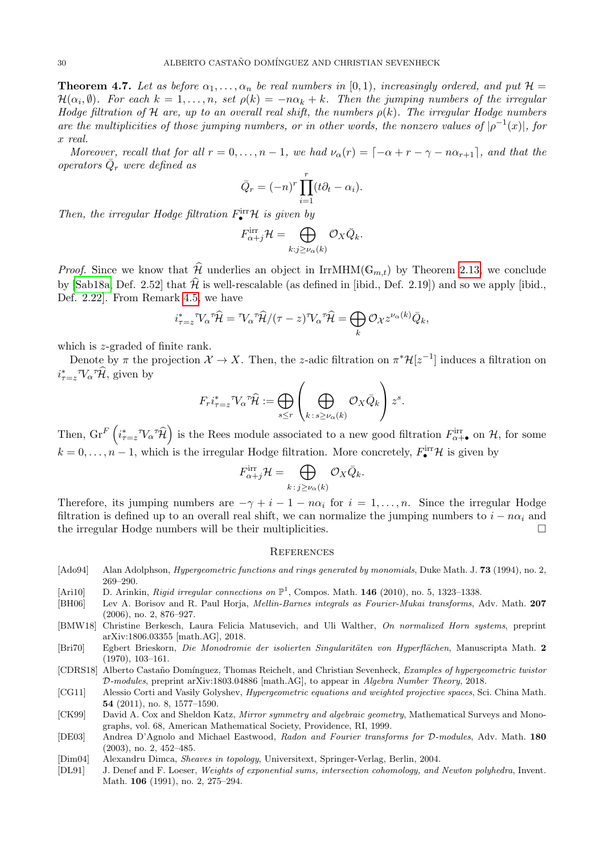<span id="page-29-2"></span>**Theorem 4.7.** Let as before  $\alpha_1, \ldots, \alpha_n$  be real numbers in [0,1], increasingly ordered, and put  $\mathcal{H} =$  $\mathcal{H}(\alpha_i, \emptyset)$ . For each  $k = 1, \ldots, n$ , set  $\rho(k) = -n\alpha_k + k$ . Then the jumping numbers of the irregular Hodge filtration of H are, up to an overall real shift, the numbers  $\rho(k)$ . The irregular Hodge numbers are the multiplicities of those jumping numbers, or in other words, the nonzero values of  $|\rho^{-1}(x)|$ , for x real.

Moreover, recall that for all  $r = 0, \ldots, n - 1$ , we had  $\nu_{\alpha}(r) = [-\alpha + r - \gamma - n\alpha_{r+1}]$ , and that the operators  $\overline{Q}_r$  were defined as

$$
\bar{Q}_r = (-n)^r \prod_{i=1}^r (t\partial_t - \alpha_i).
$$

Then, the irregular Hodge filtration  $F_{\bullet}^{\text{irr}}\mathcal{H}$  is given by

$$
F_{\alpha+j}^{\text{irr}} \mathcal{H} = \bigoplus_{k:j \ge \nu_\alpha(k)} \mathcal{O}_X \bar{Q}_k.
$$

*Proof.* Since we know that  $\widehat{\mathcal{H}}$  underlies an object in IrrMHM( $\mathbb{G}_{m,t}$ ) by Theorem [2.13,](#page-6-0) we conclude by [\[Sab18a,](#page-30-0) Def. 2.52] that  $\hat{\mathcal{H}}$  is well-rescalable (as defined in [ibid., Def. 2.19]) and so we apply [ibid., Def. 2.22]. From Remark [4.5,](#page-27-1) we have

$$
i_{\tau=z}^* \mathcal{V}_{\alpha}^{\tau} \widehat{\mathcal{H}} = \mathcal{V}_{\alpha}^{\tau} \widehat{\mathcal{H}} / (\tau - z)^{\tau} \mathcal{V}_{\alpha}^{\tau} \widehat{\mathcal{H}} = \bigoplus_k \mathcal{O}_{\mathcal{X}} z^{\nu_{\alpha}(k)} \bar{Q}_k,
$$

which is z-graded of finite rank.

Denote by  $\pi$  the projection  $\mathcal{X} \to X$ . Then, the z-adic filtration on  $\pi^* \mathcal{H}[z^{-1}]$  induces a filtration on  $i_{\tau=z}^* \mathcal{V}_\alpha \hat{\mathcal{H}}$ , given by

$$
F_r i_{\tau=z}^* \nabla_\alpha {}^\tau \widehat{\mathcal{H}} := \bigoplus_{s \le r} \left( \bigoplus_{k \,:\, s \ge \nu_\alpha(k)} \mathcal{O}_X \bar{Q}_k \right) z^s.
$$

Then,  $\operatorname{Gr}^F\left(i_{\tau=z}^* \nabla_\alpha^T \hat{\mathcal{H}}\right)$  is the Rees module associated to a new good filtration  $F^{\text{irr}}_{\alpha+\bullet}$  on  $\mathcal{H}$ , for some  $k = 0, \ldots, n-1$ , which is the irregular Hodge filtration. More concretely,  $F_{\bullet}^{\text{irr}}\mathcal{H}$  is given by

$$
F^{\rm irr}_{\alpha+j} \mathcal{H} = \bigoplus_{k \,:\, j \geq \nu_\alpha(k)} \mathcal{O}_X \bar{Q}_k.
$$

Therefore, its jumping numbers are  $-\gamma + i - 1 - n\alpha_i$  for  $i = 1, \ldots, n$ . Since the irregular Hodge filtration is defined up to an overall real shift, we can normalize the jumping numbers to  $i - n\alpha_i$  and the irregular Hodge numbers will be their multiplicities.

#### **REFERENCES**

- <span id="page-29-6"></span>[Ado94] Alan Adolphson, *Hypergeometric functions and rings generated by monomials*, Duke Math. J. 73 (1994), no. 2, 269–290.
- <span id="page-29-0"></span>[Ari10] D. Arinkin, Rigid irregular connections on  $\mathbb{P}^1$ , Compos. Math. 146 (2010), no. 5, 1323-1338.
- <span id="page-29-7"></span>[BH06] Lev A. Borisov and R. Paul Horja, Mellin-Barnes integrals as Fourier-Mukai transforms, Adv. Math. 207 (2006), no. 2, 876–927.
- <span id="page-29-3"></span>[BMW18] Christine Berkesch, Laura Felicia Matusevich, and Uli Walther, On normalized Horn systems, preprint arXiv:1806.03355 [math.AG], 2018.
- <span id="page-29-11"></span>[Bri70] Egbert Brieskorn, Die Monodromie der isolierten Singularitäten von Hyperflächen, Manuscripta Math. 2 (1970), 103–161.
- <span id="page-29-4"></span>[CDRS18] Alberto Castaño Domínguez, Thomas Reichelt, and Christian Sevenheck, Examples of hypergeometric twistor D-modules, preprint arXiv:1803.04886 [math.AG], to appear in Algebra Number Theory, 2018.
- <span id="page-29-1"></span>[CG11] Alessio Corti and Vasily Golyshev, *Hypergeometric equations and weighted projective spaces*, Sci. China Math. 54 (2011), no. 8, 1577–1590.
- <span id="page-29-5"></span>[CK99] David A. Cox and Sheldon Katz, Mirror symmetry and algebraic geometry, Mathematical Surveys and Monographs, vol. 68, American Mathematical Society, Providence, RI, 1999.
- <span id="page-29-10"></span>[DE03] Andrea D'Agnolo and Michael Eastwood, Radon and Fourier transforms for D-modules, Adv. Math. 180 (2003), no. 2, 452–485.
- <span id="page-29-9"></span>[Dim04] Alexandru Dimca, Sheaves in topology, Universitext, Springer-Verlag, Berlin, 2004.
- <span id="page-29-8"></span>[DL91] J. Denef and F. Loeser, Weights of exponential sums, intersection cohomology, and Newton polyhedra, Invent. Math. 106 (1991), no. 2, 275–294.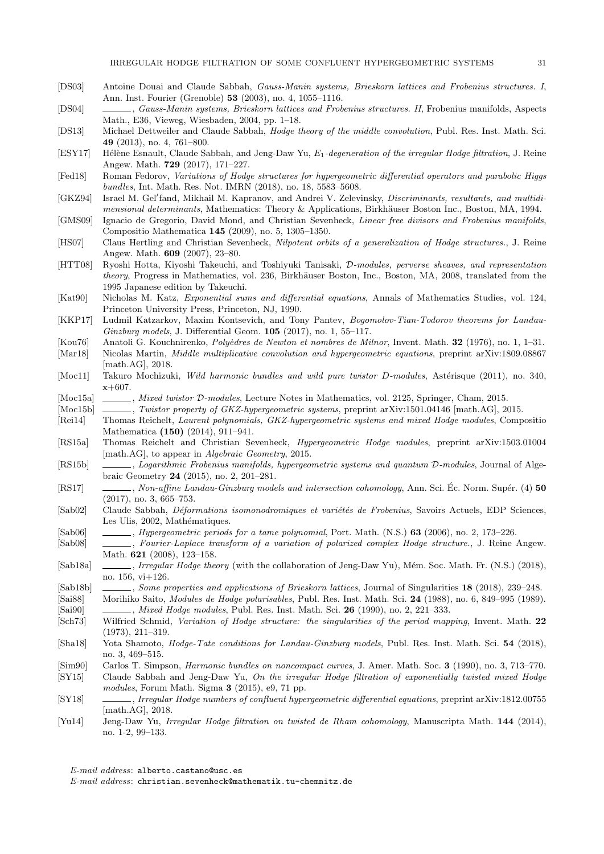- <span id="page-30-31"></span>[DS03] Antoine Douai and Claude Sabbah, Gauss-Manin systems, Brieskorn lattices and Frobenius structures. I, Ann. Inst. Fourier (Grenoble) 53 (2003), no. 4, 1055–1116.
- <span id="page-30-14"></span>[DS04] , Gauss-Manin systems, Brieskorn lattices and Frobenius structures. II, Frobenius manifolds, Aspects Math., E36, Vieweg, Wiesbaden, 2004, pp. 1–18.
- <span id="page-30-9"></span>[DS13] Michael Dettweiler and Claude Sabbah, Hodge theory of the middle convolution, Publ. Res. Inst. Math. Sci. 49 (2013), no. 4, 761–800.
- <span id="page-30-3"></span>[ESY17] Hélène Esnault, Claude Sabbah, and Jeng-Daw Yu, E<sub>1</sub>-degeneration of the irregular Hodge filtration, J. Reine Angew. Math. 729 (2017), 171–227.
- <span id="page-30-8"></span>[Fed18] Roman Fedorov, Variations of Hodge structures for hypergeometric differential operators and parabolic Higgs bundles, Int. Math. Res. Not. IMRN (2018), no. 18, 5583–5608.
- <span id="page-30-29"></span>[GKZ94] Israel M. Gel'fand, Mikhail M. Kapranov, and Andrei V. Zelevinsky, Discriminants, resultants, and multidimensional determinants, Mathematics: Theory & Applications, Birkhäuser Boston Inc., Boston, MA, 1994.
- <span id="page-30-15"></span>[GMS09] Ignacio de Gregorio, David Mond, and Christian Sevenheck, Linear free divisors and Frobenius manifolds, Compositio Mathematica 145 (2009), no. 5, 1305–1350.
- <span id="page-30-21"></span>[HS07] Claus Hertling and Christian Sevenheck, Nilpotent orbits of a generalization of Hodge structures., J. Reine Angew. Math. 609 (2007), 23–80.
- <span id="page-30-19"></span>[HTT08] Ryoshi Hotta, Kiyoshi Takeuchi, and Toshiyuki Tanisaki, D-modules, perverse sheaves, and representation theory, Progress in Mathematics, vol. 236, Birkhäuser Boston, Inc., Boston, MA, 2008, translated from the 1995 Japanese edition by Takeuchi.
- <span id="page-30-22"></span>[Kat90] Nicholas M. Katz, Exponential sums and differential equations, Annals of Mathematics Studies, vol. 124, Princeton University Press, Princeton, NJ, 1990.
- <span id="page-30-5"></span>[KKP17] Ludmil Katzarkov, Maxim Kontsevich, and Tony Pantev, Bogomolov-Tian-Todorov theorems for Landau-Ginzburg models, J. Differential Geom. 105 (2017), no. 1, 55–117.
- <span id="page-30-25"></span>[Kou76] Anatoli G. Kouchnirenko, *Polyèdres de Newton et nombres de Milnor*, Invent. Math. **32** (1976), no. 1, 1–31.
- <span id="page-30-16"></span>[Mar18] Nicolas Martin, Middle multiplicative convolution and hypergeometric equations, preprint arXiv:1809.08867 [math.AG], 2018.
- <span id="page-30-24"></span>[Moc11] Takuro Mochizuki, Wild harmonic bundles and wild pure twistor D-modules, Astérisque (2011), no. 340, x+607.
- <span id="page-30-1"></span>[Moc15a] , Mixed twistor D-modules, Lecture Notes in Mathematics, vol. 2125, Springer, Cham, 2015.
- <span id="page-30-27"></span>[Moc15b] , Twistor property of GKZ-hypergeometric systems, preprint arXiv:1501.04146 [math.AG], 2015.
- <span id="page-30-10"></span>[Rei14] Thomas Reichelt, Laurent polynomials, GKZ-hypergeometric systems and mixed Hodge modules, Compositio Mathematica (150) (2014), 911–941.
- <span id="page-30-17"></span>[RS15a] Thomas Reichelt and Christian Sevenheck, Hypergeometric Hodge modules, preprint arXiv:1503.01004 [math.AG], to appear in Algebraic Geometry, 2015.
- <span id="page-30-11"></span>[RS15b] , Logarithmic Frobenius manifolds, hypergeometric systems and quantum D-modules, Journal of Algebraic Geometry 24 (2015), no. 2, 201–281.
- <span id="page-30-12"></span>[RS17] , Non-affine Landau-Ginzburg models and intersection cohomology, Ann. Sci. Éc. Norm. Supér. (4) 50 (2017), no. 3, 665–753.
- <span id="page-30-32"></span>[Sab02] Claude Sabbah, Déformations isomonodromiques et variétés de Frobenius, Savoirs Actuels, EDP Sciences, Les Ulis, 2002, Mathématiques.
- <span id="page-30-28"></span>[Sab06] , Hypergeometric periods for a tame polynomial, Port. Math. (N.S.) 63 (2006), no. 2, 173–226.
- <span id="page-30-13"></span>[Sab08] , Fourier-Laplace transform of a variation of polarized complex Hodge structure., J. Reine Angew. Math. 621 (2008), 123–158.
- <span id="page-30-0"></span>[Sab18a] , Irregular Hodge theory (with the collaboration of Jeng-Daw Yu), Mém. Soc. Math. Fr. (N.S.) (2018), no. 156, vi+126.
- <span id="page-30-7"></span>[Sab18b] , Some properties and applications of Brieskorn lattices, Journal of Singularities 18 (2018), 239–248.
- <span id="page-30-30"></span><span id="page-30-20"></span>[Sai88] Morihiko Saito, Modules de Hodge polarisables, Publ. Res. Inst. Math. Sci. 24 (1988), no. 6, 849–995 (1989). [Sai90] , Mixed Hodge modules, Publ. Res. Inst. Math. Sci. 26 (1990), no. 2, 221–333.
- <span id="page-30-26"></span>[Sch73] Wilfried Schmid, Variation of Hodge structure: the singularities of the period mapping, Invent. Math. 22 (1973), 211–319.
- <span id="page-30-6"></span>[Sha18] Yota Shamoto, Hodge-Tate conditions for Landau-Ginzburg models, Publ. Res. Inst. Math. Sci. 54 (2018), no. 3, 469–515.
- <span id="page-30-23"></span>[Sim90] Carlos T. Simpson, Harmonic bundles on noncompact curves, J. Amer. Math. Soc. 3 (1990), no. 3, 713–770.
- <span id="page-30-4"></span>[SY15] Claude Sabbah and Jeng-Daw Yu, On the irregular Hodge filtration of exponentially twisted mixed Hodge modules, Forum Math. Sigma 3 (2015), e9, 71 pp.
- <span id="page-30-18"></span>[SY18] , Irregular Hodge numbers of confluent hypergeometric differential equations, preprint arXiv:1812.00755 [math.AG], 2018.
- <span id="page-30-2"></span>[Yu14] Jeng-Daw Yu, Irregular Hodge filtration on twisted de Rham cohomology, Manuscripta Math. 144 (2014), no. 1-2, 99–133.

E-mail address: alberto.castano@usc.es

E-mail address: christian.sevenheck@mathematik.tu-chemnitz.de